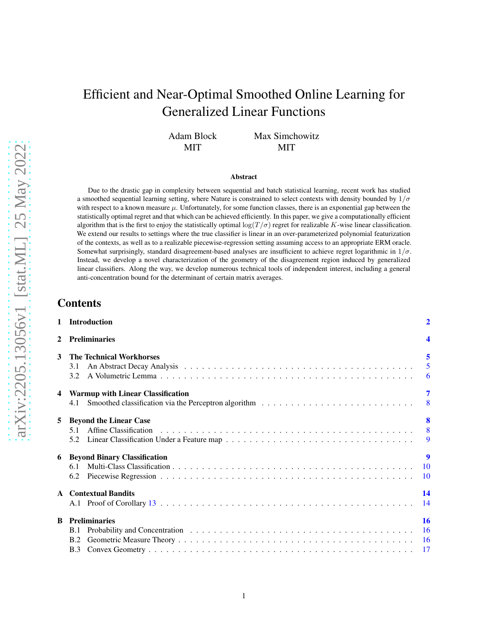# Efficient and Near-Optimal Smoothed Online Learning for Generalized Linear Functions

Adam Block MIT Max Simchowitz MIT

#### Abstract

Due to the drastic gap in complexity between sequential and batch statistical learning, recent work has studied a smoothed sequential learning setting, where Nature is constrained to select contexts with density bounded by  $1/\sigma$ with respect to a known measure  $\mu$ . Unfortunately, for some function classes, there is an exponential gap between the statistically optimal regret and that which can be achieved efficiently. In this paper, we give a computationally efficient algorithm that is the first to enjoy the statistically optimal  $\log(T/\sigma)$  regret for realizable K-wise linear classification. We extend our results to settings where the true classifier is linear in an over-parameterized polynomial featurization of the contexts, as well as to a realizable piecewise-regression setting assuming access to an appropriate ERM oracle. Somewhat surprisingly, standard disagreement-based analyses are insufficient to achieve regret logarithmic in  $1/\sigma$ . Instead, we develop a novel characterization of the geometry of the disagreement region induced by generalized linear classifiers. Along the way, we develop numerous technical tools of independent interest, including a general anti-concentration bound for the determinant of certain matrix averages.

## Contents

|                         | 1 Introduction                           | $\overline{2}$  |  |  |
|-------------------------|------------------------------------------|-----------------|--|--|
| $\mathbf{2}$            | <b>Preliminaries</b>                     |                 |  |  |
| 3                       | <b>The Technical Workhorses</b><br>3.1   | 5               |  |  |
|                         | 3.2 <sub>1</sub>                         |                 |  |  |
| $\overline{\mathbf{4}}$ | <b>Warmup with Linear Classification</b> | 7               |  |  |
|                         | 4.1                                      |                 |  |  |
| 5                       | <b>Beyond the Linear Case</b>            | 8               |  |  |
|                         | 5.1                                      |                 |  |  |
|                         | 5.2                                      |                 |  |  |
| 6                       | <b>Beyond Binary Classification</b>      | 9               |  |  |
|                         | 6.1                                      | $\overline{10}$ |  |  |
|                         | 6.2                                      | $\overline{10}$ |  |  |
|                         | <b>A</b> Contextual Bandits              | 14              |  |  |
|                         |                                          | 14              |  |  |
| B                       | <b>Preliminaries</b>                     | <b>16</b>       |  |  |
|                         | B.1                                      |                 |  |  |
|                         | B.2                                      |                 |  |  |
|                         | <b>B.3</b>                               | - 17            |  |  |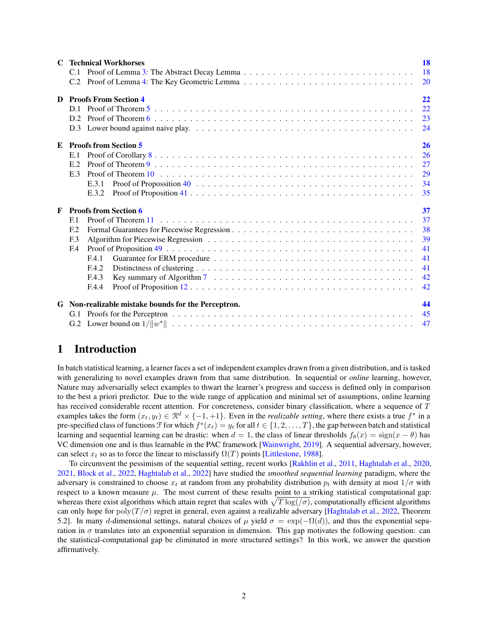|   | <b>C</b> Technical Workhorses                             |                                                                                                                           |           |  |  |  |
|---|-----------------------------------------------------------|---------------------------------------------------------------------------------------------------------------------------|-----------|--|--|--|
|   | C.1                                                       |                                                                                                                           | 18        |  |  |  |
|   | C.2                                                       |                                                                                                                           | <b>20</b> |  |  |  |
| D |                                                           | <b>Proofs From Section 4</b>                                                                                              | 22        |  |  |  |
|   | D <sub>1</sub>                                            |                                                                                                                           | 22        |  |  |  |
|   | D.2                                                       |                                                                                                                           | 23        |  |  |  |
|   |                                                           |                                                                                                                           | 24        |  |  |  |
| E |                                                           | <b>Proofs from Section 5</b>                                                                                              | 26        |  |  |  |
|   | E.1                                                       |                                                                                                                           | 26        |  |  |  |
|   | E.2                                                       |                                                                                                                           | 27        |  |  |  |
|   | E.3                                                       |                                                                                                                           | 29        |  |  |  |
|   |                                                           | E.3.1                                                                                                                     | 34        |  |  |  |
|   |                                                           | E.3.2                                                                                                                     | 35        |  |  |  |
| F |                                                           | <b>Proofs from Section 6</b>                                                                                              | 37        |  |  |  |
|   | E <sub>1</sub>                                            |                                                                                                                           | 37        |  |  |  |
|   | E <sub>12</sub>                                           |                                                                                                                           | 38        |  |  |  |
|   | F <sub>13</sub>                                           |                                                                                                                           | 39        |  |  |  |
|   | F <sub>4</sub>                                            |                                                                                                                           | 41        |  |  |  |
|   |                                                           | F.4.1                                                                                                                     | 41        |  |  |  |
|   |                                                           | F.4.2                                                                                                                     | 41        |  |  |  |
|   |                                                           | Key summary of Algorithm 7 $\dots \dots \dots \dots \dots \dots \dots \dots \dots \dots \dots \dots \dots \dots$<br>F.4.3 | 42        |  |  |  |
|   |                                                           | F.4.4                                                                                                                     | 42        |  |  |  |
|   | 44<br>G Non-realizable mistake bounds for the Perceptron. |                                                                                                                           |           |  |  |  |
|   | G.1                                                       |                                                                                                                           | 45        |  |  |  |
|   |                                                           |                                                                                                                           | 47        |  |  |  |

## <span id="page-1-0"></span>1 Introduction

In batch statistical learning, a learner faces a set of independent examples drawn from a given distribution, and is tasked with generalizing to novel examples drawn from that same distribution. In sequential or *online* learning, however, Nature may adversarially select examples to thwart the learner's progress and success is defined only in comparison to the best a priori predictor. Due to the wide range of application and minimal set of assumptions, online learning has received considerable recent attention. For concreteness, consider binary classification, where a sequence of  $\bar{T}$ examples takes the form  $(x_t, y_t) \in \mathbb{R}^d \times \{-1, +1\}$ . Even in the *realizable setting*, where there exists a true  $f^*$  in a pre-specified class of functions  $\mathcal F$  for which  $f^*(x_t) = y_t$  for all  $t \in \{1, 2, ..., T\}$ , the gap between batch and statistical learning and sequential learning can be drastic: when  $d = 1$ , the class of linear thresholds  $f_{\theta}(x) = sign(x - \theta)$  has VC dimension one and is thus learnable in the PAC framework [\[Wainwright,](#page-12-0) [2019\]](#page-12-0). A sequential adversary, however, can select  $x_t$  so as to force the linear to misclassify  $\Omega(T)$  points [\[Littlestone](#page-11-0), [1988](#page-11-0)].

To circumvent the pessimism of the sequential setting, recent works [\[Rakhlin et al.](#page-11-1), [2011,](#page-11-1) [Haghtalab et al.](#page-10-0), [2020,](#page-10-0) [2021,](#page-10-1) [Block et al.,](#page-10-2) [2022](#page-10-2), [Haghtalab et al.](#page-10-3), [2022\]](#page-10-3) have studied the *smoothed sequential learning* paradigm, where the adversary is constrained to choose  $x_t$  at random from any probability distribution  $p_t$  with density at most  $1/\sigma$  with respect to a known measure  $\mu$ . The most current of these results point to a striking statistical computational gap: whereas there exist algorithms which attain regret that scales with  $\sqrt{T \log((\sigma))}$ , computationally efficient algorithms can only hope for poly $(T/\sigma)$  regret in general, even against a realizable adversary [\[Haghtalab et al.,](#page-10-3) [2022,](#page-10-3) Theorem 5.2]. In many d-dimensional settings, natural choices of  $\mu$  yield  $\sigma = \exp(-\Omega(d))$ , and thus the exponential separation in  $\sigma$  translates into an exponential separation in dimension. This gap motivates the following question: can the statistical-computational gap be eliminated in more structured settings? In this work, we answer the question affirmatively.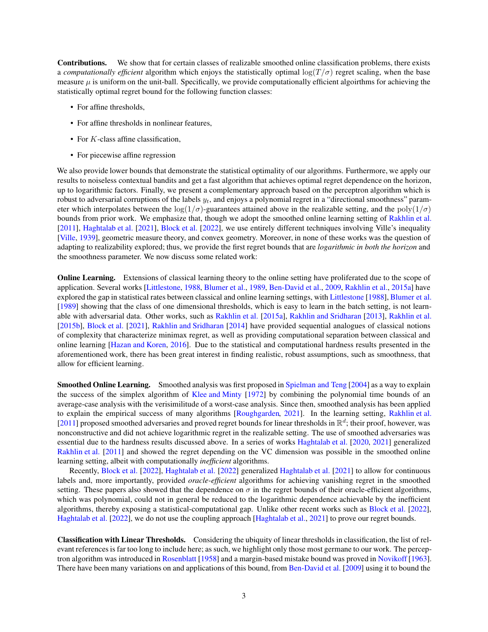Contributions. We show that for certain classes of realizable smoothed online classification problems, there exists a *computationally efficient* algorithm which enjoys the statistically optimal  $\log(T/\sigma)$  regret scaling, when the base measure  $\mu$  is uniform on the unit-ball. Specifically, we provide computationally efficient algoirthms for achieving the statistically optimal regret bound for the following function classes:

- For affine thresholds,
- For affine thresholds in nonlinear features,
- For  $K$ -class affine classification,
- For piecewise affine regression

We also provide lower bounds that demonstrate the statistical optimality of our algorithms. Furthermore, we apply our results to noiseless contextual bandits and get a fast algorithm that achieves optimal regret dependence on the horizon, up to logarithmic factors. Finally, we present a complementary approach based on the perceptron algorithm which is robust to adversarial corruptions of the labels  $y_t$ , and enjoys a polynomial regret in a "directional smoothness" parameter which interpolates between the log( $1/\sigma$ )-guarantees attained above in the realizable setting, and the poly( $1/\sigma$ ) bounds from prior work. We emphasize that, though we adopt the smoothed online learning setting of [Rakhlin et al.](#page-11-1) [\[2011\]](#page-11-1), [Haghtalab et al.](#page-10-1) [\[2021\]](#page-10-1), [Block et al.](#page-10-2) [\[2022](#page-10-2)], we use entirely different techniques involving Ville's inequality [\[Ville,](#page-11-2) [1939\]](#page-11-2), geometric measure theory, and convex geometry. Moreover, in none of these works was the question of adapting to realizability explored; thus, we provide the first regret bounds that are *logarithmic in both the horizon* and the smoothness parameter. We now discuss some related work:

Online Learning. Extensions of classical learning theory to the online setting have proliferated due to the scope of application. Several works [\[Littlestone,](#page-11-0) [1988,](#page-11-0) [Blumer et al.](#page-10-4), [1989,](#page-10-4) [Ben-David et al.](#page-10-5), [2009](#page-10-5), [Rakhlin et al.](#page-11-3), [2015a\]](#page-11-3) have explored the gap in statistical rates between classical and online learning settings, with [Littlestone](#page-11-0) [\[1988](#page-11-0)], [Blumer et al.](#page-10-4) [\[1989\]](#page-10-4) showing that the class of one dimensional thresholds, which is easy to learn in the batch setting, is not learnable with adversarial data. Other works, such as [Rakhlin et al.](#page-11-3) [\[2015a\]](#page-11-3), [Rakhlin and Sridharan](#page-11-4) [\[2013\]](#page-11-4), [Rakhlin et al.](#page-11-5) [\[2015b\]](#page-11-5), [Block et al.](#page-10-6) [\[2021\]](#page-10-6), [Rakhlin and Sridharan](#page-11-6) [\[2014\]](#page-11-6) have provided sequential analogues of classical notions of complexity that characterize minimax regret, as well as providing computational separation between classical and online learning [\[Hazan and Koren,](#page-10-7) [2016\]](#page-10-7). Due to the statistical and computational hardness results presented in the aforementioned work, there has been great interest in finding realistic, robust assumptions, such as smoothness, that allow for efficient learning.

Smoothed Online Learning. Smoothed analysis was first proposed in [Spielman and Teng](#page-11-7) [\[2004\]](#page-11-7) as a way to explain the success of the simplex algorithm of [Klee and Minty](#page-11-8) [\[1972\]](#page-11-8) by combining the polynomial time bounds of an average-case analysis with the verisimilitude of a worst-case analysis. Since then, smoothed analysis has been applied to explain the empirical success of many algorithms [\[Roughgarden,](#page-11-9) [2021\]](#page-11-9). In the learning setting, [Rakhlin et al.](#page-11-1) [\[2011\]](#page-11-1) proposed smoothed adversaries and proved regret bounds for linear thresholds in  $\mathbb{R}^d$ ; their proof, however, was nonconstructive and did not achieve logarithmic regret in the realizable setting. The use of smoothed adversaries was essential due to the hardness results discussed above. In a series of works [Haghtalab et al.](#page-10-0) [\[2020,](#page-10-0) [2021\]](#page-10-1) generalized [Rakhlin et al.](#page-11-1) [\[2011\]](#page-11-1) and showed the regret depending on the VC dimension was possible in the smoothed online learning setting, albeit with computationally *inefficient* algorithms.

Recently, [Block et al.](#page-10-2) [\[2022\]](#page-10-2), [Haghtalab et al.](#page-10-3) [\[2022\]](#page-10-3) generalized [Haghtalab et al.](#page-10-1) [\[2021\]](#page-10-1) to allow for continuous labels and, more importantly, provided *oracle-efficient* algorithms for achieving vanishing regret in the smoothed setting. These papers also showed that the dependence on  $\sigma$  in the regret bounds of their oracle-efficient algorithms, which was polynomial, could not in general be reduced to the logarithmic dependence achievable by the inefficient algorithms, thereby exposing a statistical-computational gap. Unlike other recent works such as [Block et al.](#page-10-2) [\[2022\]](#page-10-2), [Haghtalab et al.](#page-10-3) [\[2022\]](#page-10-3), we do not use the coupling approach [\[Haghtalab et al.,](#page-10-1) [2021\]](#page-10-1) to prove our regret bounds.

Classification with Linear Thresholds. Considering the ubiquity of linear thresholds in classification, the list of relevant references is far too long to include here; as such, we highlight only those most germane to our work. The perceptron algorithm was introduced in [Rosenblatt](#page-11-10) [\[1958\]](#page-11-10) and a margin-based mistake bound was proved in [Novikoff](#page-11-11) [\[1963\]](#page-11-11). There have been many variations on and applications of this bound, from [Ben-David et al.](#page-10-5) [\[2009\]](#page-10-5) using it to bound the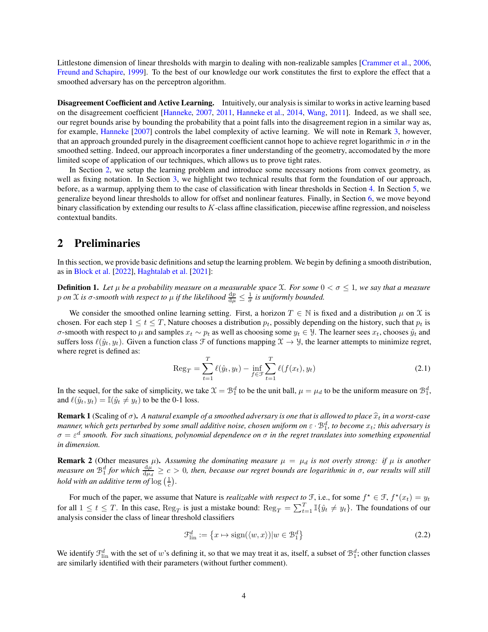Littlestone dimension of linear thresholds with margin to dealing with non-realizable samples [\[Crammer et al.,](#page-10-8) [2006,](#page-10-8) [Freund and Schapire,](#page-10-9) [1999](#page-10-9)]. To the best of our knowledge our work constitutes the first to explore the effect that a smoothed adversary has on the perceptron algorithm.

Disagreement Coefficient and Active Learning. Intuitively, our analysis is similar to works in active learning based on the disagreement coefficient [\[Hanneke,](#page-10-10) [2007,](#page-10-10) [2011,](#page-10-11) [Hanneke et al.](#page-10-12), [2014,](#page-10-12) [Wang](#page-12-1), [2011](#page-12-1)]. Indeed, as we shall see, our regret bounds arise by bounding the probability that a point falls into the disagreement region in a similar way as, for example, [Hanneke](#page-10-10) [\[2007\]](#page-10-10) controls the label complexity of active learning. We will note in Remark [3,](#page-6-2) however, that an approach grounded purely in the disagreement coefficient cannot hope to achieve regret logarithmic in  $\sigma$  in the smoothed setting. Indeed, our approach incorporates a finer understanding of the geometry, accomodated by the more limited scope of application of our techniques, which allows us to prove tight rates.

In Section [2,](#page-3-0) we setup the learning problem and introduce some necessary notions from convex geometry, as well as fixing notation. In Section [3,](#page-4-0) we highlight two technical results that form the foundation of our approach, before, as a warmup, applying them to the case of classification with linear thresholds in Section [4.](#page-6-0) In Section [5,](#page-7-1) we generalize beyond linear thresholds to allow for offset and nonlinear features. Finally, in Section [6,](#page-8-1) we move beyond binary classification by extending our results to K-class affine classification, piecewise affine regression, and noiseless contextual bandits.

## <span id="page-3-0"></span>2 Preliminaries

In this section, we provide basic definitions and setup the learning problem. We begin by defining a smooth distribution, as in [Block et al.](#page-10-2) [\[2022\]](#page-10-2), [Haghtalab et al.](#page-10-1) [\[2021](#page-10-1)]:

**Definition 1.** Let  $\mu$  be a probability measure on a measurable space X. For some  $0 < \sigma \leq 1$ , we say that a measure p on X is  $\sigma$ -smooth with respect to  $\mu$  if the likelihood  $\frac{dp}{d\mu} \leq \frac{1}{\sigma}$  is uniformly bounded.

We consider the smoothed online learning setting. First, a horizon  $T \in \mathbb{N}$  is fixed and a distribution  $\mu$  on X is chosen. For each step  $1 \le t \le T$ , Nature chooses a distribution  $p_t$ , possibly depending on the history, such that  $p_t$  is σ-smooth with respect to  $\mu$  and samples  $x_t \sim p_t$  as well as choosing some  $y_t \in \mathcal{Y}$ . The learner sees  $x_t$ , chooses  $\hat{y}_t$  and suffers loss  $\ell(\hat{y}_t, y_t)$ . Given a function class  $\mathcal F$  of functions mapping  $\mathfrak X \to \mathcal Y$ , the learner attempts to minimize regret, where regret is defined as:

$$
\text{Reg}_{T} = \sum_{t=1}^{T} \ell(\hat{y}_t, y_t) - \inf_{f \in \mathcal{F}} \sum_{t=1}^{T} \ell(f(x_t), y_t)
$$
\n(2.1)

In the sequel, for the sake of simplicity, we take  $\mathfrak{X} = \mathfrak{B}_1^d$  to be the unit ball,  $\mu = \mu_d$  to be the uniform measure on  $\mathfrak{B}_1^d$ , and  $\ell(\hat{y}_t, y_t) = \mathbb{I}(\hat{y}_t \neq y_t)$  to be the 0-1 loss.

**Remark 1** (Scaling of  $\sigma$ ). A natural example of a smoothed adversary is one that is allowed to place  $\hat{x}_t$  in a worst-case *manner, which gets perturbed by some small additive noise, chosen uniform on*  $ε \cdot B_1^d$ *, to become*  $x_t$ *; this adversary is* σ = ε d *smooth. For such situations, polynomial dependence on* σ *in the regret translates into something exponential in dimension.*

**Remark 2** (Other measures  $\mu$ ). Assuming the dominating measure  $\mu = \mu_d$  is not overly strong: if  $\mu$  is another *measure on*  $B_1^d$  for which  $\frac{d\mu}{d\mu_d} \ge c > 0$ , then, because our regret bounds are logarithmic in  $\sigma$ , our results will still *hold with an additive term of*  $\log(\frac{1}{c})$ .

For much of the paper, we assume that Nature is *realizable with respect to*  $\mathcal{F}$ , i.e., for some  $f^* \in \mathcal{F}$ ,  $f^*(x_t) = y_t$ for all  $1 \le t \le T$ . In this case,  $\text{Reg}_T$  is just a mistake bound:  $\text{Reg}_T = \sum_{t=1}^T \mathbb{I}\{\hat{y}_t \ne y_t\}$ . The foundations of our analysis consider the class of linear threshold classifiers

$$
\mathcal{F}_{\text{lin}}^d := \left\{ x \mapsto \text{sign}(\langle w, x \rangle) | w \in \mathcal{B}_1^d \right\} \tag{2.2}
$$

We identify  $\mathcal{F}^d_{lin}$  with the set of w's defining it, so that we may treat it as, itself, a subset of  $\mathcal{B}_1^d$ ; other function classes are similarly identified with their parameters (without further comment).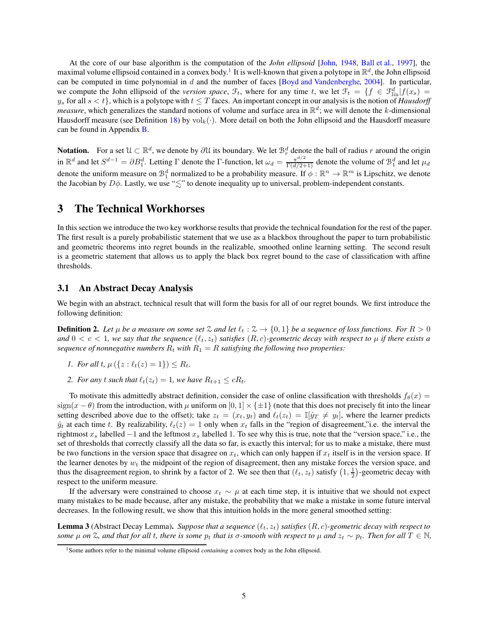At the core of our base algorithm is the computation of the *John ellipsoid* [\[John](#page-11-12), [1948](#page-11-12), [Ball et al.,](#page-10-13) [1997](#page-10-13)], the maximal volume ellipsoid contained in a convex body.<sup>[1](#page-4-3)</sup> It is well-known that given a polytope in  $\mathbb{R}^d$ , the John ellipsoid can be computed in time polynomial in  $d$  and the number of faces [\[Boyd and Vandenberghe,](#page-10-14) [2004](#page-10-14)]. In particular, we compute the John ellipsoid of the *version space*,  $\mathcal{F}_t$ , where for any time t, we let  $\mathcal{F}_t = \{f \in \mathcal{F}_{\text{lin}}^d | f(x_s) =$  $y_s$  for all  $s < t$ , which is a polytope with  $t \leq T$  faces. An important concept in our analysis is the notion of *Hausdorff measure*, which generalizes the standard notions of volume and surface area in  $\mathbb{R}^d$ ; we will denote the k-dimensional Hausdorff measure (see Definition [18\)](#page-15-3) by  $\mathrm{vol}_k(\cdot)$ . More detail on both the John ellipsoid and the Hausdorff measure can be found in Appendix [B.](#page-15-0)

**Notation.** For a set  $\mathcal{U} \subset \mathbb{R}^d$ , we denote by  $\partial \mathcal{U}$  its boundary. We let  $\mathcal{B}_r^d$  denote the ball of radius r around the origin in  $\mathbb{R}^d$  and let  $S^{d-1} = \partial B_1^d$ . Letting  $\Gamma$  denote the  $\Gamma$ -function, let  $\omega_d = \frac{\pi^{d/2}}{\Gamma(d/2+1)}$  denote the volume of  $\mathcal{B}_1^d$  and let  $\mu_d$ denote the uniform measure on  $\mathcal{B}_1^d$  normalized to be a probability measure. If  $\phi : \mathbb{R}^n \to \mathbb{R}^m$  is Lipschitz, we denote the Jacobian by  $D\phi$ . Lastly, we use " $\lesssim$ " to denote inequality up to universal, problem-independent constants.

## <span id="page-4-0"></span>3 The Technical Workhorses

In this section we introduce the two key workhorse results that provide the technical foundation for the rest of the paper. The first result is a purely probabilistic statement that we use as a blackbox throughout the paper to turn probabilistic and geometric theorems into regret bounds in the realizable, smoothed online learning setting. The second result is a geometric statement that allows us to apply the black box regret bound to the case of classification with affine thresholds.

### <span id="page-4-1"></span>3.1 An Abstract Decay Analysis

We begin with an abstract, technical result that will form the basis for all of our regret bounds. We first introduce the following definition:

**Definition 2.** Let  $\mu$  be a measure on some set  $\lambda$  and let  $\ell_t : \lambda \to \{0,1\}$  be a sequence of loss functions. For  $R > 0$ *and*  $0 < c < 1$ *, we say that the sequence*  $(\ell_t, z_t)$  *satisfies*  $(R, c)$ *-geometric decay with respect to*  $\mu$  *if there exists a sequence of nonnegative numbers*  $R_t$  *with*  $R_1 = R$  *satisfying the following two properties:* 

- *1. For all t,*  $\mu({z : \ell_t(z) = 1}) \leq R_t$ .
- *2. For any t such that*  $\ell_t(z_t) = 1$ *, we have*  $R_{t+1} \leq cR_t$ *.*

To motivate this admittedly abstract definition, consider the case of online classification with thresholds  $f_\theta(x)$  =  $sign(x - \theta)$  from the introduction, with  $\mu$  uniform on  $[0, 1] \times {\pm 1}$  (note that this does not precisely fit into the linear setting described above due to the offset); take  $z_t = (x_t, y_t)$  and  $\ell_t(z_t) = \mathbb{I}[\hat{y}_T \neq y_t]$ , where the learner predicts  $\hat{y}_t$  at each time t. By realizability,  $\ell_t(z) = 1$  only when  $x_t$  falls in the "region of disagreement," i.e. the interval the rightmost  $x_s$  labelled  $-1$  and the leftmost  $x_s$  labelled 1. To see why this is true, note that the "version space," i.e., the set of thresholds that correctly classify all the data so far, is exactly this interval; for us to make a mistake, there must be two functions in the version space that disagree on  $x_t$ , which can only happen if  $x_t$  itself is in the version space. If the learner denotes by  $w_t$  the midpoint of the region of disagreement, then any mistake forces the version space, and thus the disagreement region, to shrink by a factor of 2. We see then that  $(\ell_t, z_t)$  satisfy  $(1, \frac{1}{2})$ -geometric decay with respect to the uniform measure.

If the adversary were constrained to choose  $x_t \sim \mu$  at each time step, it is intuitive that we should not expect many mistakes to be made because, after any mistake, the probability that we make a mistake in some future interval decreases. In the following result, we show that this intuition holds in the more general smoothed setting:

<span id="page-4-2"></span>**Lemma 3** (Abstract Decay Lemma). *Suppose that a sequence*  $(\ell_t, z_t)$  *satisfies*  $(R, c)$ -geometric decay with respect to *some*  $\mu$  *on*  $\mathbb{Z}$ *, and that for all t, there is some*  $p_t$  *that is*  $\sigma$ *-smooth with respect to*  $\mu$  *and*  $z_t \sim p_t$ *. Then for all*  $T \in \mathbb{N}$ *,* 

<span id="page-4-3"></span><sup>&</sup>lt;sup>1</sup>Some authors refer to the minimal volume ellipsoid *containing* a convex body as the John ellipsoid.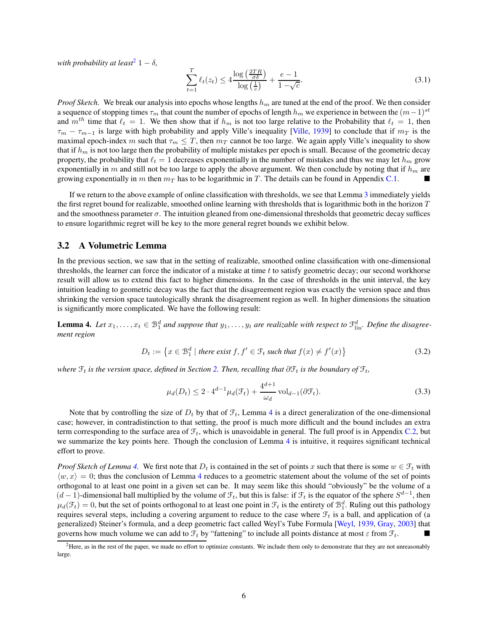*with probability at least*<sup>[2](#page-5-2)</sup> 1  $\delta$ *,* 

$$
\sum_{t=1}^{T} \ell_t(z_t) \le 4 \frac{\log\left(\frac{2TR}{\sigma \delta}\right)}{\log\left(\frac{1}{c}\right)} + \frac{e-1}{1-\sqrt{c}}.\tag{3.1}
$$

*Proof Sketch.* We break our analysis into epochs whose lengths  $h_m$  are tuned at the end of the proof. We then consider a sequence of stopping times  $\tau_m$  that count the number of epochs of length  $h_m$  we experience in between the  $(m-1)^{st}$ and  $m^{th}$  time that  $\ell_t = 1$ . We then show that if  $h_m$  is not too large relative to the Probability that  $\ell_t = 1$ , then  $\tau_m - \tau_{m-1}$  is large with high probability and apply Ville's inequality [\[Ville,](#page-11-2) [1939\]](#page-11-2) to conclude that if  $m_T$  is the maximal epoch-index m such that  $\tau_m \leq T$ , then  $m_T$  cannot be too large. We again apply Ville's inequality to show that if  $h_m$  is not too large then the probability of multiple mistakes per epoch is small. Because of the geometric decay property, the probability that  $\ell_t = 1$  decreases exponentially in the number of mistakes and thus we may let  $h_m$  grow exponentially in m and still not be too large to apply the above argument. We then conclude by noting that if  $h_m$  are growing exponentially in m then  $m<sub>T</sub>$  has to be logarithmic in T. The details can be found in Appendix [C.1.](#page-17-1)

If we return to the above example of online classification with thresholds, we see that Lemma [3](#page-4-2) immediately yields the first regret bound for realizable, smoothed online learning with thresholds that is logarithmic both in the horizon  $T$ and the smoothness parameter  $\sigma$ . The intuition gleaned from one-dimensional thresholds that geometric decay suffices to ensure logarithmic regret will be key to the more general regret bounds we exhibit below.

### <span id="page-5-0"></span>3.2 A Volumetric Lemma

In the previous section, we saw that in the setting of realizable, smoothed online classification with one-dimensional thresholds, the learner can force the indicator of a mistake at time  $t$  to satisfy geometric decay; our second workhorse result will allow us to extend this fact to higher dimensions. In the case of thresholds in the unit interval, the key intuition leading to geometric decay was the fact that the disagreement region was exactly the version space and thus shrinking the version space tautologically shrank the disagreement region as well. In higher dimensions the situation is significantly more complicated. We have the following result:

<span id="page-5-1"></span>**Lemma 4.** Let  $x_1, \ldots, x_t \in \mathcal{B}_1^d$  and suppose that  $y_1, \ldots, y_t$  are realizable with respect to  $\mathcal{F}_{\text{lin}}^d$ . Define the disagree*ment region*

$$
D_t := \left\{ x \in \mathcal{B}_1^d \mid \text{there exist } f, f' \in \mathcal{F}_t \text{ such that } f(x) \neq f'(x) \right\} \tag{3.2}
$$

*where*  $\mathcal{F}_t$  *is the version space, defined in Section [2.](#page-3-0) Then, recalling that*  $\partial \mathcal{F}_t$  *is the boundary of*  $\mathcal{F}_t$ *,* 

$$
\mu_d(D_t) \le 2 \cdot 4^{d-1} \mu_d(\mathcal{F}_t) + \frac{4^{d+1}}{\omega_d} \operatorname{vol}_{d-1}(\partial \mathcal{F}_t). \tag{3.3}
$$

Note that by controlling the size of  $D_t$  by that of  $\mathcal{F}_t$ , Lemma [4](#page-5-1) is a direct generalization of the one-dimensional case; however, in contradistinction to that setting, the proof is much more difficult and the bound includes an extra term corresponding to the surface area of  $\mathcal{F}_t$ , which is unavoidable in general. The full proof is in Appendix [C.2,](#page-19-0) but we summarize the key points here. Though the conclusion of Lemma [4](#page-5-1) is intuitive, it requires significant technical effort to prove.

*Proof Sketch of Lemma [4.](#page-5-1)* We first note that  $D_t$  is contained in the set of points x such that there is some  $w \in \mathcal{F}_t$  with  $\langle w, x \rangle = 0$ ; thus the conclusion of Lemma [4](#page-5-1) reduces to a geometric statement about the volume of the set of points orthogonal to at least one point in a given set can be. It may seem like this should "obviously" be the volume of a  $(d-1)$ -dimensional ball multiplied by the volume of  $\mathcal{F}_t$ , but this is false: if  $\mathcal{F}_t$  is the equator of the sphere  $S^{d-1}$ , then  $\mu_d(\mathcal{F}_t) = 0$ , but the set of points orthogonal to at least one point in  $\mathcal{F}_t$  is the entirety of  $\mathcal{B}_1^d$ . Ruling out this pathology requires several steps, including a covering argument to reduce to the case where  $\mathcal{F}_t$  is a ball, and application of (a generalized) Steiner's formula, and a deep geometric fact called Weyl's Tube Formula [\[Weyl,](#page-12-2) [1939,](#page-12-2) [Gray,](#page-10-15) [2003](#page-10-15)] that governs how much volume we can add to  $\mathcal{F}_t$  by "fattening" to include all points distance at most  $\varepsilon$  from  $\mathcal{F}_t$ .

<span id="page-5-2"></span> $<sup>2</sup>$  Here, as in the rest of the paper, we made no effort to optimize constants. We include them only to demonstrate that they are not unreasonably</sup> large.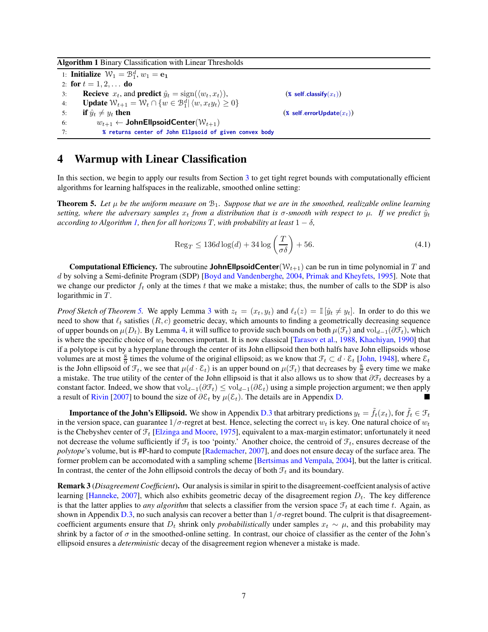Algorithm 1 Binary Classification with Linear Thresholds

1: **Initialize**  $\mathcal{W}_1 = \mathcal{B}_1^d$ ,  $w_1 = \mathbf{e}_1$ 2: for  $t = 1, 2, ...$  do 3: **Recieve**  $x_t$ , and **predict**  $\hat{y}_t = \text{sign}(\langle w_t, x_t \rangle)$ , (*\** self.classify( $x_t$ ))<br>4: **Update**  $\mathcal{W}_{t+1} = \mathcal{W}_t \cap \{w \in \mathcal{B}_1^d | \langle w, x_t y_t \rangle \ge 0\}$ 4: **Update**  $W_{t+1} = W_t \cap \{w \in \mathcal{B}_1^d | \langle w, x_t y_t \rangle \geq 0\}$ 5: **if**  $\hat{y}_t \neq y_t$  then (**\*** self.errorUpdate $(x_t)$ )<br>
6:  $w_{t+1} \leftarrow \text{JohnEllpsoidCenter}(\mathcal{W}_{t+1})$ 6:  $w_{t+1} \leftarrow \text{JohnEllpsoidCenter}(\mathcal{W}_{t+1})$ <br>7: **%** returns center of John Ellpsoid of 7: **% returns center of John Ellpsoid of given convex body**

## <span id="page-6-3"></span><span id="page-6-0"></span>4 Warmup with Linear Classification

<span id="page-6-1"></span>In this section, we begin to apply our results from Section [3](#page-4-0) to get tight regret bounds with computationally efficient algorithms for learning halfspaces in the realizable, smoothed online setting:

**Theorem 5.** Let  $\mu$  be the uniform measure on  $\mathcal{B}_1$ . Suppose that we are in the smoothed, realizable online learning *setting, where the adversary samples*  $x_t$  *from a distribution that is*  $\sigma$ -*smooth with respect to*  $\mu$ *. If we predict*  $\hat{y}_t$ *according to Algorithm [1,](#page-6-3) then for all horizons*  $T$ *, with probability at least*  $1 - \delta$ *,* 

$$
\operatorname{Reg}_T \le 136d \log(d) + 34 \log\left(\frac{T}{\sigma \delta}\right) + 56. \tag{4.1}
$$

**Computational Efficiency.** The subroutine **JohnEllpsoidCenter**( $W_{t+1}$ ) can be run in time polynomial in T and d by solving a Semi-definite Program (SDP) [\[Boyd and Vandenberghe,](#page-10-14) [2004](#page-10-14), [Primak and Kheyfets](#page-11-13), [1995\]](#page-11-13). Note that we change our predictor  $f_t$  only at the times t that we make a mistake; thus, the number of calls to the SDP is also logarithmic in  $T$ .

*Proof Sketch of Theorem* [5.](#page-6-1) We apply Lemma [3](#page-4-2) with  $z_t = (x_t, y_t)$  and  $\ell_t(z) = \mathbb{I}[\hat{y}_t \neq y_t]$ . In order to do this we need to show that  $\ell_t$  satisfies  $(R, c)$  geometric decay, which amounts to finding a geometrically decreasing sequence of upper bounds on  $\mu(D_t)$ . By Lemma [4,](#page-5-1) it will suffice to provide such bounds on both  $\mu(\mathcal{F}_t)$  and vol $_{d-1}(\partial \mathcal{F}_t)$ , which is where the specific choice of  $w_t$  becomes important. It is now classical [\[Tarasov et al.,](#page-11-14) [1988,](#page-11-14) [Khachiyan](#page-11-15), [1990](#page-11-15)] that if a polytope is cut by a hyperplane through the center of its John ellipsoid then both halfs have John ellipsoids whose volumes are at most  $\frac{8}{9}$  times the volume of the original ellipsoid; as we know that  $\mathcal{F}_t \subset d \cdot \mathcal{E}_t$  [\[John](#page-11-12), [1948](#page-11-12)], where  $\mathcal{E}_t$ is the John ellipsoid of  $\mathcal{F}_t$ , we see that  $\mu(d \cdot \mathcal{E}_t)$  is an upper bound on  $\mu(\mathcal{F}_t)$  that decreases by  $\frac{8}{9}$  every time we make a mistake. The true utility of the center of the John ellipsoid is that it also allows us to show that  $\partial \mathcal{F}_t$  decreases by a constant factor. Indeed, we show that vol<sub>d−1</sub>( $\partial \mathcal{F}_t$ ) ≤ vol<sub>d−1</sub>( $\partial \mathcal{E}_t$ ) using a simple projection argument; we then apply a result of [Rivin](#page-11-16) [\[2007](#page-11-16)] to bound the size of  $\partial \mathcal{E}_t$  by  $\mu(\mathcal{E}_t)$ . The details are in Appendix [D.](#page-21-0)

**Importance of the John's Ellipsoid.** We show in Appendix [D.3](#page-23-0) that arbitrary predictions  $y_t = \tilde{f}_t(x_t)$ , for  $\tilde{f}_t \in \mathcal{F}_t$ in the version space, can guarantee  $1/\sigma$ -regret at best. Hence, selecting the correct  $w_t$  is key. One natural choice of  $w_t$ is the Chebyshev center of  $\mathcal{F}_t$  [\[Elzinga and Moore](#page-10-16), [1975\]](#page-10-16), equivalent to a max-margin estimator; unfortunately it need not decrease the volume sufficiently if  $\mathcal{F}_t$  is too 'pointy.' Another choice, the centroid of  $\mathcal{F}_t$ , ensures decrease of the *polytope*'s volume, but is #P-hard to compute [\[Rademacher,](#page-11-17) [2007](#page-11-17)], and does not ensure decay of the surface area. The former problem can be accomodated with a sampling scheme [\[Bertsimas and Vempala,](#page-10-17) [2004\]](#page-10-17), but the latter is critical. In contrast, the center of the John ellipsoid controls the decay of both  $\mathcal{F}_t$  and its boundary.

<span id="page-6-2"></span>Remark 3 (*Disagreement Coefficient*). Our analysis is similar in spirit to the disagreement-coeffcient analysis of active learning [\[Hanneke,](#page-10-10) [2007](#page-10-10)], which also exhibits geometric decay of the disagreement region  $D_t$ . The key difference is that the latter applies to *any algorithm* that selects a classifier from the version space  $\mathcal{F}_t$  at each time t. Again, as shown in Appendix [D.3,](#page-23-0) no such analysis can recover a better than  $1/\sigma$ -regret bound. The culprit is that disagreementcoefficient arguments ensure that  $D_t$  shrink only *probabilistically* under samples  $x_t \sim \mu$ , and this probability may shrink by a factor of  $\sigma$  in the smoothed-online setting. In contrast, our choice of classifier as the center of the John's ellipsoid ensures a *deterministic* decay of the disagreement region whenever a mistake is made.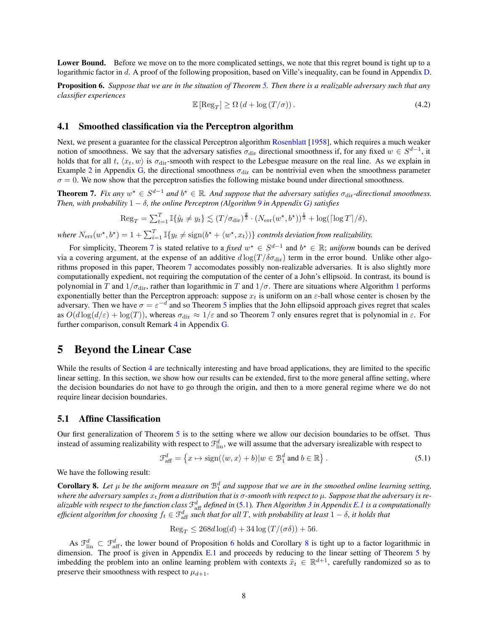<span id="page-7-3"></span>Lower Bound. Before we move on to the more complicated settings, we note that this regret bound is tight up to a logarithmic factor in d. A proof of the following proposition, based on Ville's inequality, can be found in Appendix [D.](#page-21-0)

Proposition 6. *Suppose that we are in the situation of Theorem [5.](#page-6-1) Then there is a realizable adversary such that any classifier experiences*

$$
\mathbb{E}\left[\text{Reg}_T\right] \ge \Omega\left(d + \log\left(T/\sigma\right)\right). \tag{4.2}
$$

### <span id="page-7-0"></span>4.1 Smoothed classification via the Perceptron algorithm

Next, we present a guarantee for the classical Perceptron algorithm [Rosenblatt](#page-11-10) [\[1958](#page-11-10)], which requires a much weaker notion of smoothness. We say that the adversary satisfies  $\sigma_{\text{dir}}$  directional smoothness if, for any fixed  $w \in S^{d-1}$ , it holds that for all t,  $\langle x_t, w \rangle$  is  $\sigma_{\text{dir}}$ -smooth with respect to the Lebesgue measure on the real line. As we explain in Example [2](#page-43-1) in Appendix [G,](#page-43-0) the directional smoothness  $\sigma_{\text{dir}}$  can be nontrivial even when the smoothness parameter  $\sigma = 0$ . We now show that the perceptron satisfies the following mistake bound under directional smoothness.

<span id="page-7-5"></span>**Theorem 7.** Fix any  $w^* \in S^{d-1}$  and  $b^* \in \mathbb{R}$ . And suppose that the adversary satisfies  $\sigma_{\text{dir}}$ -directional smoothness. *Then, with probability*  $1 - \delta$ *, the online Perceptron (Algorithm [9](#page-44-1) in Appendix [G\)](#page-43-0) satisfies* 

$$
\operatorname{Reg}_{T} = \sum_{t=1}^{T} \mathbb{I}\{\hat{y}_{t} \neq y_{t}\} \lesssim (T/\sigma_{\text{dir}})^{\frac{2}{3}} \cdot (N_{\text{err}}(w^{\star}, b^{\star}))^{\frac{1}{3}} + \log(\lceil \log T \rceil / \delta),
$$

where  $N_{\text{err}}(w^*, b^*) = 1 + \sum_{i=1}^T \mathbb{I}\{y_t \neq \text{sign}(b^* + \langle w^*, x_t \rangle)\}\)$  *controls deviation from realizability.* 

For simplicity, Theorem [7](#page-7-5) is stated relative to a *fixed*  $w^* \in S^{d-1}$  and  $b^* \in \mathbb{R}$ ; *uniform* bounds can be derived via a covering argument, at the expense of an additive  $d \log(T / \delta \sigma_{\text{dir}})$  term in the error bound. Unlike other algorithms proposed in this paper, Theorem [7](#page-7-5) accomodates possibly non-realizable adversaries. It is also slightly more computationally expedient, not requiring the computation of the center of a John's ellipsoid. In contrast, its bound is polynomial in T and  $1/\sigma_{\rm dir}$  $1/\sigma_{\rm dir}$ , rather than logarithmic in T and  $1/\sigma$ . There are situations where Algorithm 1 performs exponentially better than the Perceptron approach: suppose  $x_t$  is uniform on an  $\varepsilon$ -ball whose center is chosen by the adversary. Then we have  $\sigma = \varepsilon^{-d}$  and so Theorem [5](#page-6-1) implies that the John ellipsoid approach gives regret that scales as  $O(d \log(d/\varepsilon) + \log(T))$ , whereas  $\sigma_{\text{dir}} \approx 1/\varepsilon$  and so Theorem [7](#page-7-5) only ensures regret that is polynomial in  $\varepsilon$ . For further comparison, consult Remark [4](#page-43-2) in Appendix [G.](#page-43-0)

## <span id="page-7-1"></span>5 Beyond the Linear Case

While the results of Section [4](#page-6-0) are technically interesting and have broad applications, they are limited to the specific linear setting. In this section, we show how our results can be extended, first to the more general affine setting, where the decision boundaries do not have to go through the origin, and then to a more general regime where we do not require linear decision boundaries.

### <span id="page-7-2"></span>5.1 Affine Classification

Our first generalization of Theorem [5](#page-6-1) is to the setting where we allow our decision boundaries to be offset. Thus instead of assuming realizability with respect to  $\mathcal{F}^d_{lin}$ , we will assume that the adversary isrealizable with respect to

<span id="page-7-6"></span>
$$
\mathcal{F}_{\text{aff}}^d = \left\{ x \mapsto \text{sign}(\langle w, x \rangle + b) | w \in \mathcal{B}_1^d \text{ and } b \in \mathbb{R} \right\}. \tag{5.1}
$$

<span id="page-7-4"></span>We have the following result:

**Corollary 8.** Let  $\mu$  be the uniform measure on  $\mathcal{B}_1^d$  and suppose that we are in the smoothed online learning setting, *where the adversary samples*  $x_t$  *from a distribution that is* σ-smooth with respect to μ. Suppose that the adversary is re*alizable with respect to the function class* F d aff *defined in* [\(5.1\)](#page-7-6)*. Then Algorithm [3](#page-27-0) in Appendix [E.1](#page-25-1) is a computationally* efficient algorithm for choosing  $f_t \in \mathcal{F}_{\rm aff}^d$  such that for all  $T$ , with probability at least  $1-\delta$ , it holds that

$$
\operatorname{Reg}_T \le 268d \log(d) + 34 \log(T/(\sigma\delta)) + 56.
$$

As  $\mathcal{F}_{\text{lin}}^d \subset \mathcal{F}_{\text{aff}}^d$ , the lower bound of Proposition [6](#page-7-3) holds and Corollary [8](#page-7-4) is tight up to a factor logarithmic in dimension. The proof is given in Appendix [E.1](#page-25-1) and proceeds by reducing to the linear setting of Theorem [5](#page-6-1) by imbedding the problem into an online learning problem with contexts  $\tilde{x}_t \in \mathbb{R}^{d+1}$ , carefully randomized so as to preserve their smoothness with respect to  $\mu_{d+1}$ .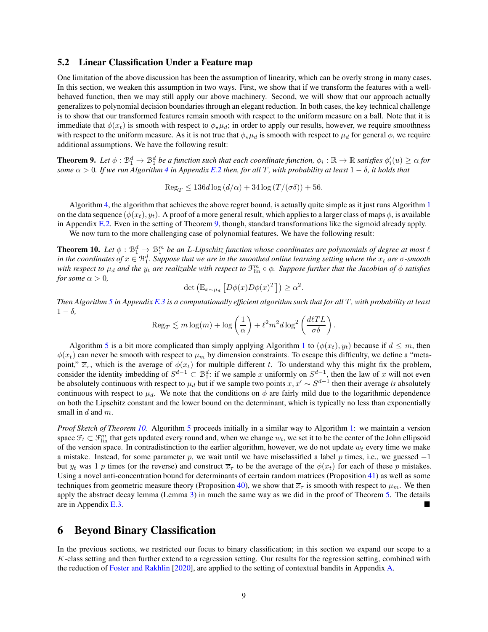### <span id="page-8-0"></span>5.2 Linear Classification Under a Feature map

One limitation of the above discussion has been the assumption of linearity, which can be overly strong in many cases. In this section, we weaken this assumption in two ways. First, we show that if we transform the features with a wellbehaved function, then we may still apply our above machinery. Second, we will show that our approach actually generalizes to polynomial decision boundaries through an elegant reduction. In both cases, the key technical challenge is to show that our transformed features remain smooth with respect to the uniform measure on a ball. Note that it is immediate that  $\phi(x_t)$  is smooth with respect to  $\phi_\star \mu_d$ ; in order to apply our results, however, we require smoothness with respect to the uniform measure. As it is not true that  $\phi_\star \mu_d$  is smooth with respect to  $\mu_d$  for general  $\phi$ , we require additional assumptions. We have the following result:

<span id="page-8-2"></span>**Theorem 9.** Let  $\phi: \mathbb{B}_1^d \to \mathbb{B}_1^d$  be a function such that each coordinate function,  $\phi_i: \mathbb{R} \to \mathbb{R}$  satisfies  $\phi'_i(u) \ge \alpha$  for *some*  $\alpha > 0$ *. If we run Algorithm [4](#page-27-1) in Appendix [E.2](#page-26-0) then, for all T, with probability at least*  $1 - \delta$ *, it holds that* 

$$
\operatorname{Reg}_T \le 136d \log \left( d/\alpha \right) + 34 \log \left( T/(\sigma \delta) \right) + 56.
$$

Algorithm [4,](#page-27-1) the algorithm that achieves the above regret bound, is actually quite simple as it just runs Algorithm [1](#page-6-3) on the data sequence  $(\phi(x_t), y_t)$ . A proof of a more general result, which applies to a larger class of maps  $\phi$ , is available in Appendix [E.2.](#page-26-0) Even in the setting of Theorem [9,](#page-8-2) though, standard transformations like the sigmoid already apply.

<span id="page-8-3"></span>We now turn to the more challenging case of polynomial features. We have the following result:

**Theorem 10.** Let  $\phi$  :  $\mathcal{B}_1^d \to \mathcal{B}_1^m$  be an L-Lipschitz function whose coordinates are polynomials of degree at most  $\ell$ *in the coordinates of*  $x \in \mathbb{B}_1^d$ . Suppose that we are in the smoothed online learning setting where the  $x_t$  are  $\sigma$ -smooth with respect to  $\mu_d$  and the  $y_t$  are realizable with respect to  $\mathfrak{f}_{\rm lin}^m\circ\phi$ . Suppose further that the Jacobian of  $\phi$  satisfies *for some*  $\alpha > 0$ *,* 

$$
\det \left( \mathbb{E}_{x \sim \mu_d} \left[ D\phi(x) D\phi(x)^T \right] \right) \ge \alpha^2.
$$

*Then Algorithm [5](#page-30-0) in Appendix [E.3](#page-28-0) is a computationally efficient algorithm such that for all T*, with probability at least  $1 - \delta$ ,

$$
\operatorname{Reg}_T \lesssim m \log(m) + \log\left(\frac{1}{\alpha}\right) + \ell^2 m^2 d \log^2\left(\frac{d\ell TL}{\sigma \delta}\right).
$$

Algorithm [5](#page-30-0) is a bit more complicated than simply applying Algorithm [1](#page-6-3) to  $(\phi(x_t), y_t)$  because if  $d \leq m$ , then  $\phi(x_t)$  can never be smooth with respect to  $\mu_m$  by dimension constraints. To escape this difficulty, we define a "metapoint,"  $\overline{x}_{\tau}$ , which is the average of  $\phi(x_t)$  for multiple different t. To understand why this might fix the problem, consider the identity imbedding of  $S^{d-1} \subset \mathcal{B}_1^d$ : if we sample x uniformly on  $S^{d-1}$ , then the law of x will not even be absolutely continuous with respect to  $\mu_d$  but if we sample two points  $x, x' \sim S^{d-1}$  then their average *is* absolutely continuous with respect to  $\mu_d$  but if we sample two points  $x, x' \sim S^{d-1}$  then their average continuous with respect to  $\mu_d$ . We note that the conditions on  $\phi$  are fairly mild due to the logarithmic dependence on both the Lipschitz constant and the lower bound on the determinant, which is typically no less than exponentially small in  $d$  and  $m$ .

*Proof Sketch of Theorem [10.](#page-8-3)* Algorithm [5](#page-30-0) proceeds initially in a similar way to Algorithm [1:](#page-6-3) we maintain a version space  $\mathcal{F}_t \subset \mathcal{F}_{\text{lin}}^m$  that gets updated every round and, when we change  $w_t$ , we set it to be the center of the John ellipsoid of the version space. In contradistinction to the earlier algorithm, however, we do not update  $w_t$  every time we make a mistake. Instead, for some parameter p, we wait until we have misclassified a label p times, i.e., we guessed  $-1$ but  $y_t$  was 1 p times (or the reverse) and construct  $\overline{x}_{\tau}$  to be the average of the  $\phi(x_t)$  for each of these p mistakes. Using a novel anti-concentration bound for determinants of certain random matrices (Proposition [41\)](#page-31-1) as well as some techniques from geometric measure theory (Proposition [40\)](#page-31-0), we show that  $\overline{x}_{\tau}$  is smooth with respect to  $\mu_m$ . We then apply the abstract decay lemma (Lemma [3\)](#page-4-2) in much the same way as we did in the proof of Theorem [5.](#page-6-1) The details are in Appendix [E.3.](#page-28-0)

## <span id="page-8-1"></span>6 Beyond Binary Classification

In the previous sections, we restricted our focus to binary classification; in this section we expand our scope to a K-class setting and then further extend to a regression setting. Our results for the regression setting, combined with the reduction of [Foster and Rakhlin](#page-10-18) [\[2020](#page-10-18)], are applied to the setting of contextual bandits in Appendix [A.](#page-13-0)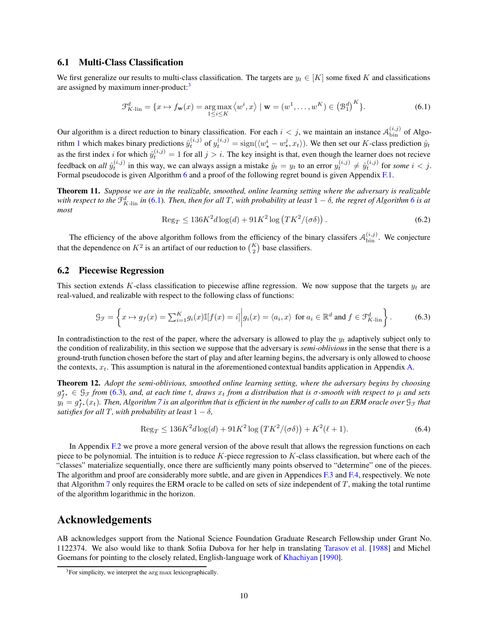#### <span id="page-9-0"></span>6.1 Multi-Class Classification

We first generalize our results to multi-class classification. The targets are  $y_t \in [K]$  some fixed K and classifications are assigned by maximum inner-product:<sup>[3](#page-9-4)</sup>

<span id="page-9-5"></span>
$$
\mathcal{F}_{K\text{-lin}}^d = \{x \mapsto f_{\mathbf{w}}(x) = \underset{1 \le i \le K}{\arg \max} \langle w^i, x \rangle \mid \mathbf{w} = (w^1, \dots, w^K) \in \left(\mathcal{B}_1^d\right)^K\}.
$$
\n(6.1)

Our algorithm is a direct reduction to binary classification. For each  $i < j$ , we maintain an instance  $\mathcal{A}_{\text{bin}}^{(i,j)}$  of Algo-rithm [1](#page-6-3) which makes binary predictions  $\hat{y}_t^{(i,j)}$  of  $y_t^{(i,j)} = \text{sign}(\langle w_\star^i - w_\star^j, x_t \rangle)$ . We then set our K-class prediction  $\hat{y}_t$ as the first index *i* for which  $\hat{y}_t^{(i,j)} = 1$  for all  $j > i$ . The key insight is that, even though the learner does not recieve feedback on *all*  $\hat{y}_t^{(i,j)}$  in this way, we can always assign a mistake  $\hat{y}_t = y_t$  to an error  $y_t^{(i,j)} \neq \hat{y}_t^{(i,j)}$  for *some*  $i < j$ . Formal pseudocode is given Algorithm [6](#page-38-2) and a proof of the following regret bound is given Appendix [F.1.](#page-36-1)

<span id="page-9-2"></span>Theorem 11. *Suppose we are in the realizable, smoothed, online learning setting where the adversary is realizable* with respect to the  $\mathfrak{F}^d_{K\text{-lin}}$  in [\(6.1\)](#page-9-5). Then, then for all  $T$ , with probability at least  $1-\delta$ , the regret of Algorithm  $6$  is at *most*

$$
\operatorname{Reg}_T \le 136K^2 d \log(d) + 91K^2 \log\left(TK^2/(\sigma\delta)\right). \tag{6.2}
$$

The efficiency of the above algorithm follows from the efficiency of the binary classifers  $A_{\text{bin}}^{(i,j)}$ . We conjecture that the dependence on  $K^2$  is an artifact of our reduction to  $\binom{K}{2}$  base classifiers.

### <span id="page-9-1"></span>6.2 Piecewise Regression

This section extends K-class classification to piecewise affine regression. We now suppose that the targets  $y_t$  are real-valued, and realizable with respect to the following class of functions:

<span id="page-9-6"></span>
$$
\mathcal{G}_{\mathcal{F}} = \left\{ x \mapsto g_f(x) = \sum_{i=1}^K g_i(x) \mathbb{I}[f(x) = i] \middle| g_i(x) = \langle a_i, x \rangle \text{ for } a_i \in \mathbb{R}^d \text{ and } f \in \mathcal{F}_{K\text{-lin}}^d \right\}.
$$
 (6.3)

In contradistinction to the rest of the paper, where the adversary is allowed to play the  $y_t$  adaptively subject only to the condition of realizability, in this section we suppose that the adversary is *semi-oblivious* in the sense that there is a ground-truth function chosen before the start of play and after learning begins, the adversary is only allowed to choose the contexts,  $x_t$ . This assumption is natural in the aforementioned contextual bandits application in Appendix [A.](#page-13-0)

<span id="page-9-3"></span>Theorem 12. *Adopt the semi-oblivious, smoothed online learning setting, where the adversary begins by choosing*  $g_{f*}^* \in \mathcal{G}_{\mathcal{F}}$  *from* [\(6.3\)](#page-9-6), and, at each time t, draws  $x_t$  *from a distribution that is*  $\sigma$ -smooth with respect to  $\mu$  and sets  $y_t^j = g_{f^\star}^\star(x_t).$  Then, Algorithm [7](#page-39-0) is an algorithm that is efficient in the number of calls to an ERM oracle over  $\Im$  an that *satisfies for all* T, with probability at least  $1 - \delta$ ,

$$
\operatorname{Reg}_{T} \le 136K^2 d \log(d) + 91K^2 \log\left(TK^2/(\sigma\delta)\right) + K^2(\ell+1). \tag{6.4}
$$

In Appendix [F.2](#page-37-0) we prove a more general version of the above result that allows the regression functions on each piece to be polynomial. The intuition is to reduce  $K$ -piece regression to  $K$ -class classification, but where each of the "classes" materialize sequentially, once there are sufficiently many points observed to "determine" one of the pieces. The algorithm and proof are considerably more subtle, and are given in Appendices [F.3](#page-38-0) and [F.4,](#page-40-0) respectively. We note that Algorithm [7](#page-39-0) only requires the ERM oracle to be called on sets of size independent of  $T$ , making the total runtime of the algorithm logarithmic in the horizon.

## Acknowledgements

AB acknowledges support from the National Science Foundation Graduate Research Fellowship under Grant No. 1122374. We also would like to thank Sofiia Dubova for her help in translating [Tarasov et al.](#page-11-14) [\[1988\]](#page-11-14) and Michel Goemans for pointing to the closely related, English-language work of [Khachiyan](#page-11-15) [\[1990\]](#page-11-15).

<span id="page-9-4"></span> $3$ For simplicity, we interpret the  $\arg \max$  lexicographically.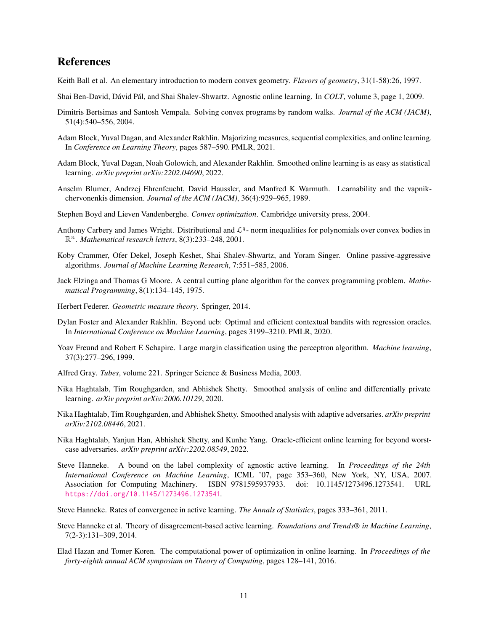## References

- <span id="page-10-13"></span>Keith Ball et al. An elementary introduction to modern convex geometry. *Flavors of geometry*, 31(1-58):26, 1997.
- <span id="page-10-5"></span>Shai Ben-David, Dávid Pál, and Shai Shalev-Shwartz. Agnostic online learning. In *COLT*, volume 3, page 1, 2009.
- <span id="page-10-17"></span>Dimitris Bertsimas and Santosh Vempala. Solving convex programs by random walks. *Journal of the ACM (JACM)*, 51(4):540–556, 2004.
- <span id="page-10-6"></span>Adam Block, Yuval Dagan, and Alexander Rakhlin. Majorizing measures, sequential complexities, and online learning. In *Conference on Learning Theory*, pages 587–590. PMLR, 2021.
- <span id="page-10-2"></span>Adam Block, Yuval Dagan, Noah Golowich, and Alexander Rakhlin. Smoothed online learning is as easy as statistical learning. *arXiv preprint arXiv:2202.04690*, 2022.
- <span id="page-10-4"></span>Anselm Blumer, Andrzej Ehrenfeucht, David Haussler, and Manfred K Warmuth. Learnability and the vapnikchervonenkis dimension. *Journal of the ACM (JACM)*, 36(4):929–965, 1989.
- <span id="page-10-14"></span>Stephen Boyd and Lieven Vandenberghe. *Convex optimization*. Cambridge university press, 2004.
- <span id="page-10-20"></span>Anthony Carbery and James Wright. Distributional and  $\mathcal{L}^q$ - norm inequalities for polynomials over convex bodies in R <sup>n</sup>. *Mathematical research letters*, 8(3):233–248, 2001.
- <span id="page-10-8"></span>Koby Crammer, Ofer Dekel, Joseph Keshet, Shai Shalev-Shwartz, and Yoram Singer. Online passive-aggressive algorithms. *Journal of Machine Learning Research*, 7:551–585, 2006.
- <span id="page-10-16"></span>Jack Elzinga and Thomas G Moore. A central cutting plane algorithm for the convex programming problem. *Mathematical Programming*, 8(1):134–145, 1975.
- <span id="page-10-19"></span>Herbert Federer. *Geometric measure theory*. Springer, 2014.
- <span id="page-10-18"></span>Dylan Foster and Alexander Rakhlin. Beyond ucb: Optimal and efficient contextual bandits with regression oracles. In *International Conference on Machine Learning*, pages 3199–3210. PMLR, 2020.
- <span id="page-10-9"></span>Yoav Freund and Robert E Schapire. Large margin classification using the perceptron algorithm. *Machine learning*, 37(3):277–296, 1999.
- <span id="page-10-15"></span>Alfred Gray. *Tubes*, volume 221. Springer Science & Business Media, 2003.
- <span id="page-10-0"></span>Nika Haghtalab, Tim Roughgarden, and Abhishek Shetty. Smoothed analysis of online and differentially private learning. *arXiv preprint arXiv:2006.10129*, 2020.
- <span id="page-10-1"></span>Nika Haghtalab, Tim Roughgarden, and Abhishek Shetty. Smoothed analysis with adaptive adversaries. *arXiv preprint arXiv:2102.08446*, 2021.
- <span id="page-10-3"></span>Nika Haghtalab, Yanjun Han, Abhishek Shetty, and Kunhe Yang. Oracle-efficient online learning for beyond worstcase adversaries. *arXiv preprint arXiv:2202.08549*, 2022.
- <span id="page-10-10"></span>Steve Hanneke. A bound on the label complexity of agnostic active learning. In *Proceedings of the 24th International Conference on Machine Learning*, ICML '07, page 353–360, New York, NY, USA, 2007. Association for Computing Machinery. ISBN 9781595937933. doi: 10.1145/1273496.1273541. URL <https://doi.org/10.1145/1273496.1273541>.
- <span id="page-10-11"></span>Steve Hanneke. Rates of convergence in active learning. *The Annals of Statistics*, pages 333–361, 2011.
- <span id="page-10-12"></span>Steve Hanneke et al. Theory of disagreement-based active learning. *Foundations and Trends® in Machine Learning*, 7(2-3):131–309, 2014.
- <span id="page-10-7"></span>Elad Hazan and Tomer Koren. The computational power of optimization in online learning. In *Proceedings of the forty-eighth annual ACM symposium on Theory of Computing*, pages 128–141, 2016.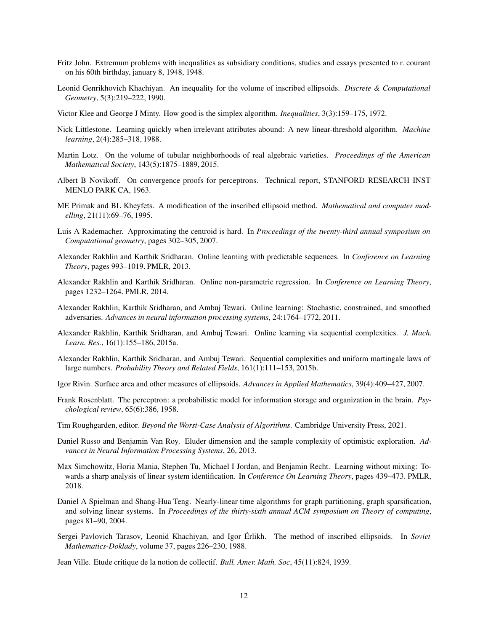- <span id="page-11-12"></span>Fritz John. Extremum problems with inequalities as subsidiary conditions, studies and essays presented to r. courant on his 60th birthday, january 8, 1948, 1948.
- <span id="page-11-15"></span>Leonid Genrikhovich Khachiyan. An inequality for the volume of inscribed ellipsoids. *Discrete & Computational Geometry*, 5(3):219–222, 1990.
- <span id="page-11-8"></span>Victor Klee and George J Minty. How good is the simplex algorithm. *Inequalities*, 3(3):159–175, 1972.
- <span id="page-11-0"></span>Nick Littlestone. Learning quickly when irrelevant attributes abound: A new linear-threshold algorithm. *Machine learning*, 2(4):285–318, 1988.
- <span id="page-11-18"></span>Martin Lotz. On the volume of tubular neighborhoods of real algebraic varieties. *Proceedings of the American Mathematical Society*, 143(5):1875–1889, 2015.
- <span id="page-11-11"></span>Albert B Novikoff. On convergence proofs for perceptrons. Technical report, STANFORD RESEARCH INST MENLO PARK CA, 1963.
- <span id="page-11-13"></span>ME Primak and BL Kheyfets. A modification of the inscribed ellipsoid method. *Mathematical and computer modelling*, 21(11):69–76, 1995.
- <span id="page-11-17"></span>Luis A Rademacher. Approximating the centroid is hard. In *Proceedings of the twenty-third annual symposium on Computational geometry*, pages 302–305, 2007.
- <span id="page-11-4"></span>Alexander Rakhlin and Karthik Sridharan. Online learning with predictable sequences. In *Conference on Learning Theory*, pages 993–1019. PMLR, 2013.
- <span id="page-11-6"></span>Alexander Rakhlin and Karthik Sridharan. Online non-parametric regression. In *Conference on Learning Theory*, pages 1232–1264. PMLR, 2014.
- <span id="page-11-1"></span>Alexander Rakhlin, Karthik Sridharan, and Ambuj Tewari. Online learning: Stochastic, constrained, and smoothed adversaries. *Advances in neural information processing systems*, 24:1764–1772, 2011.
- <span id="page-11-3"></span>Alexander Rakhlin, Karthik Sridharan, and Ambuj Tewari. Online learning via sequential complexities. *J. Mach. Learn. Res.*, 16(1):155–186, 2015a.
- <span id="page-11-5"></span>Alexander Rakhlin, Karthik Sridharan, and Ambuj Tewari. Sequential complexities and uniform martingale laws of large numbers. *Probability Theory and Related Fields*, 161(1):111–153, 2015b.
- <span id="page-11-16"></span>Igor Rivin. Surface area and other measures of ellipsoids. *Advances in Applied Mathematics*, 39(4):409–427, 2007.
- <span id="page-11-10"></span>Frank Rosenblatt. The perceptron: a probabilistic model for information storage and organization in the brain. *Psychological review*, 65(6):386, 1958.
- <span id="page-11-9"></span>Tim Roughgarden, editor. *Beyond the Worst-Case Analysis of Algorithms*. Cambridge University Press, 2021.
- <span id="page-11-20"></span>Daniel Russo and Benjamin Van Roy. Eluder dimension and the sample complexity of optimistic exploration. *Advances in Neural Information Processing Systems*, 26, 2013.
- <span id="page-11-19"></span>Max Simchowitz, Horia Mania, Stephen Tu, Michael I Jordan, and Benjamin Recht. Learning without mixing: Towards a sharp analysis of linear system identification. In *Conference On Learning Theory*, pages 439–473. PMLR, 2018.
- <span id="page-11-7"></span>Daniel A Spielman and Shang-Hua Teng. Nearly-linear time algorithms for graph partitioning, graph sparsification, and solving linear systems. In *Proceedings of the thirty-sixth annual ACM symposium on Theory of computing*, pages 81–90, 2004.
- <span id="page-11-14"></span>Sergei Pavlovich Tarasov, Leonid Khachiyan, and Igor Érlikh. The method of inscribed ellipsoids. In *Soviet Mathematics-Doklady*, volume 37, pages 226–230, 1988.

<span id="page-11-2"></span>Jean Ville. Etude critique de la notion de collectif. *Bull. Amer. Math. Soc*, 45(11):824, 1939.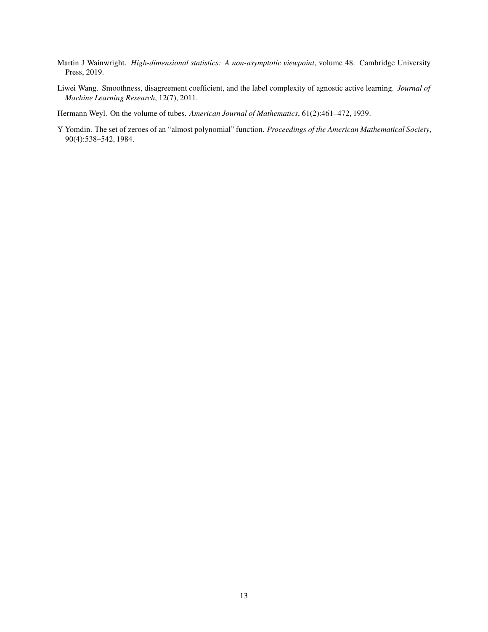- <span id="page-12-0"></span>Martin J Wainwright. *High-dimensional statistics: A non-asymptotic viewpoint*, volume 48. Cambridge University Press, 2019.
- <span id="page-12-1"></span>Liwei Wang. Smoothness, disagreement coefficient, and the label complexity of agnostic active learning. *Journal of Machine Learning Research*, 12(7), 2011.

<span id="page-12-2"></span>Hermann Weyl. On the volume of tubes. *American Journal of Mathematics*, 61(2):461–472, 1939.

<span id="page-12-3"></span>Y Yomdin. The set of zeroes of an "almost polynomial" function. *Proceedings of the American Mathematical Society*, 90(4):538–542, 1984.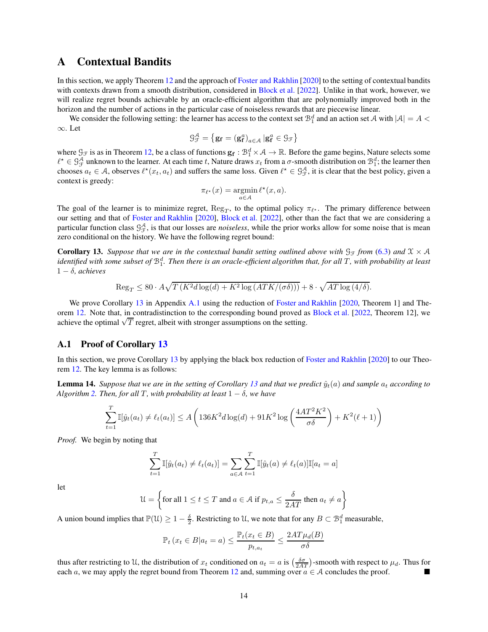## <span id="page-13-0"></span>A Contextual Bandits

In this section, we apply Theorem [12](#page-9-3) and the approach of [Foster and Rakhlin](#page-10-18) [\[2020\]](#page-10-18) to the setting of contextual bandits with contexts drawn from a smooth distribution, considered in [Block et al.](#page-10-2) [\[2022](#page-10-2)]. Unlike in that work, however, we will realize regret bounds achievable by an oracle-efficient algorithm that are polynomially improved both in the horizon and the number of actions in the particular case of noiseless rewards that are piecewise linear.

We consider the following setting: the learner has access to the context set  $\mathcal{B}_1^d$  and an action set A with  $|A| = A$ ∞. Let

$$
\mathcal{G}_{\mathcal{F}}^{\mathcal{A}} = \left\{ \mathbf{g}_{\mathbf{f}} = \left( \mathbf{g}_{\mathbf{f}}^{a} \right)_{a \in \mathcal{A}} \left| \mathbf{g}_{\mathbf{f}}^{a} \in \mathcal{G}_{\mathcal{F}} \right.\right\}
$$

where  $\mathcal{G}_{\mathcal{F}}$  is as in Theorem [12,](#page-9-3) be a class of functions  $\mathbf{g}_{\mathbf{f}} : \mathcal{B}_{1}^{d} \times \mathcal{A} \to \mathbb{R}$ . Before the game begins, Nature selects some  $\ell^* \in \mathcal{G}_{\mathcal{F}}^{\mathcal{A}}$  unknown to the learner. At each time t, Nature draws  $x_t$  from a  $\sigma$ -smooth distribution on  $\mathcal{B}_1^d$ ; the learner then chooses  $a_t \in A$ , observes  $\ell^*(x_t, a_t)$  and suffers the same loss. Given  $\ell^* \in \mathcal{G}_{\mathcal{F}}^{\mathcal{A}}$ , it is clear that the best policy, given a context is greedy:

$$
\pi_{\ell^\star}(x) = \operatornamewithlimits{argmin}_{a \in \mathcal{A}} \ell^\star(x, a).
$$

The goal of the learner is to minimize regret,  $\text{Reg}_T$ , to the optimal policy  $\pi_{\ell^*}$ . The primary difference between our setting and that of [Foster and Rakhlin](#page-10-18) [\[2020\]](#page-10-18), [Block et al.](#page-10-2) [\[2022\]](#page-10-2), other than the fact that we are considering a particular function class  $\mathcal{G}_{\mathcal{F}}^{\mathcal{A}}$ , is that our losses are *noiseless*, while the prior works allow for some noise that is mean zero conditional on the history. We have the following regret bound:

<span id="page-13-1"></span>**Corollary 13.** Suppose that we are in the contextual bandit setting outlined above with  $\mathcal{G}_{\mathcal{F}}$  *from* [\(6.3\)](#page-9-6) and  $\mathcal{X} \times \mathcal{A}$ identified with some subset of  $\mathcal{B}_1^d$ . Then there is an oracle-efficient algorithm that, for all T, with probability at least 1 − δ*, achieves*

$$
\operatorname{Reg}_T \le 80 \cdot A \sqrt{T \left( K^2 d \log(d) + K^2 \log\left( ATK/(\sigma \delta)\right) \right)} + 8 \cdot \sqrt{AT \log\left(4/\delta\right)}.
$$

We prove Corollary [13](#page-13-1) in Appendix [A.1](#page-13-2) using the reduction of [Foster and Rakhlin](#page-10-18) [\[2020](#page-10-18), Theorem 1] and The-orem [12.](#page-9-3) Note that, in contradistinction to the corresponding bound proved as [Block et al.](#page-10-2) [\[2022,](#page-10-2) Theorem 12], we achieve the optimal  $\sqrt{T}$  regret, albeit with stronger assumptions on the setting.

## <span id="page-13-2"></span>A.1 Proof of Corollary [13](#page-13-1)

In this section, we prove Corollary [13](#page-13-1) by applying the black box reduction of [Foster and Rakhlin](#page-10-18) [\[2020\]](#page-10-18) to our Theorem [12.](#page-9-3) The key lemma is as follows:

**Lemma 14.** Suppose that we are in the setting of Corollary [13](#page-13-1) and that we predict  $\hat{y}_t(a)$  and sample  $a_t$  according to *Algorithm* [2.](#page-14-0) *Then, for all T, with probability at least*  $1 - \delta$ *, we have* 

$$
\sum_{t=1}^{T} \mathbb{I}[\hat{y}_t(a_t) \neq \ell_t(a_t)] \leq A \left( 136K^2 d \log(d) + 91K^2 \log\left(\frac{4AT^2K^2}{\sigma \delta}\right) + K^2(\ell+1) \right)
$$

*Proof.* We begin by noting that

$$
\sum_{t=1}^{T} \mathbb{I}[\hat{y}_t(a_t) \neq \ell_t(a_t)] = \sum_{a \in \mathcal{A}} \sum_{t=1}^{T} \mathbb{I}[\hat{y}_t(a) \neq \ell_t(a)] \mathbb{I}[a_t = a]
$$

let

$$
\mathcal{U} = \left\{ \text{for all } 1 \le t \le T \text{ and } a \in \mathcal{A} \text{ if } p_{t,a} \le \frac{\delta}{2AT} \text{ then } a_t \neq a \right\}
$$

A union bound implies that  $\mathbb{P}(\mathcal{U}) \geq 1 - \frac{\delta}{2}$ . Restricting to U, we note that for any  $B \subset \mathcal{B}_1^d$  measurable,

$$
\mathbb{P}_{t} (x_{t} \in B | a_{t} = a) \le \frac{\mathbb{P}_{t}(x_{t} \in B)}{p_{t, a_{t}}} \le \frac{2AT\mu_{d}(B)}{\sigma\delta}
$$

thus after restricting to U, the distribution of  $x_t$  conditioned on  $a_t = a$  is  $\left(\frac{\delta \sigma}{2AT}\right)$ -smooth with respect to  $\mu_d$ . Thus for each a, we may apply the regret bound from Theorem [12](#page-9-3) and, summing over  $a \in A$  concludes the proof.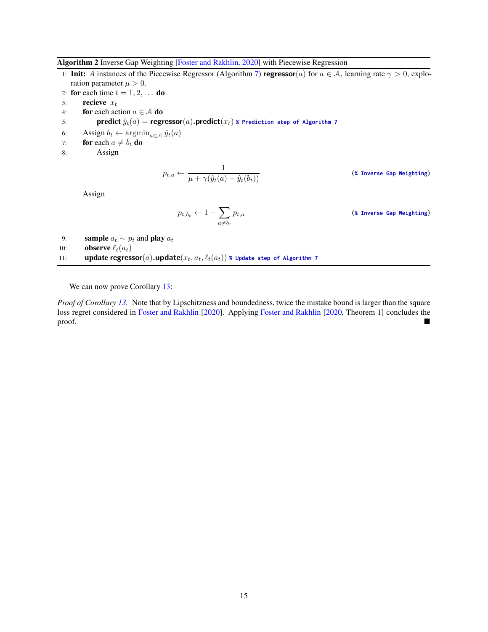Algorithm 2 Inverse Gap Weighting [\[Foster and Rakhlin,](#page-10-18) [2020\]](#page-10-18) with Piecewise Regression

1: Init: A instances of the Piecewise Regressor (Algorithm [7\)](#page-39-0) regressor(a) for  $a \in A$ , learning rate  $\gamma > 0$ , exploration parameter  $\mu > 0$ .

- 2: for each time  $t = 1, 2, \ldots$  do
- 3: recieve  $x_t$
- 4: **for** each action  $a \in A$  **do**<br>5: **predict**  $\hat{y}_t(a) = \text{regr}$
- $\textbf{predict}(\hat{y}_t(a) = \textbf{regressor}(a).\textbf{predict}(x_t) \times \textbf{Predict}(\textbf{on step of Algorithm 7})$  $\textbf{predict}(\hat{y}_t(a) = \textbf{regressor}(a).\textbf{predict}(x_t) \times \textbf{Predict}(\textbf{on step of Algorithm 7})$  $\textbf{predict}(\hat{y}_t(a) = \textbf{regressor}(a).\textbf{predict}(x_t) \times \textbf{Predict}(\textbf{on step of Algorithm 7})$
- 6: Assign  $b_t \leftarrow \operatorname{argmin}_{a \in \mathcal{A}} \hat{y}_t(a)$ <br>7: **for** each  $a \neq b_t$  **do**
- 7: **for** each  $a \neq b_t$  **do**<br>8: **Assign**
- Assign

$$
p_{t,a} \leftarrow \frac{1}{\mu + \gamma(\hat{y}_t(a) - \hat{y}_t(b_t))}
$$

 $\overline{f(t)}(x)$  (*%* Inverse Gap Weighting)

Assign

$$
p_{t,b_t} \leftarrow 1 - \sum_{a \neq b_t} p_{t,a} \tag{8 Inverse Gap Weighting}
$$

<span id="page-14-0"></span>9: **sample**  $a_t \sim p_t$  and **play**  $a_t$ <br>10: **observe**  $\ell_t(a_t)$ **observe**  $\ell_t(a_t)$ 11: **update regressor**(*a*).update( $x_t$ ,  $a_t$ ,  $\ell_t(a_t)$ ) **%** Update step of Algorithm [7](#page-39-0)

We can now prove Corollary [13:](#page-13-1)

*Proof of Corollary [13.](#page-13-1)* Note that by Lipschitzness and boundedness, twice the mistake bound is larger than the square loss regret considered in [Foster and Rakhlin](#page-10-18) [\[2020\]](#page-10-18). Applying [Foster and Rakhlin](#page-10-18) [\[2020](#page-10-18), Theorem 1] concludes the  $\blacksquare$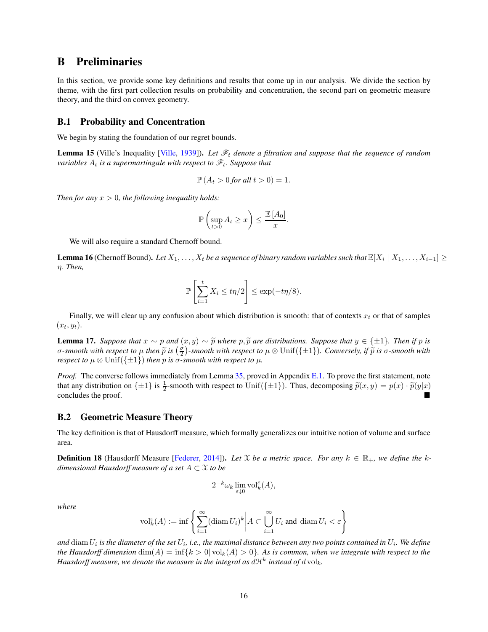## <span id="page-15-0"></span>B Preliminaries

In this section, we provide some key definitions and results that come up in our analysis. We divide the section by theme, with the first part collection results on probability and concentration, the second part on geometric measure theory, and the third on convex geometry.

#### <span id="page-15-1"></span>B.1 Probability and Concentration

<span id="page-15-4"></span>We begin by stating the foundation of our regret bounds.

Lemma 15 (Ville's Inequality [\[Ville,](#page-11-2) [1939\]](#page-11-2)). *Let*  $\mathcal{F}_t$  *denote a filtration and suppose that the sequence of random variables*  $A_t$  *is a supermartingale with respect to*  $\mathcal{F}_t$ *. Suppose that* 

$$
\mathbb{P}\left(A_t > 0 \text{ for all } t > 0\right) = 1.
$$

*Then for any*  $x > 0$ *, the following inequality holds:* 

$$
\mathbb{P}\left(\sup_{t>0} A_t \geq x\right) \leq \frac{\mathbb{E}\left[A_0\right]}{x}.
$$

<span id="page-15-5"></span>We will also require a standard Chernoff bound.

**Lemma 16** (Chernoff Bound). Let  $X_1, \ldots, X_t$  be a sequence of binary random variables such that  $\mathbb{E}[X_i \mid X_1, \ldots, X_{i-1}] \ge$ η*. Then,*

$$
\mathbb{P}\left[\sum_{i=1}^t X_i \le t\eta/2\right] \le \exp(-t\eta/8).
$$

Finally, we will clear up any confusion about which distribution is smooth: that of contexts  $x_t$  or that of samples  $(x_t, y_t)$ .

**Lemma 17.** *Suppose that*  $x \sim p$  *and*  $(x, y) \sim \tilde{p}$  *where*  $p, \tilde{p}$  *are distributions. Suppose that*  $y \in \{\pm 1\}$ *. Then if* p *is*  $\sigma$ -smooth with respect to μ then  $\tilde{p}$  is  $\left(\frac{\sigma}{2}\right)$ -smooth with respect to μ  $\otimes$  Unif({ $\pm 1$ })*. Conversely, if*  $\tilde{p}$  is  $\sigma$ -smooth with *respect to*  $\mu \otimes \text{Unif}(\{\pm 1\})$  *then* p *is*  $\sigma$ -smooth with respect to  $\mu$ .

*Proof.* The converse follows immediately from Lemma [35,](#page-26-1) proved in Appendix [E.1.](#page-25-1) To prove the first statement, note that any distribution on  $\{\pm 1\}$  is  $\frac{1}{2}$ -smooth with respect to Unif( $\{\pm 1\}$ ). Thus, decomposing  $\tilde{p}(x, y) = p(x) \cdot \tilde{p}(y|x)$ concludes the proof.

#### <span id="page-15-2"></span>B.2 Geometric Measure Theory

<span id="page-15-3"></span>The key definition is that of Hausdorff measure, which formally generalizes our intuitive notion of volume and surface area.

**Definition 18** (Hausdorff Measure [\[Federer,](#page-10-19) [2014\]](#page-10-19)). Let X be a metric space. For any  $k \in \mathbb{R}_+$ , we define the k*dimensional Hausdorff measure of a set* A ⊂ X *to be*

$$
2^{-k}\omega_k \lim_{\varepsilon \downarrow 0} \mathrm{vol}_k^{\varepsilon}(A),
$$

*where*

$$
\mathrm{vol}_k^{\varepsilon}(A) := \inf \left\{ \sum_{i=1}^{\infty} (\text{diam}\, U_i)^k \middle| A \subset \bigcup_{i=1}^{\infty} U_i \text{ and } \text{diam}\, U_i < \varepsilon \right\}
$$

and  $\dim U_i$  is the diameter of the set  $U_i$ , i.e., the maximal distance between any two points contained in  $U_i$ . We define *the Hausdorff dimension*  $\dim(A) = \inf\{k > 0 | \text{vol}_k(A) > 0\}$ . As is common, when we integrate with respect to the Hausdorff measure, we denote the measure in the integral as  $d\mathfrak{K}^k$  instead of  $d\,\mathrm{vol}_k$ .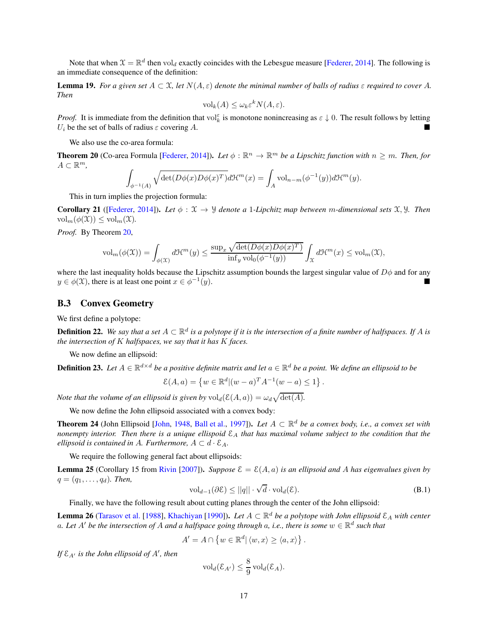Note that when  $\mathfrak{X} = \mathbb{R}^d$  then vol<sub>d</sub> exactly coincides with the Lebesgue measure [\[Federer,](#page-10-19) [2014\]](#page-10-19). The following is an immediate consequence of the definition:

**Lemma 19.** For a given set  $A \subset \mathcal{X}$ , let  $N(A, \varepsilon)$  denote the minimal number of balls of radius  $\varepsilon$  required to cover A. *Then*

$$
\text{vol}_k(A) \le \omega_k \varepsilon^k N(A, \varepsilon).
$$

*Proof.* It is immediate from the definition that  $\mathrm{vol}_k^{\varepsilon}$  is monotone nonincreasing as  $\varepsilon \downarrow 0$ . The result follows by letting  $U_i$  be the set of balls of radius  $\varepsilon$  covering A.

<span id="page-16-1"></span>We also use the co-area formula:

**Theorem 20** (Co-area Formula [\[Federer](#page-10-19), [2014](#page-10-19)]). Let  $\phi : \mathbb{R}^n \to \mathbb{R}^m$  be a Lipschitz function with  $n \geq m$ . Then, for  $A \subset \mathbb{R}^m$ ,  $\frac{m}{\cdot}$ ,

$$
\int_{\phi^{-1}(A)} \sqrt{\det(D\phi(x)D\phi(x)^T)} d\mathcal{H}^m(x) = \int_A \text{vol}_{n-m}(\phi^{-1}(y)) d\mathcal{H}^m(y).
$$

<span id="page-16-2"></span>This in turn implies the projection formula:

Corollary 21 ([\[Federer,](#page-10-19) [2014\]](#page-10-19)). *Let*  $\phi : \mathcal{X} \to \mathcal{Y}$  *denote a 1-Lipchitz map between m-dimensional sets*  $\mathcal{X}, \mathcal{Y}$ *. Then*  $vol_m(\phi(\mathfrak{X})) \leq vol_m(\mathfrak{X}).$ 

*Proof.* By Theorem [20,](#page-16-1)

$$
\text{vol}_{m}(\phi(\mathfrak{X})) = \int_{\phi(\mathfrak{X})} d\mathfrak{X}^{m}(y) \leq \frac{\sup_{x} \sqrt{\det(D\phi(x)D\phi(x)^{T})}}{\inf_{y} \text{vol}_{0}(\phi^{-1}(y))} \int_{\mathfrak{X}} d\mathfrak{X}^{m}(x) \leq \text{vol}_{m}(\mathfrak{X}),
$$

where the last inequality holds because the Lipschitz assumption bounds the largest singular value of  $D\phi$  and for any  $y \in \phi(\mathfrak{X})$ , there is at least one point  $x \in \phi^{-1}$  $(y).$ 

### <span id="page-16-0"></span>B.3 Convex Geometry

We first define a polytope:

**Definition 22.** We say that a set  $A \subset \mathbb{R}^d$  is a polytope if it is the intersection of a finite number of halfspaces. If A is *the intersection of* K *halfspaces, we say that it has* K *faces.*

We now define an ellipsoid:

**Definition 23.** Let  $A \in \mathbb{R}^{d \times d}$  be a positive definite matrix and let  $a \in \mathbb{R}^d$  be a point. We define an ellipsoid to be

$$
\mathcal{E}(A, a) = \{ w \in \mathbb{R}^d | (w - a)^T A^{-1} (w - a) \le 1 \}.
$$

*Note that the volume of an ellipsoid is given by*  $\text{vol}_d(\mathcal{E}(A, a)) = \omega_d \sqrt{\det(A)}$ *.* 

We now define the John ellipsoid associated with a convex body:

**Theorem 24** (John Ellipsoid [\[John](#page-11-12), [1948,](#page-11-12) [Ball et al.,](#page-10-13) [1997\]](#page-10-13)). *Let*  $A \subset \mathbb{R}^d$  *be a convex body, i.e., a convex set with nonempty interior. Then there is a unique ellispoid*  $\mathcal{E}_A$  *that has maximal volume subject to the condition that the ellipsoid is contained in A. Furthermore,*  $A \subset d \cdot \mathcal{E}_A$ .

<span id="page-16-3"></span>We require the following general fact about ellipsoids:

**Lemma 25** (Corollary 15 from [Rivin](#page-11-16) [\[2007\]](#page-11-16)). *Suppose*  $\mathcal{E} = \mathcal{E}(A, a)$  *is an ellipsoid and A has eigenvalues given by*  $q = (q_1, \ldots, q_d)$ *. Then,* 

$$
\text{vol}_{d-1}(\partial \mathcal{E}) \le ||q|| \cdot \sqrt{d} \cdot \text{vol}_d(\mathcal{E}).\tag{B.1}
$$

Finally, we have the following result about cutting planes through the center of the John ellipsoid:

<span id="page-16-4"></span>**Lemma 26** [\(Tarasov et al.](#page-11-14) [\[1988](#page-11-14)], [Khachiyan](#page-11-15) [\[1990\]](#page-11-15)). *Let*  $A \subset \mathbb{R}^d$  *be a polytope with John ellipsoid*  $\mathcal{E}_A$  *with center* a. Let  $A'$  be the intersection of A and a halfspace going through a, i.e., there is some  $w \in \mathbb{R}^d$  such that

$$
A' = A \cap \left\{ w \in \mathbb{R}^d \vert \langle w, x \rangle \ge \langle a, x \rangle \right\}.
$$

*If* EA′ *is the John ellipsoid of* A′ *, then*

$$
\mathrm{vol}_d(\mathcal{E}_{A'}) \leq \frac{8}{9} \mathrm{vol}_d(\mathcal{E}_A).
$$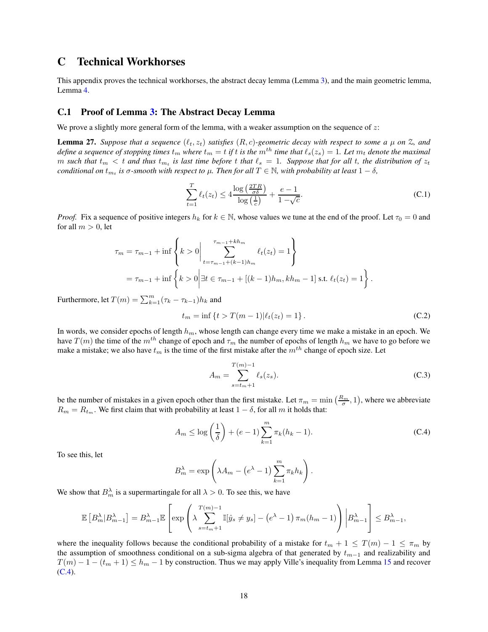## <span id="page-17-0"></span>C Technical Workhorses

This appendix proves the technical workhorses, the abstract decay lemma (Lemma [3\)](#page-4-2), and the main geometric lemma, Lemma [4.](#page-5-1)

### <span id="page-17-1"></span>C.1 Proof of Lemma [3:](#page-4-2) The Abstract Decay Lemma

<span id="page-17-4"></span>We prove a slightly more general form of the lemma, with a weaker assumption on the sequence of  $z$ :

**Lemma 27.** Suppose that a sequence  $(\ell_t, z_t)$  satisfies  $(R, c)$ -geometric decay with respect to some a  $\mu$  on  $\mathbb{Z}$ , and *define a sequence of stopping times*  $t_m$  *where*  $t_m = t$  *if* t *is the*  $m$ <sup>th</sup> time that  $\ell_s(z_s) = 1$ *. Let*  $m_t$  *denote the maximal*  $m$  such that  $t_m < t$  and thus  $t_{m_t}$  is last time before  $t$  that  $\ell_s = 1$ . Suppose that for all  $t$ , the distribution of  $z_t$ *conditional on*  $t_{m_t}$  *is*  $\sigma$ -smooth with respect to  $\mu$ . Then for all  $T \in \mathbb{N}$ *, with probability at least*  $1 - \delta$ *,* 

$$
\sum_{t=1}^{T} \ell_t(z_t) \le 4 \frac{\log\left(\frac{2TR}{\sigma \delta}\right)}{\log\left(\frac{1}{c}\right)} + \frac{e-1}{1-\sqrt{c}}.\tag{C.1}
$$

*Proof.* Fix a sequence of positive integers  $h_k$  for  $k \in \mathbb{N}$ , whose values we tune at the end of the proof. Let  $\tau_0 = 0$  and for all  $m > 0$ , let

$$
\tau_m = \tau_{m-1} + \inf \left\{ k > 0 \middle| \sum_{t=\tau_{m-1}+(k-1)h_m}^{\tau_{m-1}+kh_m} \ell_t(z_t) = 1 \right\}
$$
  
=  $\tau_{m-1} + \inf \left\{ k > 0 \middle| \exists t \in \tau_{m-1} + [(k-1)h_m, kh_m - 1] \text{ s.t. } \ell_t(z_t) = 1 \right\}.$ 

Furthermore, let  $T(m) = \sum_{k=1}^{m} (\tau_k - \tau_{k-1}) h_k$  and

$$
t_m = \inf \{ t > T(m-1) | \ell_t(z_t) = 1 \}.
$$
 (C.2)

In words, we consider epochs of length  $h_m$ , whose length can change every time we make a mistake in an epoch. We have  $T(m)$  the time of the  $m<sup>th</sup>$  change of epoch and  $\tau_m$  the number of epochs of length  $h_m$  we have to go before we make a mistake; we also have  $t_m$  is the time of the first mistake after the  $m^{th}$  change of epoch size. Let

<span id="page-17-2"></span>
$$
A_m = \sum_{s=t_m+1}^{T(m)-1} \ell_s(z_s).
$$
 (C.3)

be the number of mistakes in a given epoch other than the first mistake. Let  $\pi_m = \min\left(\frac{R_m}{\sigma}, 1\right)$ , where we abbreviate  $R_m = R_{t_m}$ . We first claim that with probability at least  $1 - \delta$ , for all m it holds that:

$$
A_m \le \log\left(\frac{1}{\delta}\right) + (e - 1) \sum_{k=1}^{m} \pi_k (h_k - 1).
$$
 (C.4)

To see this, let

$$
B_m^{\lambda} = \exp\left(\lambda A_m - (e^{\lambda} - 1) \sum_{k=1}^m \pi_k h_k\right).
$$

We show that  $B_m^{\lambda}$  is a supermartingale for all  $\lambda > 0$ . To see this, we have

$$
\mathbb{E}\left[B_m^{\lambda}|B_{m-1}^{\lambda}\right] = B_{m-1}^{\lambda}\mathbb{E}\left[\exp\left(\lambda \sum_{s=t_m+1}^{T(m)-1} \mathbb{I}[\hat{y}_s \neq y_s] - \left(e^{\lambda}-1\right)\pi_m(h_m-1)\right)\bigg|B_{m-1}^{\lambda}\right] \leq B_{m-1}^{\lambda},
$$

<span id="page-17-3"></span>where the inequality follows because the conditional probability of a mistake for  $t_m + 1 \leq T(m) - 1 \leq \pi_m$  by the assumption of smoothness conditional on a sub-sigma algebra of that generated by  $t_{m-1}$  and realizability and  $T(m) - 1 - (t_m + 1) \le h_m - 1$  by construction. Thus we may apply Ville's inequality from Lemma [15](#page-15-4) and recover  $(C.4)$ .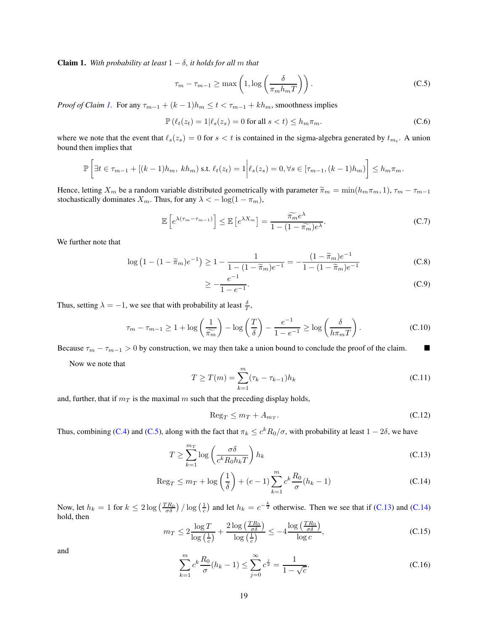**Claim 1.** With probability at least  $1 - \delta$ , it holds for all m that

<span id="page-18-0"></span>
$$
\tau_m - \tau_{m-1} \ge \max\left(1, \log\left(\frac{\delta}{\pi_m h_m T}\right)\right). \tag{C.5}
$$

*Proof of Claim [1.](#page-17-3)* For any  $\tau_{m-1} + (k-1)h_m \leq t < \tau_{m-1} + kh_m$ , smoothness implies

$$
\mathbb{P}\left(\ell_t(z_t) = 1 | \ell_s(z_s) = 0 \text{ for all } s < t\right) \le h_m \pi_m. \tag{C.6}
$$

where we note that the event that  $\ell_s(z_s) = 0$  for  $s < t$  is contained in the sigma-algebra generated by  $t_{m_t}$ . A union bound then implies that

$$
\mathbb{P}\left[\exists t \in \tau_{m-1} + [(k-1)h_m, kh_m) \text{ s.t. } \ell_t(z_t) = 1 \middle| \ell_s(z_s) = 0, \forall s \in [\tau_{m-1}, (k-1)h_m) \right] \le h_m \pi_m.
$$

Hence, letting  $X_m$  be a random variable distributed geometrically with parameter  $\tilde{\pi}_m = \min(h_m \pi_m, 1), \tau_m - \tau_{m-1}$ stochastically dominates  $X_m$ . Thus, for any  $\lambda < -\log(1 - \pi_m)$ ,

$$
\mathbb{E}\left[e^{\lambda(\tau_m-\tau_{m-1})}\right] \leq \mathbb{E}\left[e^{\lambda X_m}\right] = \frac{\widetilde{\pi_m}e^{\lambda}}{1-(1-\widetilde{\pi_m})e^{\lambda}}.\tag{C.7}
$$

We further note that

$$
\log (1 - (1 - \widetilde{\pi}_m)e^{-1}) \ge 1 - \frac{1}{1 - (1 - \widetilde{\pi}_m)e^{-1}} = -\frac{(1 - \widetilde{\pi}_m)e^{-1}}{1 - (1 - \widetilde{\pi}_m)e^{-1}}
$$
(C.8)

$$
\geq -\frac{e^{-1}}{1 - e^{-1}}.\tag{C.9}
$$

Thus, setting  $\lambda = -1$ , we see that with probability at least  $\frac{\delta}{T}$ ,

$$
\tau_m - \tau_{m-1} \ge 1 + \log\left(\frac{1}{\widetilde{\pi_m}}\right) - \log\left(\frac{T}{\delta}\right) - \frac{e^{-1}}{1 - e^{-1}} \ge \log\left(\frac{\delta}{h\pi_m T}\right). \tag{C.10}
$$

Because  $\tau_m - \tau_{m-1} > 0$  by construction, we may then take a union bound to conclude the proof of the claim.

Now we note that

$$
T \ge T(m) = \sum_{k=1}^{m} (\tau_k - \tau_{k-1}) h_k
$$
\n(C.11)

and, further, that if  $m<sub>T</sub>$  is the maximal m such that the preceding display holds,

<span id="page-18-2"></span><span id="page-18-1"></span>
$$
\text{Reg}_T \le m_T + A_{m_T}.\tag{C.12}
$$

Thus, combining [\(C.4\)](#page-17-2) and [\(C.5\)](#page-18-0), along with the fact that  $\pi_k \leq c^k R_0/\sigma$ , with probability at least  $1-2\delta$ , we have

$$
T \ge \sum_{k=1}^{m_T} \log \left( \frac{\sigma \delta}{c^k R_0 h_k T} \right) h_k \tag{C.13}
$$

$$
\operatorname{Reg}_T \le m_T + \log\left(\frac{1}{\delta}\right) + (e - 1) \sum_{k=1}^m c^k \frac{R_0}{\sigma} (h_k - 1)
$$
\n(C.14)

Now, let  $h_k = 1$  for  $k \le 2 \log \left( \frac{TR_0}{\sigma \delta} \right) / \log \left( \frac{1}{c} \right)$  and let  $h_k = c^{-\frac{k}{2}}$  otherwise. Then we see that if [\(C.13\)](#page-18-1) and [\(C.14\)](#page-18-2) hold, then

$$
m_T \le 2 \frac{\log T}{\log \left(\frac{1}{c}\right)} + \frac{2 \log \left(\frac{TR_0}{\sigma \delta}\right)}{\log \left(\frac{1}{c}\right)} \le -4 \frac{\log \left(\frac{TR_0}{\sigma \delta}\right)}{\log c},\tag{C.15}
$$

and

$$
\sum_{k=1}^{m} c^{k} \frac{R_{0}}{\sigma} (h_{k} - 1) \le \sum_{j=0}^{\infty} c^{j} = \frac{1}{1 - \sqrt{c}}.
$$
 (C.16)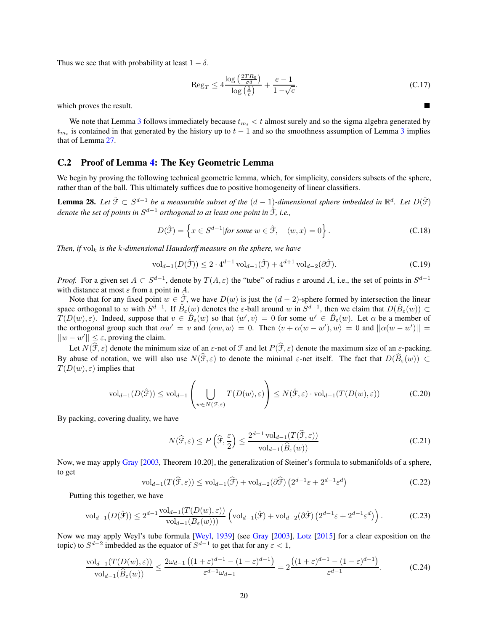Thus we see that with probability at least  $1 - \delta$ .

$$
\operatorname{Reg}_{T} \le 4 \frac{\log \left( \frac{2TR_0}{\sigma \delta} \right)}{\log \left( \frac{1}{c} \right)} + \frac{e - 1}{1 - \sqrt{c}}.
$$
\n(C.17)

which proves the result.

We note that Lemma [3](#page-4-2) follows immediately because  $t_{m_t} < t$  almost surely and so the sigma algebra generated by  $t_{m_t}$  is contained in that generated by the history up to  $t - 1$  and so the smoothness assumption of Lemma [3](#page-4-2) implies that of Lemma [27.](#page-17-4)

## <span id="page-19-0"></span>C.2 Proof of Lemma [4:](#page-5-1) The Key Geometric Lemma

<span id="page-19-1"></span>We begin by proving the following technical geometric lemma, which, for simplicity, considers subsets of the sphere, rather than of the ball. This ultimately suffices due to positive homogeneity of linear classifiers.

**Lemma 28.** Let  $\hat{\mathcal{F}}$  ⊂  $S^{d-1}$  be a measurable subset of the  $(d-1)$ -dimensional sphere imbedded in  $\mathbb{R}^d$ . Let  $D(\hat{\mathcal{F}})$ denote the set of points in  $S^{d-1}$  orthogonal to at least one point in  $\hat{\mathfrak{F}}$ , i.e.,

$$
D(\hat{\mathcal{F}}) = \left\{ x \in S^{d-1} | \text{for some } w \in \hat{\mathcal{F}}, \quad \langle w, x \rangle = 0 \right\}.
$$
 (C.18)

*Then, if*  $vol_k$  *is the k-dimensional Hausdorff measure on the sphere, we have* 

$$
\text{vol}_{d-1}(D(\hat{\mathcal{F}})) \le 2 \cdot 4^{d-1} \text{ vol}_{d-1}(\hat{\mathcal{F}}) + 4^{d+1} \text{ vol}_{d-2}(\partial \hat{\mathcal{F}}). \tag{C.19}
$$

*Proof.* For a given set  $A \subset S^{d-1}$ , denote by  $T(A, \varepsilon)$  the "tube" of radius  $\varepsilon$  around A, i.e., the set of points in  $S^{d-1}$ with distance at most  $\varepsilon$  from a point in A.

Note that for any fixed point  $w \in \hat{\mathcal{F}}$ , we have  $D(w)$  is just the  $(d-2)$ -sphere formed by intersection the linear space orthogonal to w with  $S^{d-1}$ . If  $\hat{B}_{\varepsilon}(w)$  denotes the  $\varepsilon$ -ball around w in  $S^{d-1}$ , then we claim that  $D(\hat{B}_{\varepsilon}(w)) \subset$  $T(D(w), \varepsilon)$ . Indeed, suppose that  $v \in \hat{B}_{\varepsilon}(w)$  so that  $\langle w', v \rangle = 0$  for some  $w' \in \hat{B}_{\varepsilon}(w)$ . Let  $\alpha$  be a member of the orthogonal group such that  $\alpha w' = v$  and  $\langle \alpha w, w \rangle = 0$ . Then  $\langle v + \alpha (w - w'), w \rangle = 0$  and  $||\alpha (w - w')|| =$  $||w - w'|| \leq \varepsilon$ , proving the claim.

Let  $N(\hat{\mathcal{F}}, \varepsilon)$  denote the minimum size of an  $\varepsilon$ -net of  $\mathcal F$  and let  $P(\hat{\mathcal{F}}, \varepsilon)$  denote the maximum size of an  $\varepsilon$ -packing. By abuse of notation, we will also use  $N(\hat{\mathcal{F}}, \varepsilon)$  to denote the minimal  $\varepsilon$ -net itself. The fact that  $D(\hat{B}_{\varepsilon}(w)) \subset$  $T(D(w), \varepsilon)$  implies that

$$
\mathrm{vol}_{d-1}(D(\hat{\mathcal{F}})) \le \mathrm{vol}_{d-1}\left(\bigcup_{w \in N(\mathcal{F}, \varepsilon)} T(D(w), \varepsilon)\right) \le N(\hat{\mathcal{F}}, \varepsilon) \cdot \mathrm{vol}_{d-1}(T(D(w), \varepsilon))\tag{C.20}
$$

By packing, covering duality, we have

$$
N(\widehat{\mathcal{F}}, \varepsilon) \le P\left(\widehat{\mathcal{F}}, \frac{\varepsilon}{2}\right) \le \frac{2^{d-1} \operatorname{vol}_{d-1}(T(\widehat{\mathcal{F}}, \varepsilon))}{\operatorname{vol}_{d-1}(\widehat{B}_{\varepsilon}(w))} \tag{C.21}
$$

Now, we may apply [Gray](#page-10-15) [\[2003,](#page-10-15) Theorem 10.20], the generalization of Steiner's formula to submanifolds of a sphere, to get

$$
\text{vol}_{d-1}(T(\widehat{\mathcal{F}}, \varepsilon)) \le \text{vol}_{d-1}(\widehat{\mathcal{F}}) + \text{vol}_{d-2}(\partial \widehat{\mathcal{F}}) \left(2^{d-1}\varepsilon + 2^{d-1}\varepsilon^d\right) \tag{C.22}
$$

Putting this together, we have

$$
\text{vol}_{d-1}(D(\hat{\mathcal{F}})) \le 2^{d-1} \frac{\text{vol}_{d-1}(T(D(w), \varepsilon))}{\text{vol}_{d-1}(B_{\varepsilon}(w)))} \left(\text{vol}_{d-1}(\hat{\mathcal{F}}) + \text{vol}_{d-2}(\partial \hat{\mathcal{F}}) \left(2^{d-1}\varepsilon + 2^{d-1}\varepsilon^d\right)\right). \tag{C.23}
$$

Now we may apply Weyl's tube formula [\[Weyl](#page-12-2), [1939](#page-12-2)] (see [Gray](#page-10-15) [\[2003\]](#page-10-15), [Lotz](#page-11-18) [\[2015\]](#page-11-18) for a clear exposition on the topic) to  $S^{d-2}$  imbedded as the equator of  $S^{d-1}$  to get that for any  $\varepsilon < 1$ ,

$$
\frac{\text{vol}_{d-1}(T(D(w),\varepsilon))}{\text{vol}_{d-1}(\widehat{B}_{\varepsilon}(w))} \le \frac{2\omega_{d-1}\left((1+\varepsilon)^{d-1} - (1-\varepsilon)^{d-1}\right)}{\varepsilon^{d-1}\omega_{d-1}} = 2\frac{\left((1+\varepsilon)^{d-1} - (1-\varepsilon)^{d-1}\right)}{\varepsilon^{d-1}}.
$$
 (C.24)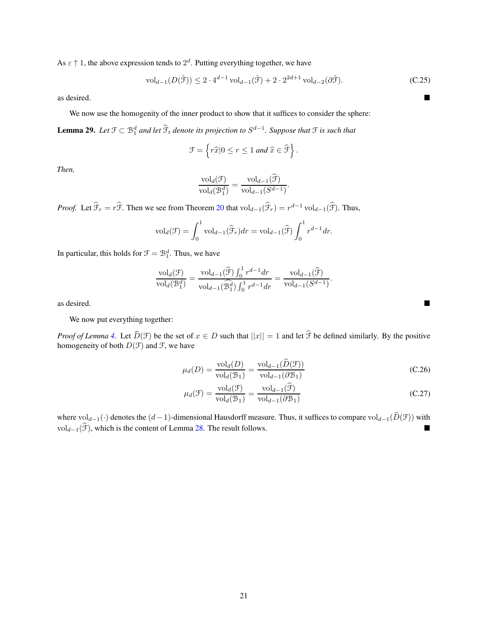As  $\varepsilon \uparrow 1$ , the above expression tends to  $2^d$ . Putting everything together, we have

$$
\text{vol}_{d-1}(D(\hat{\mathcal{F}})) \le 2 \cdot 4^{d-1} \text{ vol}_{d-1}(\hat{\mathcal{F}}) + 2 \cdot 2^{2d+1} \text{ vol}_{d-2}(\partial \hat{\mathcal{F}}). \tag{C.25}
$$

.

as desired.

We now use the homogenity of the inner product to show that it suffices to consider the sphere:

**Lemma 29.** Let  $\mathfrak{F} \subset \mathcal{B}_1^d$  and let  $\widehat{\mathcal{F}}_t$  denote its projection to  $S^{d-1}$ . Suppose that  $\mathfrak{F}$  is such that

$$
\mathcal{F} = \left\{ r\widehat{x}|0 \le r \le 1 \text{ and } \widehat{x} \in \widehat{\mathcal{F}} \right\}.
$$

*Then,*

$$
\frac{\mathrm{vol}_d(\mathcal{F})}{\mathrm{vol}_d(\mathcal{B}_1^d)} = \frac{\mathrm{vol}_{d-1}(\widehat{\mathcal{F}})}{\mathrm{vol}_{d-1}(S^{d-1})}
$$

*Proof.* Let  $\hat{\mathcal{F}}_r = r\hat{\mathcal{F}}$ . Then we see from Theorem [20](#page-16-1) that  $\text{vol}_{d-1}(\hat{\mathcal{F}}_r) = r^{d-1} \text{vol}_{d-1}(\hat{\mathcal{F}})$ . Thus,

$$
\mathrm{vol}_d(\mathcal{F})=\int_0^1\mathrm{vol}_{d-1}(\widehat{\mathcal{F}}_r)dr=\mathrm{vol}_{d-1}(\widehat{\mathcal{F}})\int_0^1r^{d-1}dr.
$$

In particular, this holds for  $\mathcal{F} = \mathcal{B}_1^d$ . Thus, we have

$$
\frac{\mathrm{vol}_d(\mathcal{F})}{\mathrm{vol}_d(\mathcal{B}_1^d)} = \frac{\mathrm{vol}_{d-1}(\widehat{\mathcal{F}}) \int_0^1 r^{d-1} dr}{\mathrm{vol}_{d-1}(\widehat{\mathcal{B}_1^d}) \int_0^1 r^{d-1} dr} = \frac{\mathrm{vol}_{d-1}(\widehat{\mathcal{F}})}{\mathrm{vol}_{d-1}(S^{d-1})}.
$$

as desired.

We now put everything together:

*Proof of Lemma* [4.](#page-5-1) Let  $\widehat{D}(\mathcal{F})$  be the set of  $x \in D$  such that  $||x|| = 1$  and let  $\widehat{\mathcal{F}}$  be defined similarly. By the positive homogeneity of both  $D(\mathcal{F})$  and  $\mathcal{F}$ , we have

$$
\mu_d(D) = \frac{\text{vol}_d(D)}{\text{vol}_d(\mathcal{B}_1)} = \frac{\text{vol}_{d-1}(\widehat{D}(\mathcal{F}))}{\text{vol}_{d-1}(\partial \mathcal{B}_1)}
$$
(C.26)

$$
\mu_d(\mathcal{F}) = \frac{\text{vol}_d(\mathcal{F})}{\text{vol}_d(\mathcal{B}_1)} = \frac{\text{vol}_{d-1}(\mathcal{F})}{\text{vol}_{d-1}(\partial \mathcal{B}_1)}
$$
(C.27)

where vol<sub>d−1</sub>(·) denotes the  $(d-1)$ -dimensional Hausdorff measure. Thus, it suffices to compare vol<sub>d−1</sub>( $\widehat{D}(\mathcal{F})$ ) with vol<sub>d−1</sub>( $\widehat{\mathcal{F}}$ ), which is the content of Lemma [28.](#page-19-1) The result follows.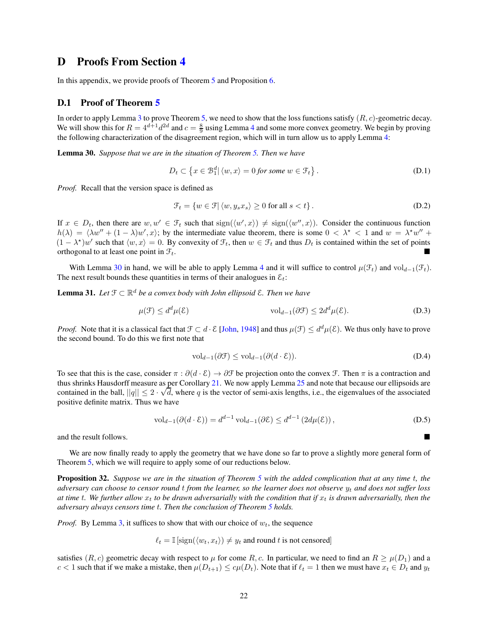## <span id="page-21-0"></span>D Proofs From Section [4](#page-6-0)

In this appendix, we provide proofs of Theorem [5](#page-6-1) and Proposition [6.](#page-7-3)

### <span id="page-21-1"></span>D.1 Proof of Theorem [5](#page-6-1)

In order to apply Lemma [3](#page-4-2) to prove Theorem [5,](#page-6-1) we need to show that the loss functions satisfy  $(R, c)$ -geometric decay. We will show this for  $R = 4^{d+1}d^{2d}$  $R = 4^{d+1}d^{2d}$  $R = 4^{d+1}d^{2d}$  and  $c = \frac{8}{9}$  using Lemma 4 and some more convex geometry. We begin by proving the following characterization of the disagreement region, which will in turn allow us to apply Lemma [4:](#page-5-1)

<span id="page-21-2"></span>Lemma 30. *Suppose that we are in the situation of Theorem [5.](#page-6-1) Then we have*

$$
D_t \subset \left\{ x \in \mathcal{B}_1^d \middle| \langle w, x \rangle = 0 \text{ for some } w \in \mathcal{F}_t \right\}. \tag{D.1}
$$

*Proof.* Recall that the version space is defined as

$$
\mathcal{F}_t = \{ w \in \mathcal{F} | \langle w, y_s x_s \rangle \ge 0 \text{ for all } s < t \}. \tag{D.2}
$$

If  $x \in D_t$ , then there are  $w, w' \in \mathcal{F}_t$  such that  $sign(\langle w', x \rangle) \neq sign(\langle w'', x \rangle)$ . Consider the continuous function  $h(\lambda) = \langle \lambda w'' + (1 - \lambda) w', x \rangle$ ; by the intermediate value theorem, there is some  $0 < \lambda^* < 1$  and  $w = \lambda^* w'' +$  $(1 - \lambda^*)w'$  such that  $\langle w, x \rangle = 0$ . By convexity of  $\mathcal{F}_t$ , then  $w \in \mathcal{F}_t$  and thus  $D_t$  is contained within the set of points orthogonal to at least one point in  $\mathcal{F}_t$ .

<span id="page-21-3"></span>With Lemma [30](#page-21-2) in hand, we will be able to apply Lemma [4](#page-5-1) and it will suffice to control  $\mu(\mathcal{F}_t)$  and  $\mathrm{vol}_{d-1}(\mathcal{F}_t)$ . The next result bounds these quantities in terms of their analogues in  $\mathcal{E}_t$ :

Lemma 31. *Let* <sup>F</sup> <sup>⊂</sup> <sup>R</sup> <sup>d</sup> *be a convex body with John ellipsoid* E*. Then we have*

$$
\mu(\mathcal{F}) \le d^d \mu(\mathcal{E}) \qquad \text{vol}_{d-1}(\partial \mathcal{F}) \le 2d^d \mu(\mathcal{E}). \tag{D.3}
$$

*Proof.* Note that it is a classical fact that  $\mathcal{F} \subset d \cdot \mathcal{E}$  [\[John](#page-11-12), [1948\]](#page-11-12) and thus  $\mu(\mathcal{F}) \leq d^d \mu(\mathcal{E})$ . We thus only have to prove the second bound. To do this we first note that

$$
\text{vol}_{d-1}(\partial \mathcal{F}) \le \text{vol}_{d-1}(\partial (d \cdot \mathcal{E})).\tag{D.4}
$$

To see that this is the case, consider  $\pi : \partial (d \cdot \mathcal{E}) \to \partial \mathcal{F}$  be projection onto the convex  $\mathcal{F}$ . Then  $\pi$  is a contraction and thus shrinks Hausdorff measure as per Corollary [21.](#page-16-2) We now apply Lemma [25](#page-16-3) and note that because our ellipsoids are contained in the ball,  $||q|| \leq 2 \cdot \sqrt{d}$ , where q is the vector of semi-axis lengths, i.e., the eigenvalues of the associated positive definite matrix. Thus we have

$$
\text{vol}_{d-1}(\partial(d \cdot \mathcal{E})) = d^{d-1} \text{ vol}_{d-1}(\partial \mathcal{E}) \le d^{d-1} \left(2d\mu(\mathcal{E})\right),\tag{D.5}
$$

and the result follows.

<span id="page-21-4"></span>We are now finally ready to apply the geometry that we have done so far to prove a slightly more general form of Theorem [5,](#page-6-1) which we will require to apply some of our reductions below.

Proposition 32. *Suppose we are in the situation of Theorem [5](#page-6-1) with the added complication that at any time* t*, the adversary can choose to censor round t from the learner, so the learner does not observe*  $y_t$  *and does not suffer loss* at time t. We further allow  $x_t$  to be drawn adversarially with the condition that if  $x_t$  is drawn adversarially, then the *adversary always censors time* t*. Then the conclusion of Theorem [5](#page-6-1) holds.*

*Proof.* By Lemma [3,](#page-4-2) it suffices to show that with our choice of  $w_t$ , the sequence

$$
\ell_t = \mathbb{I}\left[\text{sign}(\langle w_t, x_t\rangle) \neq y_t \text{ and round } t \text{ is not censored}\right]
$$

satisfies  $(R, c)$  geometric decay with respect to  $\mu$  for come R, c. In particular, we need to find an  $R \geq \mu(D_1)$  and a  $c < 1$  such that if we make a mistake, then  $\mu(D_{t+1}) \leq c\mu(D_t)$ . Note that if  $\ell_t = 1$  then we must have  $x_t \in D_t$  and  $y_t$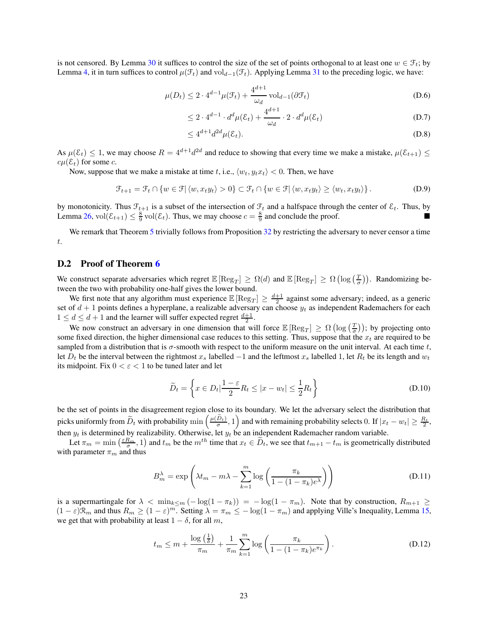is not censored. By Lemma [30](#page-21-2) it suffices to control the size of the set of points orthogonal to at least one  $w \in \mathcal{F}_t$ ; by Lemma [4,](#page-5-1) it in turn suffices to control  $\mu(\mathcal{F}_t)$  and vold<sub>q</sub>-1( $\mathcal{F}_t$ ). Applying Lemma [31](#page-21-3) to the preceding logic, we have:

$$
\mu(D_t) \le 2 \cdot 4^{d-1} \mu(\mathcal{F}_t) + \frac{4^{d+1}}{\omega_d} \operatorname{vol}_{d-1}(\partial \mathcal{F}_t)
$$
\n(D.6)

$$
\leq 2 \cdot 4^{d-1} \cdot d^d \mu(\mathcal{E}_t) + \frac{4^{d+1}}{\omega_d} \cdot 2 \cdot d^d \mu(\mathcal{E}_t)
$$
\n(D.7)

$$
\leq 4^{d+1}d^{2d}\mu(\mathcal{E}_t). \tag{D.8}
$$

As  $\mu(\mathcal{E}_t) \leq 1$ , we may choose  $R = 4^{d+1}d^{2d}$  and reduce to showing that every time we make a mistake,  $\mu(\mathcal{E}_{t+1}) \leq$  $c\mu(\mathcal{E}_t)$  for some c.

Now, suppose that we make a mistake at time t, i.e.,  $\langle w_t, y_t x_t \rangle < 0$ . Then, we have

$$
\mathcal{F}_{t+1} = \mathcal{F}_t \cap \{w \in \mathcal{F} | \langle w, x_t y_t \rangle > 0\} \subset \mathcal{F}_t \cap \{w \in \mathcal{F} | \langle w, x_t y_t \rangle \ge \langle w_t, x_t y_t \rangle\}.
$$
 (D.9)

by monotonicity. Thus  $\mathcal{F}_{t+1}$  is a subset of the intersection of  $\mathcal{F}_t$  and a halfspace through the center of  $\mathcal{E}_t$ . Thus, by Lemma [26,](#page-16-4) vol $(\mathcal{E}_{t+1}) \leq \frac{8}{9}$  vol $(\mathcal{E}_t)$ . Thus, we may choose  $c = \frac{8}{9}$  and conclude the proof.

We remark that Theorem [5](#page-6-1) trivially follows from Proposition [32](#page-21-4) by restricting the adversary to never censor a time t.

### <span id="page-22-0"></span>D.2 Proof of Theorem [6](#page-7-3)

We construct separate adversaries which regret  $\mathbb{E}[\text{Reg}_T] \ge \Omega(d)$  and  $\mathbb{E}[\text{Reg}_T] \ge \Omega(\log(\frac{T}{\sigma}))$ . Randomizing between the two with probability one-half gives the lower bound.

We first note that any algorithm must experience  $\mathbb{E}[\text{Reg}_T] \geq \frac{d+1}{2}$  against some adversary; indeed, as a generic set of  $d + 1$  points defines a hyperplane, a realizable adversary can choose  $y_t$  as independent Rademachers for each  $1 \leq d \leq d+1$  and the learner will suffer expected regret  $\frac{d+1}{2}$ .

We now construct an adversary in one dimension that will force  $\mathbb{E}[\text{Reg}_T] \ge \Omega(\log(\frac{T}{\sigma}))$ ; by projecting onto some fixed direction, the higher dimensional case reduces to this setting. Thus, suppose that the  $x_t$  are required to be sampled from a distribution that is  $\sigma$ -smooth with respect to the uniform measure on the unit interval. At each time t, let  $D_t$  be the interval between the rightmost  $x_s$  labelled  $-1$  and the leftmost  $x_s$  labelled 1, let  $R_t$  be its length and  $w_t$ its midpoint. Fix  $0 < \varepsilon < 1$  to be tuned later and let

$$
\widetilde{D}_t = \left\{ x \in D_t | \frac{1 - \varepsilon}{2} R_t \le |x - w_t| \le \frac{1}{2} R_t \right\}
$$
\n(D.10)

be the set of points in the disagreement region close to its boundary. We let the adversary select the distribution that picks uniformly from  $\widetilde{D}_t$  with probability  $\min\left(\frac{\mu(\widetilde{D}_t)}{\sigma},1\right)$  and with remaining probability selects 0. If  $|x_t - w_t| \geq \frac{R_t}{2}$ , then  $y_t$  is determined by realizability. Otherwise, let  $y_t$  be an independent Rademacher random variable.

Let  $\pi_m = \min\left(\frac{\varepsilon R_m}{\sigma}, 1\right)$  and  $t_m$  be the  $m^{th}$  time that  $x_t \in \tilde{D}_t$ , we see that  $t_{m+1} - t_m$  is geometrically distributed with parameter  $\pi_m$  and thus

$$
B_m^{\lambda} = \exp\left(\lambda t_m - m\lambda - \sum_{k=1}^m \log\left(\frac{\pi_k}{1 - (1 - \pi_k)e^{\lambda}}\right)\right)
$$
(D.11)

is a supermartingale for  $\lambda < \min_{k \le m} (-\log(1 - \pi_k)) = -\log(1 - \pi_m)$ . Note that by construction,  $R_{m+1} \ge$  $(1 - \varepsilon)\mathcal{R}_m$  and thus  $R_m \ge (1 - \varepsilon)^m$ . Setting  $\lambda = \pi_m \le -\log(1 - \pi_m)$  and applying Ville's Inequality, Lemma [15,](#page-15-4) we get that with probability at least  $1 - \delta$ , for all m,

$$
t_m \le m + \frac{\log\left(\frac{1}{\delta}\right)}{\pi_m} + \frac{1}{\pi_m} \sum_{k=1}^m \log\left(\frac{\pi_k}{1 - (1 - \pi_k)e^{\pi_k}}\right). \tag{D.12}
$$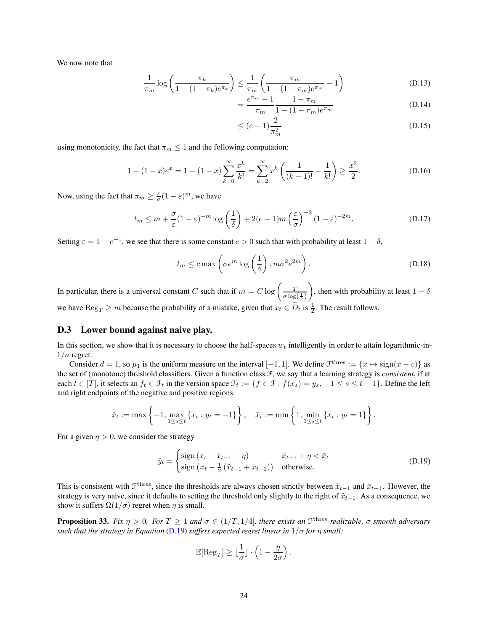We now note that

$$
\frac{1}{\pi_m} \log \left( \frac{\pi_k}{1 - (1 - \pi_k)e^{\pi_k}} \right) \le \frac{1}{\pi_m} \left( \frac{\pi_m}{1 - (1 - \pi_m)e^{\pi_m}} - 1 \right)
$$
(D.13)

$$
=\frac{e^{\pi_m}-1}{\pi_m}\frac{1-\pi_m}{1-(1-\pi_m)e^{\pi_m}}
$$
(D.14)

$$
\leq (e-1)\frac{2}{\pi_m^2} \tag{D.15}
$$

using monotonicity, the fact that  $\pi_m \leq 1$  and the following computation:

$$
1 - (1 - x)e^{x} = 1 - (1 - x)\sum_{k=0}^{\infty} \frac{x^{k}}{k!} = \sum_{k=2}^{\infty} x^{k} \left( \frac{1}{(k-1)!} - \frac{1}{k!} \right) \ge \frac{x^{2}}{2}.
$$
 (D.16)

Now, using the fact that  $\pi_m \geq \frac{\varepsilon}{\sigma} (1 - \varepsilon)^m$ , we have

$$
t_m \le m + \frac{\sigma}{\varepsilon} (1 - \varepsilon)^{-m} \log \left( \frac{1}{\delta} \right) + 2(e - 1)m \left( \frac{\varepsilon}{\sigma} \right)^{-2} (1 - \varepsilon)^{-2m}.
$$
 (D.17)

Setting  $\varepsilon = 1 - e^{-1}$ , we see that there is some constant  $c > 0$  such that with probability at least  $1 - \delta$ ,

$$
t_m \leq c \max \left( \sigma e^m \log \left( \frac{1}{\delta} \right), m \sigma^2 e^{2m} \right). \tag{D.18}
$$

In particular, there is a universal constant C such that if  $m = C \log \left( \frac{T}{\sigma \log(\frac{1}{\delta})} \right)$  $\setminus$ , then with probability at least  $1 - \delta$ we have  $\text{Reg}_T \ge m$  because the probability of a mistake, given that  $x_t \in \tilde{D}_t$  is  $\frac{1}{2}$ . The result follows.

### <span id="page-23-0"></span>D.3 Lower bound against naive play.

In this section, we show that it is necessary to choose the half-spaces  $w_t$  intelligently in order to attain logarithmic-in- $1/\sigma$  regret.

Consider  $d = 1$ , so  $\mu_1$  is the uniform measure on the interval  $[-1, 1]$ . We define  $\mathcal{F}^{\text{thres}} := \{x \mapsto \text{sign}(x - c)\}\$  as the set of (monotone) threshold classifiers. Given a function class F, we say that a learning strategy is *consistent*, if at each  $t \in [T]$ , it selects an  $f_t \in \mathcal{F}_t$  in the version space  $\mathcal{F}_t := \{f \in \mathcal{F} : f(x_s) = y_s, 1 \le s \le t - 1\}$ . Define the left and right endpoints of the negative and positive regions

$$
\tilde{x}_t := \max \left\{ -1, \max_{1 \le s \le t} \{x_t : y_t = -1\} \right\}, \quad \bar{x}_t := \min \left\{ 1, \min_{1 \le s \le t} \{x_t : y_t = 1\} \right\}.
$$

For a given  $\eta > 0$ , we consider the strategy

$$
\hat{y}_t = \begin{cases}\n\text{sign}\left(x_t - \tilde{x}_{t-1} - \eta\right) & \tilde{x}_{t-1} + \eta < \bar{x}_t \\
\text{sign}\left(x_t - \frac{1}{2}\left(\tilde{x}_{t-1} + \bar{x}_{t-1}\right)\right) & \text{otherwise.}\n\end{cases} \tag{D.19}
$$

This is consistent with  $\mathcal{F}^{\text{thres}}$ , since the thresholds are always chosen strictly between  $\tilde{x}_{t-1}$  and  $\bar{x}_{t-1}$ . However, the strategy is very naive, since it defaults to setting the threshold only slightly to the right of  $\tilde{x}_{t-1}$ . As a consequence, we show it suffers  $\Omega(1/\sigma)$  regret when  $\eta$  is small.

**Proposition 33.** Fix  $\eta > 0$ . For  $T \ge 1$  and  $\sigma \in (1/T, 1/4]$ , there exists an  $\mathcal{F}^{\text{thres}}$ -realizable,  $\sigma$  smooth adversary *such that the strategy in Equation* [\(D.19\)](#page-23-1) *suffers expected regret linear in*  $1/\sigma$  *for*  $\eta$  *small:* 

<span id="page-23-1"></span>
$$
\mathbb{E}[\text{Reg}_T] \geq \lfloor \frac{1}{\sigma} \rfloor \cdot \left(1 - \frac{\eta}{2\sigma}\right).
$$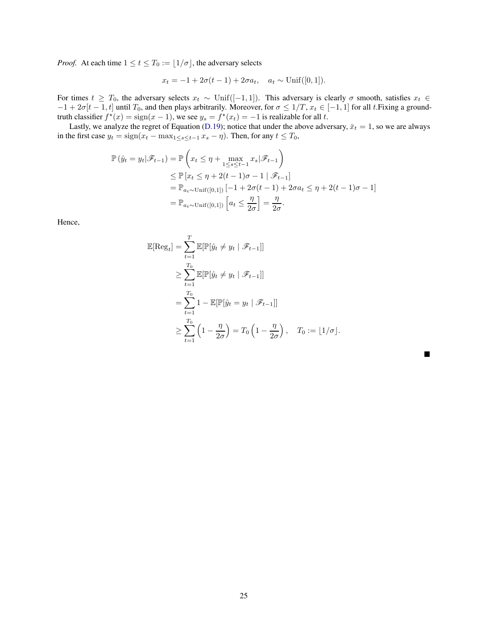*Proof.* At each time  $1 \le t \le T_0 := \lfloor 1/\sigma \rfloor$ , the adversary selects

$$
x_t = -1 + 2\sigma(t-1) + 2\sigma a_t
$$
,  $a_t \sim \text{Unif}([0,1])$ .

For times  $t \geq T_0$ , the adversary selects  $x_t \sim \text{Unif}([-1, 1])$ . This adversary is clearly  $\sigma$  smooth, satisfies  $x_t \in$  $-1 + 2\sigma[t-1, t]$  until  $T_0$ , and then plays arbitrarily. Moreover, for  $\sigma \leq 1/T$ ,  $x_t \in [-1, 1]$  for all t. Fixing a groundtruth classifier  $f^*(x) = \text{sign}(x - 1)$ , we see  $y_s = f^*(x_t) = -1$  is realizable for all t.

Lastly, we analyze the regret of Equation [\(D.19\)](#page-23-1); notice that under the above adversary,  $\bar{x}_t = 1$ , so we are always in the first case  $y_t = sign(x_t - max_{1 \le s \le t-1} x_s - \eta)$ . Then, for any  $t \le T_0$ ,

$$
\mathbb{P}\left(\hat{y}_t = y_t | \mathcal{F}_{t-1}\right) = \mathbb{P}\left(x_t \le \eta + \max_{1 \le s \le t-1} x_s | \mathcal{F}_{t-1}\right)
$$
  
\n
$$
\le \mathbb{P}\left[x_t \le \eta + 2(t-1)\sigma - 1 | \mathcal{F}_{t-1}\right]
$$
  
\n
$$
= \mathbb{P}_{a_t \sim \text{Unif}([0,1])} \left[-1 + 2\sigma(t-1) + 2\sigma a_t \le \eta + 2(t-1)\sigma - 1\right]
$$
  
\n
$$
= \mathbb{P}_{a_t \sim \text{Unif}([0,1])} \left[a_t \le \frac{\eta}{2\sigma}\right] = \frac{\eta}{2\sigma}.
$$

Hence,

$$
\mathbb{E}[\text{Reg}_t] = \sum_{t=1}^T \mathbb{E}[\mathbb{P}[\hat{y}_t \neq y_t | \mathscr{F}_{t-1}]]
$$
  
\n
$$
\geq \sum_{t=1}^{T_0} \mathbb{E}[\mathbb{P}[\hat{y}_t \neq y_t | \mathscr{F}_{t-1}]]
$$
  
\n
$$
= \sum_{t=1}^{T_0} 1 - \mathbb{E}[\mathbb{P}[\hat{y}_t = y_t | \mathscr{F}_{t-1}]]
$$
  
\n
$$
\geq \sum_{t=1}^{T_0} \left(1 - \frac{\eta}{2\sigma}\right) = T_0 \left(1 - \frac{\eta}{2\sigma}\right), \quad T_0 := \lfloor 1/\sigma \rfloor.
$$

 $\blacksquare$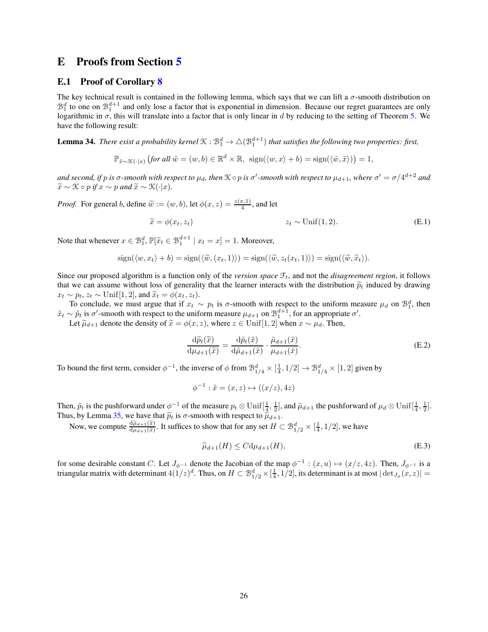## <span id="page-25-1"></span><span id="page-25-0"></span>E Proofs from Section [5](#page-7-1)

### E.1 Proof of Corollary [8](#page-7-4)

The key technical result is contained in the following lemma, which says that we can lift a  $\sigma$ -smooth distribution on  $\mathcal{B}_1^d$  to one on  $\mathcal{B}_1^{d+1}$  and only lose a factor that is exponential in dimension. Because our regret guarantees are only logarithmic in  $\sigma$ , this will translate into a factor that is only linear in d by reducing to the setting of Theorem [5.](#page-6-1) We have the following result:

<span id="page-25-4"></span>**Lemma 34.** There exist a probability kernel  $\mathcal{K}: \mathcal{B}_1^d \to \triangle(\mathcal{B}_1^{d+1})$  that satisfies the following two properties: first,

$$
\mathbb{P}_{\tilde{x}\sim\mathcal{K}(\cdot|x)}\left(\text{for all }\tilde{w}=(w,b)\in\mathbb{R}^d\times\mathbb{R},\ \operatorname{sign}(\langle w,x\rangle+b)=\operatorname{sign}(\langle \tilde{w},\tilde{x}\rangle)\right)=1,
$$

*and second, if* p *is*  $\sigma$ -smooth with respect to  $\mu_d$ , then  $K \circ p$  *is*  $\sigma'$ -smooth with respect to  $\mu_{d+1}$ , where  $\sigma' = \sigma/4^{d+2}$  and  $\widetilde{x} \sim \mathcal{K} \circ p$  *if*  $x \sim p$  *and*  $\widetilde{x} \sim \mathcal{K}(\cdot|x)$ *.* 

*Proof.* For general b, define  $\tilde{w} := (w, b)$ , let  $\phi(x, z) = \frac{z(x, 1)}{4}$ , and let

$$
\widetilde{x} = \phi(x_t, z_t) \qquad z_t \sim \text{Unif}(1, 2). \tag{E.1}
$$

Note that whenever  $x \in \mathcal{B}_1^d$ ,  $\mathbb{P}[\tilde{x}_t \in \mathcal{B}_1^{d+1} \mid x_t = x] = 1$ . Moreover,

$$
sign(\langle w, x_t \rangle + b) = sign(\langle \widetilde{w}, (x_t, 1) \rangle) = sign(\langle \widetilde{w}, z_t(x_t, 1) \rangle) = sign(\langle \widetilde{w}, \widetilde{x}_t \rangle).
$$

Since our proposed algorithm is a function only of the *version space*  $\mathcal{F}_t$ , and not the *disagreement region*, it follows that we can assume without loss of generality that the learner interacts with the distribution  $\tilde{p}_t$  induced by drawing  $x_t \sim p_t$ ,  $z_t \sim$  Unif[1, 2], and  $\widetilde{x}_t = \phi(x_t, z_t)$ .

To conclude, we must argue that if  $x_t \sim p_t$  is  $\sigma$ -smooth with respect to the uniform measure  $\mu_d$  on  $\mathcal{B}_1^d$ , then  $\tilde{x}_t \sim \tilde{p}_t$  is  $\sigma'$ -smooth with respect to the uniform measure  $\mu_{d+1}$  on  $\mathcal{B}_1^{d+1}$ , for an appropriate  $\sigma'$ .

Let  $\tilde{\mu}_{d+1}$  denote the density of  $\tilde{x} = \phi(x, z)$ , where  $z \in \text{Unif}[1, 2]$  when  $x \sim \mu_d$ . Then,

<span id="page-25-3"></span>
$$
\frac{\mathrm{d}\widetilde{p}_t(\widetilde{x})}{\mathrm{d}\mu_{d+1}(\widetilde{x})} = \frac{\mathrm{d}\widetilde{p}_t(\widetilde{x})}{\mathrm{d}\widetilde{\mu}_{d+1}(\widetilde{x})} \cdot \frac{\widetilde{\mu}_{d+1}(\widetilde{x})}{\mu_{d+1}(\widetilde{x})}.\tag{E.2}
$$

To bound the first term, consider  $\phi^{-1}$ , the inverse of  $\phi$  from  $\mathcal{B}_{1/4}^d \times [\frac{1}{4}, 1/2] \to \mathcal{B}_{1/4}^d \times [1, 2]$  given by

<span id="page-25-2"></span>
$$
\phi^{-1} : \tilde{x} = (x, z) \mapsto ((x/z), 4z)
$$

Then,  $\tilde{p}_t$  is the pushforward under  $\phi^{-1}$  of the measure  $p_t \otimes \text{Unif}[\frac{1}{4}, \frac{1}{2}]$ , and  $\tilde{\mu}_{d+1}$  the pushforward of  $\mu_d \otimes \text{Unif}[\frac{1}{4}, \frac{1}{2}]$ . Thus, by Lemma [35,](#page-26-1) we have that  $\tilde{p}_t$  is  $\sigma$ -smooth with respect to  $\tilde{\mu}_{d+1}$ .<br>Now, we compute  $\frac{d\tilde{\mu}_{d+1}(\tilde{x})}{d\mu_{d+1}(\tilde{x})}$ . It suffices to show that for any set  $H \subset \mathcal{B}_{1/2}^d \times [\frac{1}{4}, 1/2]$ , we have

$$
\widetilde{\mu}_{d+1}(H) \le C d \mu_{d+1}(H),\tag{E.3}
$$

for some desirable constant C. Let  $J_{\phi^{-1}}$  denote the Jacobian of the map  $\phi^{-1}$ :  $(x, u) \mapsto (x/z, 4z)$ . Then,  $J_{\phi^{-1}}$  is a triangular matrix with determinant  $4(1/z)^d$ . Thus, on  $H \subset \mathcal{B}_{1/2}^d \times [\frac{1}{4}, 1/2]$ , its determinant is at most  $|\det_{J_\phi}(x, z)| =$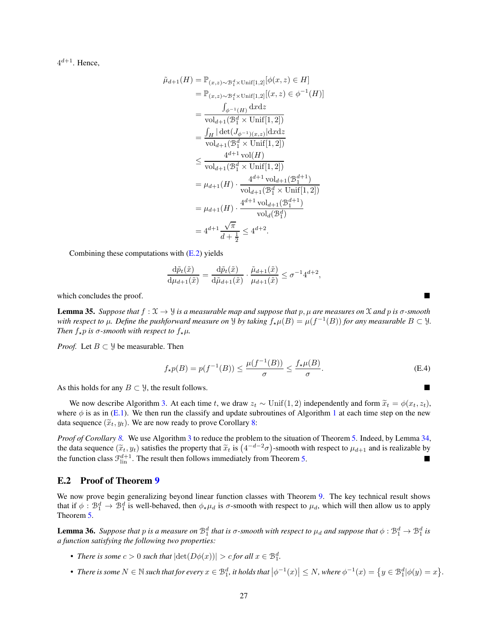$4^{d+1}$ . Hence,

$$
\tilde{\mu}_{d+1}(H) = \mathbb{P}_{(x,z) \sim \mathcal{B}_1^d \times \text{Unif}[1,2]}[\phi(x,z) \in H]
$$
\n
$$
= \mathbb{P}_{(x,z) \sim \mathcal{B}_1^d \times \text{Unif}[1,2]}[(x,z) \in \phi^{-1}(H)]
$$
\n
$$
= \frac{\int_{\phi^{-1}(H)} dxdz}{\text{vol}_{d+1}(\mathcal{B}_1^d \times \text{Unif}[1,2])}
$$
\n
$$
= \frac{\int_H |\det(J_{\phi^{-1}(x,z)}|dxdz}{\text{vol}_{d+1}(\mathcal{B}_1^d \times \text{Unif}[1,2])}
$$
\n
$$
\leq \frac{4^{d+1} \text{vol}(H)}{\text{vol}_{d+1}(\mathcal{B}_1^d \times \text{Unif}[1,2])}
$$
\n
$$
= \mu_{d+1}(H) \cdot \frac{4^{d+1} \text{vol}_{d+1}(\mathcal{B}_1^{d+1})}{\text{vol}_{d+1}(\mathcal{B}_1^d \times \text{Unif}[1,2])}
$$
\n
$$
= \mu_{d+1}(H) \cdot \frac{4^{d+1} \text{vol}_{d+1}(\mathcal{B}_1^{d+1})}{\text{vol}_d(\mathcal{B}_1^d)}
$$
\n
$$
= 4^{d+1} \frac{\sqrt{\pi}}{d+ \frac{1}{2}} \leq 4^{d+2}.
$$

Combining these computations with  $(E.2)$  yields

$$
\frac{\mathrm{d}\tilde{p}_t(\tilde{x})}{\mathrm{d}\mu_{d+1}(\tilde{x})} = \frac{\mathrm{d}\tilde{p}_t(\tilde{x})}{\mathrm{d}\tilde{\mu}_{d+1}(\tilde{x})} \cdot \frac{\tilde{\mu}_{d+1}(\tilde{x})}{\mu_{d+1}(\tilde{x})} \leq \sigma^{-1} 4^{d+2},
$$

<span id="page-26-1"></span>which concludes the proof.

**Lemma 35.** *Suppose that*  $f: \mathcal{X} \to \mathcal{Y}$  *is a measurable map and suppose that* p,  $\mu$  *are measures on*  $\mathcal{X}$  *and* p *is*  $\sigma$ *-smooth with respect to*  $\mu$ *. Define the pushforward measure on*  $\lambda$  *by taking*  $f_{\star}\mu(B) = \mu(f^{-1}(B))$  *for any measurable*  $B \subset \lambda$ *. Then*  $f_{\star}p$  *is*  $\sigma$ *-smooth with respect to*  $f_{\star}\mu$ *.* 

*Proof.* Let  $B \subset \mathcal{Y}$  be measurable. Then

$$
f_{\star}p(B) = p(f^{-1}(B)) \le \frac{\mu(f^{-1}(B))}{\sigma} \le \frac{f_{\star}\mu(B)}{\sigma}.
$$
 (E.4)

As this holds for any  $B \subset \mathcal{Y}$ , the result follows.

We now describe Algorithm [3.](#page-27-0) At each time t, we draw  $z_t \sim \text{Unif}(1, 2)$  independently and form  $\tilde{x}_t = \phi(x_t, z_t)$ , where  $\phi$  is as in [\(E.1\)](#page-25-3). We then run the classify and update subroutines of Algorithm [1](#page-6-3) at each time step on the new data sequence  $(\widetilde{x}_t, y_t)$ . We are now ready to prove Corollary [8:](#page-7-4)

*Proof of Corollary [8.](#page-7-4)* We use Algorithm [3](#page-27-0) to reduce the problem to the situation of Theorem [5.](#page-6-1) Indeed, by Lemma [34,](#page-25-4) the data sequence  $(\tilde{x}_t, y_t)$  satisfies the property that  $\tilde{x}_t$  is  $(4^{-d-2}\sigma)$ -smooth with respect to  $\mu_{d+1}$  and is realizable by the function class  $\mathcal{F}_{\text{lin}}^{d+1}$ . The result then follows immediately from Theorem [5.](#page-6-1)

#### <span id="page-26-0"></span>E.2 Proof of Theorem [9](#page-8-2)

We now prove begin generalizing beyond linear function classes with Theorem [9.](#page-8-2) The key technical result shows that if  $\phi : \mathcal{B}_1^d \to \mathcal{B}_1^d$  is well-behaved, then  $\phi_* \mu_d$  is  $\sigma$ -smooth with respect to  $\mu_d$ , which will then allow us to apply Theorem [5.](#page-6-1)

<span id="page-26-2"></span>**Lemma 36.** Suppose that p is a measure on  $B_1^d$  that is  $\sigma$ -smooth with respect to  $\mu_d$  and suppose that  $\phi : B_1^d \to B_1^d$  is *a function satisfying the following two properties:*

- *There is some*  $c > 0$  *such that*  $|\det(D\phi(x))| > c$  *for all*  $x \in \mathbb{B}_1^d$ *.*
- There is some  $N \in \mathbb{N}$  such that for every  $x \in \mathcal{B}_1^d$ , it holds that  $\left|\phi^{-1}(x)\right| \leq N$ , where  $\phi^{-1}(x) = \{y \in \mathcal{B}_1^d | \phi(y) = x\}$ .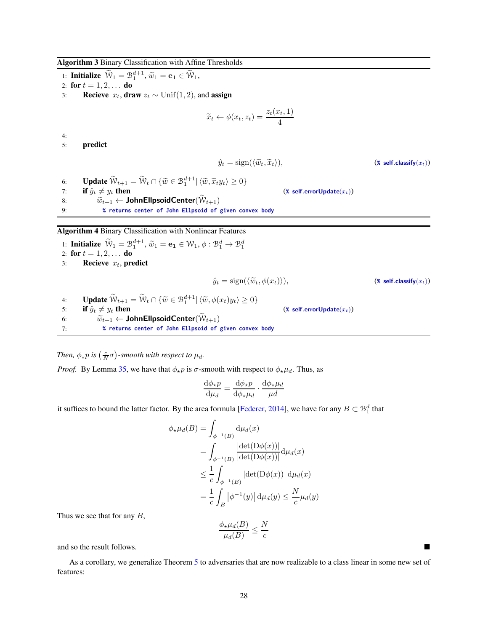Algorithm 3 Binary Classification with Affine Thresholds

<span id="page-27-0"></span>1: **Initialize**  $\widetilde{W}_1 = \mathcal{B}_1^{d+1}, \widetilde{w}_1 = \mathbf{e}_1 \in \widetilde{W}_1,$ 2: for  $t = 1, 2, ...$  do 3: **Recieve**  $x_t$ , **draw**  $z_t$  ∼ Unif(1, 2), and **assign**  $\widetilde{x}_t \leftarrow \phi(x_t, z_t) = \frac{z_t(x_t, 1)}{4}$ 4: 5: predict  $\hat{y}_t = \text{sign}(\langle \widetilde{w}_t, \widetilde{x}_t \rangle),$  (**%** self.classify( $x_t$ )) 6: **Update**  $\widetilde{W}_{t+1} = \widetilde{W}_t \cap {\widetilde{w} \in \mathcal{B}_1^{d+1} | \langle \widetilde{w}, \widetilde{x}_t y_t \rangle \geq 0}$ 7: **if**  $\hat{y}_t \neq y_t$  then (\* self.errorUpdate $(\tilde{x}_t)$ ) <br>8:  $\widetilde{w}_{t+1} \leftarrow \textbf{JohnEllpsoidCenter}(\widetilde{W}_{t+1})$ 8:  $\widetilde{w}_{t+1} \leftarrow \text{JohnEllpsoidCenter}(\mathcal{W}_{t+1})$ 9: **% returns center of John Ellpsoid of given convex body** Algorithm 4 Binary Classification with Nonlinear Features 1: **Initialize**  $\widetilde{W}_1 = \mathcal{B}_1^{d+1}, \widetilde{w}_1 = \mathbf{e}_1 \in \mathcal{W}_1, \phi : \mathcal{B}_1^d \to \mathcal{B}_1^d$ 2: for  $t = 1, 2, ...$  do 3: Recieve  $x_t$ , predict  $\hat{y}_t = \text{sign}(\langle \widetilde{w}_t, \phi(x_t) \rangle),$  (**%** self.classify(x<sub>t</sub>)) 4: **Update**  $\widetilde{\mathcal{W}}_{t+1} = \widetilde{\mathcal{W}}_t \cap \{\widetilde{w} \in \mathcal{B}_1^{d+1} | \langle \widetilde{w}, \phi(x_t) y_t \rangle \geq 0\}$ 5: **if**  $\hat{y}_t \neq y_t$  then (\* self.errorUpdate $(\tilde{x}_t)$ )<br>6:  $\tilde{w}_{t+1} \leftarrow \textbf{JohnEllpsoidCenter}(\tilde{W}_{t+1})$ 6:  $\widetilde{w}_{t+1} \leftarrow \text{JohnEllpsoidCenter}(\widetilde{W}_{t+1})$ <br>7: **%** returns center of John Ellpsoid of 7: **% returns center of John Ellpsoid of given convex body**

<span id="page-27-1"></span>*Then,*  $\phi_{\star}p$  *is*  $\left(\frac{c}{N}\sigma\right)$ -smooth with respect to  $\mu_d$ .

*Proof.* By Lemma [35,](#page-26-1) we have that  $\phi_* p$  is  $\sigma$ -smooth with respect to  $\phi_* \mu_d$ . Thus, as

$$
\frac{\mathrm{d}\phi_\star p}{\mathrm{d}\mu_d} = \frac{\mathrm{d}\phi_\star p}{\mathrm{d}\phi_\star \mu_d} \cdot \frac{\mathrm{d}\phi_\star \mu_d}{\mu d}
$$

it suffices to bound the latter factor. By the area formula [\[Federer,](#page-10-19) [2014\]](#page-10-19), we have for any  $B \subset \mathcal{B}_1^d$  that

$$
\phi_{\star} \mu_d(B) = \int_{\phi^{-1}(B)} d\mu_d(x)
$$
  
= 
$$
\int_{\phi^{-1}(B)} \frac{|\det(D\phi(x))|}{|\det(D\phi(x))|} d\mu_d(x)
$$
  

$$
\leq \frac{1}{c} \int_{\phi^{-1}(B)} |\det(D\phi(x))| d\mu_d(x)
$$
  
= 
$$
\frac{1}{c} \int_B |\phi^{-1}(y)| d\mu_d(y) \leq \frac{N}{c} \mu_d(y)
$$

Thus we see that for any  $B$ ,

$$
\frac{\phi_\star\mu_d(B)}{\mu_d(B)}\leq \frac{N}{c}
$$

and so the result follows.

<span id="page-27-2"></span>As a corollary, we generalize Theorem [5](#page-6-1) to adversaries that are now realizable to a class linear in some new set of features: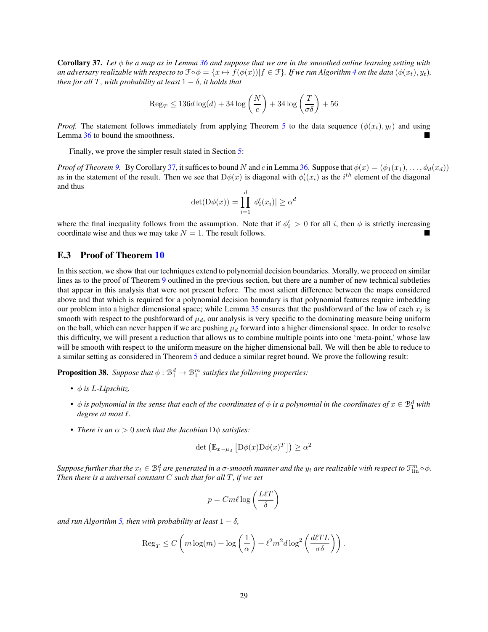Corollary 37. *Let* φ *be a map as in Lemma [36](#page-26-2) and suppose that we are in the smoothed online learning setting with an adversary realizable with respecto to*  $\mathcal{F} \circ \phi = \{x \mapsto f(\phi(x)) | f \in \mathcal{F}\}\$ *. If we run Algorithm* [4](#page-27-1) *on the data*  $(\phi(x_t), y_t)$ *, then for all* T, with probability at least  $1 - \delta$ , it holds that

$$
\text{Reg}_T \leq 136d\log(d) + 34\log\left(\frac{N}{c}\right) + 34\log\left(\frac{T}{\sigma\delta}\right) + 56
$$

*Proof.* The statement follows immediately from applying Theorem [5](#page-6-1) to the data sequence  $(\phi(x_t), y_t)$  and using Lemma [36](#page-26-2) to bound the smoothness.

Finally, we prove the simpler result stated in Section [5:](#page-7-1)

*Proof of Theorem* [9.](#page-8-2) By Corollary [37,](#page-27-2) it suffices to bound N and c in Lemma [36.](#page-26-2) Suppose that  $\phi(x) = (\phi_1(x_1), \dots, \phi_d(x_d))$ as in the statement of the result. Then we see that  $D\phi(x)$  is diagonal with  $\phi'_i(x_i)$  as the  $i^{th}$  element of the diagonal and thus

$$
\det(\mathcal{D}\phi(x)) = \prod_{i=1}^d |\phi_i'(x_i)| \ge \alpha^d
$$

where the final inequality follows from the assumption. Note that if  $\phi_i' > 0$  for all i, then  $\phi$  is strictly increasing coordinate wise and thus we may take  $N = 1$ . The result follows.

## <span id="page-28-0"></span>E.3 Proof of Theorem [10](#page-8-3)

In this section, we show that our techniques extend to polynomial decision boundaries. Morally, we proceed on similar lines as to the proof of Theorem [9](#page-8-2) outlined in the previous section, but there are a number of new technical subtleties that appear in this analysis that were not present before. The most salient difference between the maps considered above and that which is required for a polynomial decision boundary is that polynomial features require imbedding our problem into a higher dimensional space; while Lemma  $35$  ensures that the pushforward of the law of each  $x_t$  is smooth with respect to the pushforward of  $\mu_d$ , our analysis is very specific to the dominating measure being uniform on the ball, which can never happen if we are pushing  $\mu_d$  forward into a higher dimensional space. In order to resolve this difficulty, we will present a reduction that allows us to combine multiple points into one 'meta-point,' whose law will be smooth with respect to the uniform measure on the higher dimensional ball. We will then be able to reduce to a similar setting as considered in Theorem [5](#page-6-1) and deduce a similar regret bound. We prove the following result:

<span id="page-28-1"></span>**Proposition 38.** Suppose that  $\phi : \mathbb{B}^d_1 \to \mathbb{B}^m_1$  satisfies the following properties:

- φ *is* L*-Lipschitz.*
- $\bullet$   $\phi$  *is polynomial in the sense that each of the coordinates of*  $\phi$  *is a polynomial in the coordinates of*  $x \in \mathbb{B}_1^d$  with *degree at most* ℓ*.*
- *There is an*  $\alpha > 0$  *such that the Jacobian*  $D\phi$  *satisfies:*

$$
\det \left( \mathbb{E}_{x \sim \mu_d} \left[ \mathcal{D}\phi(x) \mathcal{D}\phi(x)^T \right] \right) \ge \alpha^2
$$

Suppose further that the  $x_t \in B_1^d$  are generated in a  $\sigma$ -smooth manner and the  $y_t$  are realizable with respect to  $\mathfrak{F}_{\rm lin}^m \circ \phi$ . *Then there is a universal constant*  $C$  *such that for all*  $T$ *, if we set* 

$$
p = C m \ell \log \left( \frac{L \ell T}{\delta} \right)
$$

*and run Algorithm* [5,](#page-30-0) *then with probability at least*  $1 - \delta$ *,* 

$$
\operatorname{Reg}_{T} \leq C \left( m \log(m) + \log \left( \frac{1}{\alpha} \right) + \ell^2 m^2 d \log^2 \left( \frac{d\ell T L}{\sigma \delta} \right) \right).
$$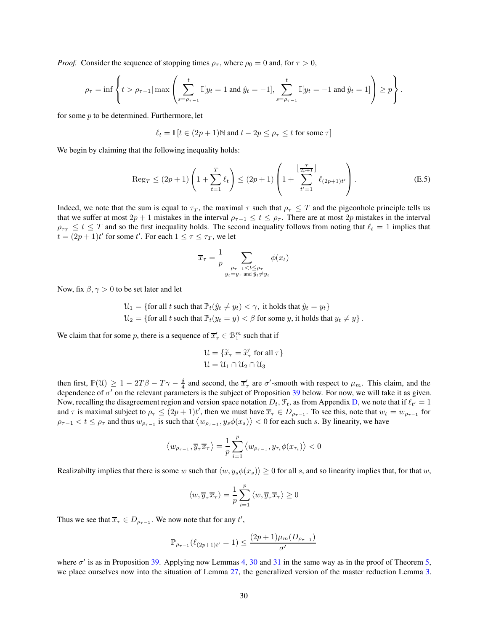*Proof.* Consider the sequence of stopping times  $\rho_{\tau}$ , where  $\rho_0 = 0$  and, for  $\tau > 0$ ,

$$
\rho_{\tau} = \inf \left\{ t > \rho_{\tau-1} | \max \left( \sum_{s=\rho_{\tau-1}}^t \mathbb{I}[y_t = 1 \text{ and } \hat{y}_t = -1], \sum_{s=\rho_{\tau-1}}^t \mathbb{I}[y_t = -1 \text{ and } \hat{y}_t = 1] \right) \ge p \right\}.
$$

for some  $p$  to be determined. Furthermore, let

$$
\ell_t = \mathbb{I}\left[t \in (2p+1) \mathbb{N} \text{ and } t-2p \leq \rho_\tau \leq t \text{ for some } \tau\right]
$$

We begin by claiming that the following inequality holds:

<span id="page-29-0"></span>
$$
\operatorname{Reg}_{T} \le (2p+1) \left( 1 + \sum_{t=1}^{T} \ell_{t} \right) \le (2p+1) \left( 1 + \sum_{t'=1}^{\left \lfloor \frac{T}{2p+1} \right \rfloor} \ell_{(2p+1)t'} \right). \tag{E.5}
$$

Indeed, we note that the sum is equal to  $\tau_T$ , the maximal  $\tau$  such that  $\rho_\tau \leq T$  and the pigeonhole principle tells us that we suffer at most  $2p + 1$  mistakes in the interval  $\rho_{\tau-1} \le t \le \rho_{\tau}$ . There are at most  $2p$  mistakes in the interval  $\rho_{\tau T} \le t \le T$  and so the first inequality holds. The second inequality follows from noting that  $\ell_t = 1$  implies that  $t = (2p + 1)t'$  for some  $t'$ . For each  $1 \le \tau \le \tau_T$ , we let

$$
\overline{x}_{\tau} = \frac{1}{p} \sum_{\substack{\rho_{\tau-1} < t \leq \rho_{\tau} \\ y_t = y_{\tau} \text{ and } \hat{y}_t \neq y_t}} \phi(x_t)
$$

Now, fix  $\beta$ ,  $\gamma > 0$  to be set later and let

$$
\mathcal{U}_1 = \{\text{for all } t \text{ such that } \mathbb{P}_t(\hat{y}_t \neq y_t) < \gamma, \text{ it holds that } \hat{y}_t = y_t\}
$$
\n
$$
\mathcal{U}_2 = \{\text{for all } t \text{ such that } \mathbb{P}_t(y_t = y) < \beta \text{ for some } y, \text{ it holds that } y_t \neq y\}.
$$

We claim that for some p, there is a sequence of  $\overline{x}'_{\tau} \in \mathcal{B}_{1}^{m}$  such that if

$$
\mathcal{U} = \{ \widetilde{x}_{\tau} = \widetilde{x}_{\tau}' \text{ for all } \tau \}
$$

$$
\mathcal{U} = \mathcal{U}_1 \cap \mathcal{U}_2 \cap \mathcal{U}_3
$$

then first,  $\mathbb{P}(\mathcal{U}) \geq 1 - 2T\beta - T\gamma - \frac{\delta}{4}$  and second, the  $\overline{x}'_{\tau}$  are  $\sigma'$ -smooth with respect to  $\mu_m$ . This claim, and the dependence of σ ′ on the relevant parameters is the subject of Proposition [39](#page-30-1) below. For now, we will take it as given. Now, recalling the disagreement region and version space notation  $D_t$ ,  $\mathcal{F}_t$ , as from Appendix [D,](#page-21-0) we note that if  $\ell_{t'} = 1$ and  $\tau$  is maximal subject to  $\rho_{\tau} \leq (2p+1)t'$ , then we must have  $\overline{x}_{\tau} \in D_{\rho_{\tau-1}}$ . To see this, note that  $w_t = w_{\rho_{\tau-1}}$  for  $\rho_{\tau-1} < t \le \rho_{\tau}$  and thus  $w_{\rho_{\tau-1}}$  is such that  $\langle w_{\rho_{\tau-1}}, y_s \phi(x_s) \rangle < 0$  for each such s. By linearity, we have

$$
\left\langle w_{\rho_{\tau-1}}, \overline{y}_{\tau} \overline{x}_{\tau} \right\rangle = \frac{1}{p} \sum_{i=1}^p \left\langle w_{\rho_{\tau-1}}, y_{\tau_i} \phi(x_{\tau_i}) \right\rangle < 0
$$

Realizabilty implies that there is some w such that  $\langle w, y_s \phi(x_s) \rangle \ge 0$  for all s, and so linearity implies that, for that w,

$$
\langle w, \overline{y}_{\tau} \overline{x}_{\tau} \rangle = \frac{1}{p} \sum_{i=1}^{p} \langle w, \overline{y}_{\tau} \overline{x}_{\tau} \rangle \ge 0
$$

Thus we see that  $\overline{x}_{\tau} \in D_{\rho_{\tau-1}}$ . We now note that for any  $t'$ ,

$$
\mathbb{P}_{\rho_{\tau-1}}(\ell_{(2p+1)t'} = 1) \le \frac{(2p+1)\mu_m(D_{\rho_{\tau-1}})}{\sigma'}
$$

where  $\sigma'$  is as in Proposition [39.](#page-30-1) Applying now Lemmas [4,](#page-5-1) [30](#page-21-2) and [31](#page-21-3) in the same way as in the proof of Theorem [5,](#page-6-1) we place ourselves now into the situation of Lemma [27,](#page-17-4) the generalized version of the master reduction Lemma [3.](#page-4-2)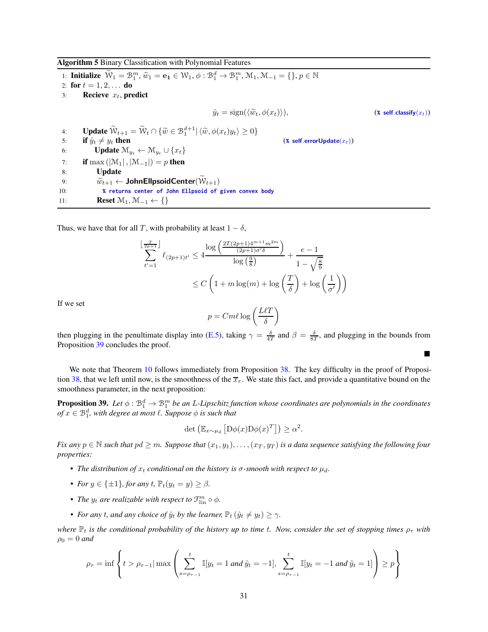Algorithm 5 Binary Classification with Polynomial Features

1: **Initialize**  $\widetilde{W}_1 = \mathcal{B}_1^m$ ,  $\widetilde{w}_1 = \mathbf{e}_1 \in \mathcal{W}_1$ ,  $\phi : \mathcal{B}_1^d \to \mathcal{B}_1^m$ ,  $\mathcal{M}_1$ ,  $\mathcal{M}_{-1} = \{\}, p \in \mathbb{N}\}$ 2: for  $t = 1, 2, ...$  do 3: Recieve  $x_t$ , predict  $\hat{y}_t = \text{sign}(\langle \tilde{w}_t, \phi(x_t) \rangle),$  (**%** self.classify(x<sub>t</sub>)) 4: **Update**  $\widetilde{\mathcal{W}}_{t+1} = \widetilde{\mathcal{W}}_t \cap \{\widetilde{w} \in \mathcal{B}_1^{d+1} | \langle \widetilde{w}, \phi(x_t) y_t \rangle \geq 0\}$ 5: **if**  $\hat{y}_t \neq y_t$  **then** (**\*** self.errorUpdate( $x_t$ ))<br>6: **Update**  $\mathcal{M}_{y_t} \leftarrow \mathcal{M}_{y_t} \cup \{x_t\}$ **Update**  $\mathcal{M}_{y_t} \leftarrow \mathcal{M}_{y_t} \cup \{x_t\}$ 7: **if** max  $(|\mathcal{M}_1|, |\mathcal{M}_{-1}|) = p$  then<br>8: **Update Update** 9:  $\widetilde{w}_{t+1} \leftarrow \text{JohnEllpsoidCenter}(\mathcal{W}_{t+1})$ 10: **% returns center of John Ellpsoid of given convex body**

<span id="page-30-0"></span>11: **Reset**  $\mathcal{M}_1, \mathcal{M}_{-1} \leftarrow \{\}$ 

Thus, we have that for all T, with probability at least  $1 - \delta$ ,

$$
\sum_{t'=1}^{\lfloor \frac{T}{2p+1} \rfloor} \ell_{(2p+1)t'} \le 4 \frac{\log \left( \frac{2T(2p+1)4^{m+1}m^{2m}}{(2p+1)\sigma'\delta} \right)}{\log \left(\frac{9}{8}\right)} + \frac{e-1}{1-\sqrt{\frac{8}{9}}}
$$

$$
\le C \left(1 + m \log(m) + \log\left(\frac{T}{\delta}\right) + \log\left(\frac{1}{\sigma'}\right)\right)
$$

If we set

$$
p = Cm\ell \log\left(\frac{L\ell T}{\delta}\right)
$$

then plugging in the penultimate display into [\(E.5\)](#page-29-0), taking  $\gamma = \frac{\delta}{4T}$  and  $\beta = \frac{\delta}{8T}$ , and plugging in the bounds from Proposition [39](#page-30-1) concludes the proof.

 $\blacksquare$ 

We note that Theorem [10](#page-8-3) follows immediately from Proposition [38.](#page-28-1) The key difficulty in the proof of Proposi-tion [38,](#page-28-1) that we left until now, is the smoothness of the  $\overline{x}_{\tau}$ . We state this fact, and provide a quantitative bound on the smoothness parameter, in the next proposition:

<span id="page-30-1"></span>**Proposition 39.** Let  $\phi : \mathbb{B}_1^d \to \mathbb{B}_1^m$  be an L-Lipschitz function whose coordinates are polynomials in the coordinates  $of x \in \mathbb{B}^d_1$ , with degree at most  $\ell$ . Suppose  $\phi$  is such that

$$
\det \left( \mathbb{E}_{x \sim \mu_d} \left[ \mathcal{D} \phi(x) \mathcal{D} \phi(x)^T \right] \right) \ge \alpha^2.
$$

*Fix any*  $p \in \mathbb{N}$  *such that*  $pd \geq m$ *. Suppose that*  $(x_1, y_1), \ldots, (x_T, y_T)$  *is a data sequence satisfying the following four properties:*

- *The distribution of*  $x_t$  *conditional on the history is*  $\sigma$ -*smooth with respect to*  $\mu_d$ *.*
- *For*  $y \in {\pm 1}$ *, for any*  $t$ ,  $\mathbb{P}_t(y_t = y) > \beta$ *.*
- *The*  $y_t$  are realizable with respect to  $\mathcal{F}_{\text{lin}}^m \circ \phi$ .
- *For any t, and any choice of*  $\hat{y}_t$  *by the learner*,  $\mathbb{P}_t$   $(\hat{y}_t \neq y_t) \geq \gamma$ .

*where*  $\mathbb{P}_t$  *is the conditional probability of the history up to time t. Now, consider the set of stopping times*  $\rho_{\tau}$  *with*  $\rho_0 = 0$  and

$$
\rho_{\tau} = \inf \left\{ t > \rho_{\tau-1} | \max \left( \sum_{s=\rho_{\tau-1}}^t \mathbb{I}[y_t = 1 \text{ and } \hat{y}_t = -1], \sum_{s=\rho_{\tau-1}}^t \mathbb{I}[y_t = -1 \text{ and } \hat{y}_t = 1] \right) \ge p \right\}
$$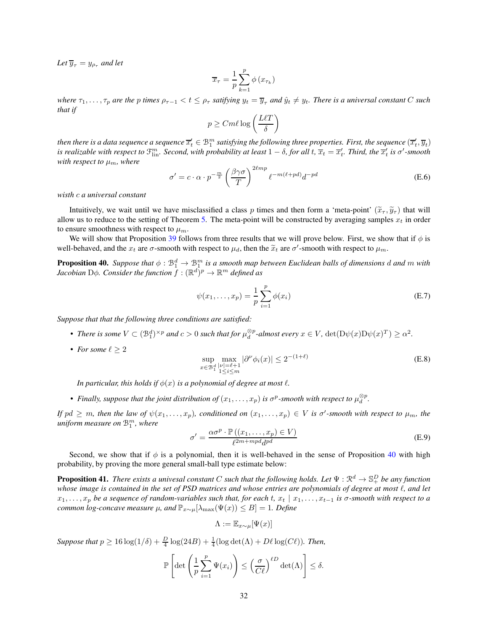*Let*  $\overline{y}_{\tau} = y_{\rho_{\tau}}$  *and let* 

$$
\overline{x}_{\tau} = \frac{1}{p} \sum_{k=1}^{p} \phi(x_{\tau_k})
$$

*where*  $\tau_1, \ldots, \tau_p$  *are the* p *times*  $\rho_{\tau-1} < t \leq \rho_\tau$  *satifying*  $y_t = \overline{y}_\tau$  *and*  $\hat{y}_t \neq y_t$ *. There is a universal constant* C *such that if*

$$
p \geq C m \ell \log \left( \frac{L \ell T}{\delta} \right)
$$

then there is a data sequence a sequence  $\overline{x}_t' \in \mathcal{B}^m_1$  satisfying the following three properties. First, the sequence  $(\overline{x}_t', \overline{y}_t)$ is realizable with respect to  $\mathfrak{I}_{\rm lin}^m$ . Second, with probability at least  $1-\delta$ , for all  $t$ ,  $\overline{x}_t=\overline{x}'_t$ . Third, the  $\overline{x}'_t$  is  $\sigma'$ -smooth *with respect to*  $\mu_m$ *, where* 

$$
\sigma' = c \cdot \alpha \cdot p^{-\frac{m}{2}} \left(\frac{\beta \gamma \sigma}{T}\right)^{2\ell m p} \ell^{-m(\ell + pd)} d^{-pd}
$$
 (E.6)

*wisth* c *a universal constant*

Intuitively, we wait until we have misclassified a class p times and then form a 'meta-point'  $(\tilde{x}_\tau, \tilde{y}_\tau)$  that will allow us to reduce to the setting of Theorem [5.](#page-6-1) The meta-point will be constructed by averaging samples  $x_t$  in order to ensure smoothness with respect to  $\mu_m$ .

<span id="page-31-0"></span>We will show that Proposition [39](#page-30-1) follows from three results that we will prove below. First, we show that if  $\phi$  is well-behaved, and the  $x_t$  are  $\sigma$ -smooth with respect to  $\mu_d$ , then the  $\tilde{x}_t$  are  $\sigma'$ -smooth with respect to  $\mu_m$ .

**Proposition 40.** Suppose that  $\phi$  :  $\mathcal{B}_1^d \to \mathcal{B}_1^m$  is a smooth map between Euclidean balls of dimensions d and m with *Jacobian* D $\phi$ . Consider the function  $\bar{f} : (\mathbb{R}^d)^p \to \mathbb{R}^m$  defined as

$$
\psi(x_1, ..., x_p) = \frac{1}{p} \sum_{i=1}^p \phi(x_i)
$$
\n(E.7)

*Suppose that that the following three conditions are satisfied:*

- *There is some*  $V \subset (\mathcal{B}_1^d)^{\times p}$  *and*  $c > 0$  *such that for*  $\mu_d^{\otimes p}$ *-almost every*  $x \in V$ *,*  $\det(D\psi(x)D\psi(x)^T) \ge \alpha^2$ *.*
- For some  $\ell > 2$

$$
\sup_{x \in \mathcal{B}_1^d} \max_{\substack{||\nu| = \ell + 1 \\ 1 \le i \le m}} |\partial^\nu \phi_i(x)| \le 2^{-(1+\ell)} \tag{E.8}
$$

*In particular, this holds if*  $\phi(x)$  *is a polynomial of degree at most*  $\ell$ *.* 

• Finally, suppose that the joint distribution of  $(x_1, \ldots, x_p)$  is  $\sigma^p$ -smooth with respect to  $\mu_d^{\otimes p}$ .

*If*  $pd \geq m$ , then the law of  $\psi(x_1,\ldots,x_p)$ , conditioned on  $(x_1,\ldots,x_p) \in V$  is  $\sigma'$ -smooth with respect to  $\mu_m$ , the  $\mu$ *niform measure on*  $\mathcal{B}^{m}_{1}$  , where

$$
\sigma' = \frac{\alpha \sigma^p \cdot \mathbb{P}\left((x_1, \dots, x_p) \in V\right)}{\ell^{2m + mpd} d^{pd}} \tag{E.9}
$$

<span id="page-31-1"></span>Second, we show that if  $\phi$  is a polynomial, then it is well-behaved in the sense of Proposition [40](#page-31-0) with high probability, by proving the more general small-ball type estimate below:

**Proposition 41.** There exists a univesal constant C such that the following holds. Let  $\Psi: \mathbb{R}^d \to \mathbb{S}^D_+$  be any function *whose image is contained in the set of PSD matrices and whose entries are polynomials of degree at most*  $\ell$ *, and let* x1, . . . , x<sup>p</sup> *be a sequence of random-variables such that, for each* t*,* x<sup>t</sup> | x1, . . . , xt−<sup>1</sup> *is* σ*-smooth with respect to a common log-concave measure*  $\mu$ *, and*  $\mathbb{P}_{x \sim \mu}[\lambda_{\max}(\Psi(x)) \leq B] = 1$ *. Define* 

$$
\Lambda:=\mathbb{E}_{x\sim\mu}[\Psi(x)]
$$

*Suppose that*  $p \ge 16 \log(1/\delta) + \frac{D}{4} \log(24B) + \frac{1}{4} (\log \det(\Lambda) + D\ell \log(C\ell))$ *. Then,* 

$$
\mathbb{P}\left[\det\left(\frac{1}{p}\sum_{i=1}^p \Psi(x_i)\right) \leq \left(\frac{\sigma}{C\ell}\right)^{\ell D} \det(\Lambda) \right] \leq \delta.
$$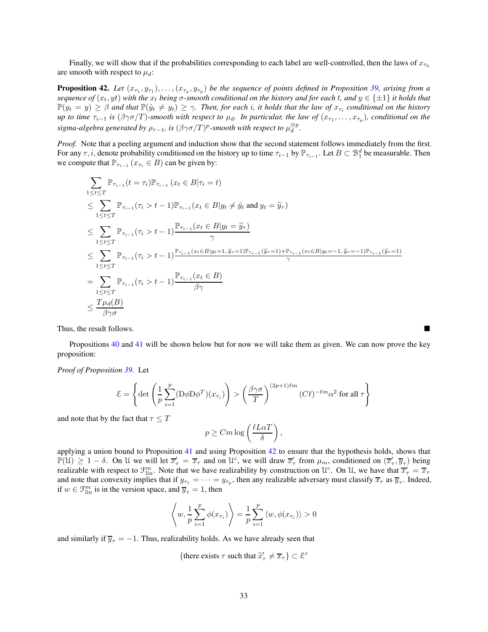<span id="page-32-0"></span>Finally, we will show that if the probabilities corresponding to each label are well-controlled, then the laws of  $x_{\tau_k}$ are smooth with respect to  $\mu_d$ :

**Proposition 42.** Let  $(x_{\tau_1}, y_{\tau_1}), \ldots, (x_{\tau_p}, y_{\tau_p})$  be the sequence of points defined in Proposition [39,](#page-30-1) arising from a *sequence of*  $(x_t, yt)$  *with the*  $x_t$  *being*  $\sigma$ *-smooth conditional on the history and for each* t, and  $y \in \{\pm 1\}$  *it holds that*  $\mathbb{P}(y_t = y) \geq \beta$  and that  $\mathbb{P}(\hat{y}_t \neq y_t) \geq \gamma$ . Then, for each i, it holds that the law of  $x_{\tau_i}$  conditional on the history *up to time*  $\tau_{i-1}$  *is* ( $\beta\gamma\sigma/T$ )-smooth with respect to  $\mu_d$ . In particular, the law of  $(x_{\tau_1},\ldots,x_{\tau_p})$ , conditional on the  $\hat{p}$  *sigma-algebra generated by*  $\rho_{\tau-1}$ *, is*  $(\beta\gamma\sigma/T)^p$ *-smooth with respect to*  $\mu_d^{\otimes p}.$ 

*Proof.* Note that a peeling argument and induction show that the second statement follows immediately from the first. For any  $\tau$ , *i*, denote probability conditioned on the history up to time  $\tau_{i-1}$  by  $\mathbb{P}_{\tau_{i-1}}$ . Let  $B \subset \mathcal{B}_1^d$  be measurable. Then we compute that  $\mathbb{P}_{\tau_{i-1}}(x_{\tau_i} \in B)$  can be given by:

$$
\sum_{1 \leq t \leq T} \mathbb{P}_{\tau_{i-1}}(t = \tau_i) \mathbb{P}_{\tau_{i-1}}(x_t \in B | \tau_i = t)
$$
\n
$$
\leq \sum_{1 \leq t \leq T} \mathbb{P}_{\tau_{i-1}}(\tau_i > t - 1) \mathbb{P}_{\tau_{i-1}}(x_t \in B | y_t \neq \hat{y}_t \text{ and } y_t = \tilde{y}_\tau)
$$
\n
$$
\leq \sum_{1 \leq t \leq T} \mathbb{P}_{\tau_{i-1}}(\tau_i > t - 1) \frac{\mathbb{P}_{\tau_{i-1}}(x_t \in B | y_t = \tilde{y}_\tau)}{\gamma}
$$
\n
$$
\leq \sum_{1 \leq t \leq T} \mathbb{P}_{\tau_{i-1}}(\tau_i > t - 1) \frac{\mathbb{P}_{\tau_{i-1}}(x_t \in B | y_t = \tilde{y}_\tau)}{\gamma}
$$
\n
$$
= \sum_{1 \leq t \leq T} \mathbb{P}_{\tau_{i-1}}(\tau_i > t - 1) \frac{\mathbb{P}_{\tau_{i-1}}(x_t \in B | y_t = 1, \tilde{y}_\tau = 1) \mathbb{P}_{\tau_{i-1}}(\tilde{y}_\tau = 1) + \mathbb{P}_{\tau_{i-1}}(x_t \in B | y_t = -1, \tilde{y}_\tau = -1) \mathbb{P}_{\tau_{i-1}}(\tilde{y}_\tau = 1)}{\gamma}
$$
\n
$$
\leq \frac{T \mu_d(B)}{\beta \gamma \sigma}
$$

Thus, the result follows.

Propositions [40](#page-31-0) and [41](#page-31-1) will be shown below but for now we will take them as given. We can now prove the key proposition:

*Proof of Proposition [39.](#page-30-1)* Let

$$
\mathcal{E} = \left\{ \det \left( \frac{1}{p} \sum_{i=1}^{p} (\mathrm{D} \phi \mathrm{D} \phi^T)(x_{\tau_i}) \right) > \left( \frac{\beta \gamma \sigma}{T} \right)^{(2p+1)\ell m} (C\ell)^{-\ell m} \alpha^2 \text{ for all } \tau \right\}
$$

and note that by the fact that  $\tau \leq T$ 

$$
p \geq Cm \log \left(\frac{\ell L\alpha T}{\delta}\right),\,
$$

applying a union bound to Proposition  $41$  and using Proposition  $42$  to ensure that the hypothesis holds, shows that  $\mathbb{P}(\mathcal{U}) \geq 1 - \delta$ . On U we will let  $\overline{x}'_{\tau} = \overline{x}_{\tau}$  and on  $\mathcal{U}^c$ , we will draw  $\overline{x}'_{\tau}$  from  $\mu_m$ , conditioned on  $(\overline{x}'_{\tau}, \overline{y}_{\tau})$  being realizable with respect to  $\mathcal{F}_{\text{lin}}^m$ . Note that we have realizability by construction on  $\mathcal{U}^c$ . On  $\mathcal{U}$ , we have that  $\overline{x}'_\tau = \overline{x}_\tau$ and note that convexity implies that if  $y_{\tau_1} = \cdots = y_{\tau_p}$ , then any realizable adversary must classify  $\overline{x}_{\tau}$  as  $\overline{y}_{\tau}$ . Indeed, if  $w \in \mathcal{F}_{\text{lin}}^m$  is in the version space, and  $\overline{y}_{\tau} = 1$ , then

$$
\left\langle w, \frac{1}{p} \sum_{i=1}^p \phi(x_{\tau_i}) \right\rangle = \frac{1}{p} \sum_{i=1}^p \left\langle w, \phi(x_{\tau_i}) \right\rangle > 0
$$

and similarly if  $\overline{y}_{\tau} = -1$ . Thus, realizability holds. As we have already seen that

{there exists 
$$
\tau
$$
 such that  $\tilde{x}'_{\tau} \neq \overline{x}_{\tau}$ }  $\subset \mathcal{E}^c$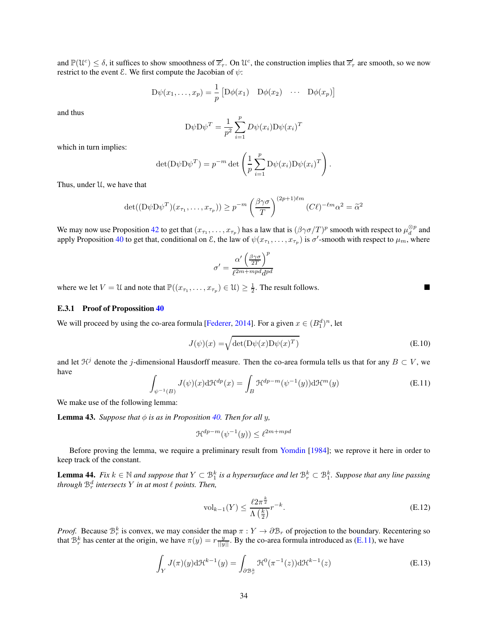and  $\mathbb{P}(\mathcal{U}^c) \leq \delta$ , it suffices to show smoothness of  $\overline{x}'_\tau$ . On  $\mathcal{U}^c$ , the construction implies that  $\overline{x}'_\tau$  are smooth, so we now restrict to the event  $\mathcal{E}$ . We first compute the Jacobian of  $\psi$ :

$$
D\psi(x_1,\ldots,x_p) = \frac{1}{p} \left[ D\phi(x_1) \quad D\phi(x_2) \quad \cdots \quad D\phi(x_p) \right]
$$

and thus

$$
D\psi D\psi^{T} = \frac{1}{p^2} \sum_{i=1}^{p} D\psi(x_i) D\psi(x_i)^{T}
$$

which in turn implies:

$$
\det(\mathbf{D}\psi \mathbf{D}\psi^T) = p^{-m} \det \left(\frac{1}{p} \sum_{i=1}^p \mathbf{D}\psi(x_i) \mathbf{D}\psi(x_i)^T\right).
$$

Thus, under U, we have that

$$
\det((D\psi D\psi^T)(x_{\tau_1},\ldots,x_{\tau_p}))\geq p^{-m}\left(\frac{\beta\gamma\sigma}{T}\right)^{(2p+1)\ell m}(C\ell)^{-\ell m}\alpha^2=\widetilde{\alpha}^2
$$

We may now use Proposition [42](#page-32-0) to get that  $(x_{\tau_1},...,x_{\tau_p})$  has a law that is  $(\beta\gamma\sigma/T)^p$  smooth with respect to  $\mu_d^{\otimes p}$  and apply Proposition [40](#page-31-0) to get that, conditional on  $\mathcal E$ , the law of  $\psi(x_{\tau_1},\ldots,x_{\tau_p})$  is  $\sigma'$ -smooth with respect to  $\mu_m$ , where

$$
\sigma' = \frac{\alpha'\left(\frac{\beta\gamma\sigma}{2T}\right)^p}{\ell^{2m+mpd}d^{pd}}
$$

where we let  $V = \mathcal{U}$  and note that  $\mathbb{P}((x_{\tau_1},...,x_{\tau_p}) \in \mathcal{U}) \ge \frac{1}{2}$ . The result follows.

#### <span id="page-33-0"></span>E.3.1 Proof of Propossition [40](#page-31-0)

We will proceed by using the co-area formula [\[Federer,](#page-10-19) [2014\]](#page-10-19). For a given  $x \in (B_1^d)^n$ , let

$$
J(\psi)(x) = \sqrt{\det(D\psi(x)D\psi(x)^{T})}
$$
 (E.10)

and let  $\mathcal{H}^j$  denote the j-dimensional Hausdorff measure. Then the co-area formula tells us that for any  $B \subset V$ , we have

<span id="page-33-1"></span>
$$
\int_{\psi^{-1}(B)} J(\psi)(x) d\mathcal{H}^{dp}(x) = \int_{B} \mathcal{H}^{dp-m}(\psi^{-1}(y)) d\mathcal{H}^{m}(y)
$$
\n(E.11)

<span id="page-33-2"></span>We make use of the following lemma:

**Lemma 43.** *Suppose that*  $\phi$  *is as in Proposition [40.](#page-31-0) Then for all y,* 

$$
\mathcal{H}^{dp-m}(\psi^{-1}(y)) \le \ell^{2m+mpd}
$$

<span id="page-33-3"></span>Before proving the lemma, we require a preliminary result from [Yomdin](#page-12-3) [\[1984\]](#page-12-3); we reprove it here in order to keep track of the constant.

**Lemma 44.** *Fix*  $k \in \mathbb{N}$  and suppose that  $Y \subset \mathcal{B}_1^k$  is a hypersurface and let  $\mathcal{B}_r^k \subset \mathcal{B}_1^k$ . Suppose that any line passing *through*  $\mathbb{B}_r^d$  *intersects*  $Y$  *in at most*  $\ell$  *points. Then,* 

$$
\mathrm{vol}_{k-1}(Y) \le \frac{\ell 2\pi^{\frac{k}{2}}}{\Lambda\left(\frac{k}{2}\right)} r^{-k}.\tag{E.12}
$$

*Proof.* Because  $\mathcal{B}_r^k$  is convex, we may consider the map  $\pi : Y \to \partial \mathcal{B}_r$  of projection to the boundary. Recentering so that  $B_r^k$  has center at the origin, we have  $\pi(y) = r \frac{y}{||y||}$ . By the co-area formula introduced as [\(E.11\)](#page-33-1), we have

$$
\int_{Y} J(\pi)(y) \mathrm{d} \mathcal{H}^{k-1}(y) = \int_{\partial \mathcal{B}_r^k} \mathcal{H}^0(\pi^{-1}(z)) \mathrm{d} \mathcal{H}^{k-1}(z) \tag{E.13}
$$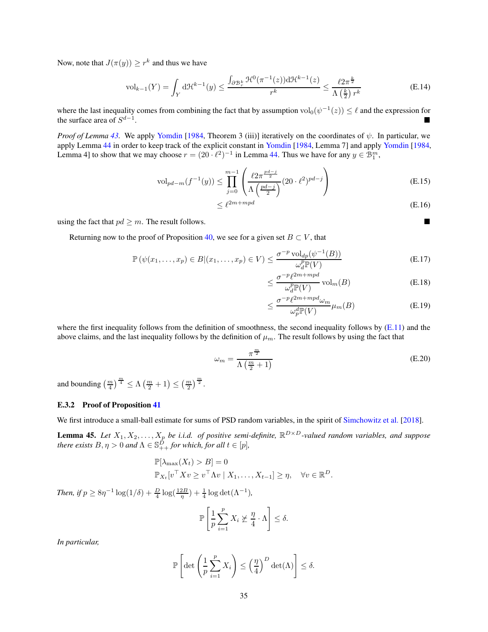Now, note that  $J(\pi(y)) \geq r^k$  and thus we have

$$
\mathrm{vol}_{k-1}(Y) = \int_Y \mathrm{d} \mathcal{H}^{k-1}(y) \le \frac{\int_{\partial \mathcal{B}_r^k} \mathcal{H}^0(\pi^{-1}(z)) \mathrm{d} \mathcal{H}^{k-1}(z)}{r^k} \le \frac{\ell 2\pi^{\frac{k}{2}}}{\Lambda\left(\frac{k}{2}\right) r^k} \tag{E.14}
$$

where the last inequality comes from combining the fact that by assumption  $\text{vol}_0(\psi^{-1}(z)) \leq \ell$  and the expression for the surface area of  $S^{d-1}$ . In the second control of the second control of the second control of the second control of the second control

*Proof of Lemma* [43.](#page-33-2) We apply [Yomdin](#page-12-3) [\[1984](#page-12-3), Theorem 3 (iii)] iteratively on the coordinates of  $\psi$ . In particular, we apply Lemma [44](#page-33-3) in order to keep track of the explicit constant in [Yomdin](#page-12-3) [\[1984](#page-12-3), Lemma 7] and apply [Yomdin](#page-12-3) [\[1984,](#page-12-3) Lemma 4] to show that we may choose  $r = (20 \cdot \ell^2)^{-1}$  in Lemma [44.](#page-33-3) Thus we have for any  $y \in \mathcal{B}_{1}^{m}$ ,

$$
\text{vol}_{pd-m}(f^{-1}(y)) \le \prod_{j=0}^{m-1} \left( \frac{\ell 2\pi^{\frac{pd-j}{2}}}{\Lambda \left( \frac{pd-j}{2} \right)} (20 \cdot \ell^2)^{pd-j} \right) \tag{E.15}
$$

$$
\leq \ell^{2m+mpd} \tag{E.16}
$$

using the fact that  $pd \geq m$ . The result follows.

Returning now to the proof of Proposition [40,](#page-31-0) we see for a given set  $B \subset V$ , that

$$
\mathbb{P}\left(\psi(x_1,\ldots,x_p)\in B|(x_1,\ldots,x_p)\in V\right)\leq \frac{\sigma^{-p}\operatorname{vol}_{dp}(\psi^{-1}(B))}{\omega_d^p\mathbb{P}(V)}\tag{E.17}
$$

$$
\leq \frac{\sigma^{-p} \ell^{2m+mpd}}{\omega_d^p \mathbb{P}(V)} \operatorname{vol}_m(B) \tag{E.18}
$$

$$
\leq \frac{\sigma^{-p} \ell^{2m+mpd} \omega_m}{\omega_p^d \mathbb{P}(V)} \mu_m(B) \tag{E.19}
$$

where the first inequality follows from the definition of smoothness, the second inequality follows by  $(E.11)$  and the above claims, and the last inequality follows by the definition of  $\mu_m$ . The result follows by using the fact that

$$
\omega_m = \frac{\pi^{\frac{m}{2}}}{\Lambda \left(\frac{m}{2} + 1\right)}\tag{E.20}
$$

and bounding  $\left(\frac{m}{4}\right)^{\frac{m}{4}} \leq \Lambda \left(\frac{m}{2} + 1\right) \leq \left(\frac{m}{2}\right)^{\frac{m}{2}}$ .

#### <span id="page-34-0"></span>E.3.2 Proof of Proposition [41](#page-31-1)

<span id="page-34-1"></span>We first introduce a small-ball estimate for sums of PSD random variables, in the spirit of [Simchowitz et al.](#page-11-19) [\[2018\]](#page-11-19).

**Lemma 45.** Let  $X_1, X_2, \ldots, X_p$  be i.i.d. of positive semi-definite,  $\mathbb{R}^{D \times D}$ -valued random variables, and suppose *there exists*  $B, \eta > 0$  *and*  $\Lambda \in \mathbb{S}_{++}^{\hat{D}}$  *for which, for all*  $t \in [p]$ *,* 

$$
\mathbb{P}[\lambda_{\max}(X_t) > B] = 0
$$
  

$$
\mathbb{P}_{X_t}[v^{\top} X v \ge v^{\top} \Lambda v \mid X_1, \dots, X_{t-1}] \ge \eta, \quad \forall v \in \mathbb{R}^D.
$$

*Then, if*  $p \ge 8\eta^{-1} \log(1/\delta) + \frac{D}{4} \log(\frac{12B}{\eta}) + \frac{1}{4} \log \det(\Lambda^{-1}),$ 

$$
\mathbb{P}\left[\frac{1}{p}\sum_{i=1}^p X_i \not\succeq \frac{\eta}{4} \cdot \Lambda\right] \le \delta.
$$

*In particular,*

$$
\mathbb{P}\left[\det\left(\frac{1}{p}\sum_{i=1}^p X_i\right) \le \left(\frac{\eta}{4}\right)^D \det(\Lambda)\right] \le \delta.
$$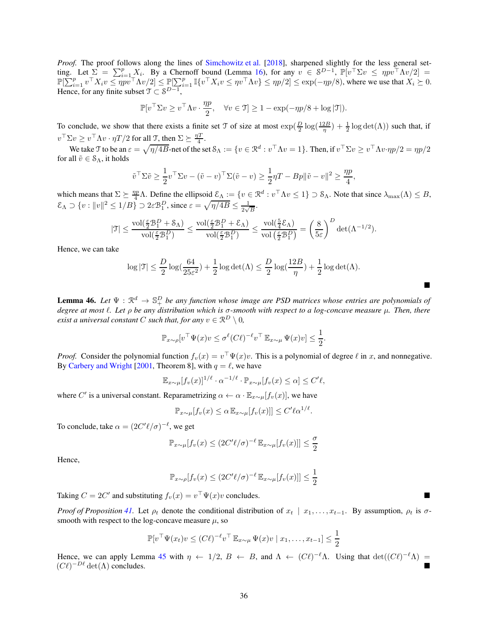*Proof.* The proof follows along the lines of [Simchowitz et al.](#page-11-19) [\[2018\]](#page-11-19), sharpened slightly for the less general setting. Let  $\Sigma = \sum_{i=1}^p X_i$ . By a Chernoff bound (Lemma [16\)](#page-15-5), for any  $v \in \mathcal{S}^{D-1}$ ,  $\mathbb{P}[v^\top \Sigma v \le \eta pv^\top \Lambda v/2] =$  $\mathbb{P}[\sum_{i=1}^p v^\top X_i v \le \eta \overline{p} v^\top \Lambda v/2] \le \mathbb{P}[\sum_{i=1}^p \mathbb{I}\{v^\top X_i v \le \eta v^\top \Lambda v\} \le \eta p/2] \le \exp(-\eta p/8)$ , where we use that  $X_i \ge 0$ . Hence, for any finite subset  $\mathfrak{T} \subset \mathcal{S}^{D-1}$ ,

$$
\mathbb{P}[v^\top \Sigma v \ge v^\top \Lambda v \cdot \frac{\eta p}{2}, \quad \forall v \in \mathfrak{I}] \ge 1 - \exp(-\eta p/8 + \log |\mathfrak{I}|).
$$

To conclude, we show that there exists a finite set T of size at most  $\exp(\frac{D}{2}\log(\frac{12B}{\eta})+\frac{1}{2}\log\det(\Lambda))$  such that, if  $v^{\top} \Sigma v \ge v^{\top} \Lambda v \cdot \eta T/2$  for all  $\mathcal{T}$ , then  $\Sigma \succeq \frac{\eta T}{4}$ .

We take T to be an  $\varepsilon = \sqrt{\eta/4B}$ -net of the set  $\mathcal{S}_{\Lambda} := \{v \in \mathbb{R}^d : v^\top \Lambda v = 1\}$ . Then, if  $v^\top \Sigma v \ge v^\top \Lambda v \cdot \eta p/2 = \eta p/2$ for all  $\tilde{v} \in \mathcal{S}_{\Lambda}$ , it holds

$$
\tilde{v}^\top \Sigma \tilde{v} \ge \frac{1}{2} v^\top \Sigma v - (\tilde{v} - v)^\top \Sigma (\tilde{v} - v) \ge \frac{1}{2} \eta T - Bp \|\tilde{v} - v\|^2 \ge \frac{\eta p}{4},
$$

which means that  $\Sigma \geq \frac{\eta p}{4} \Lambda$ . Define the ellipsoid  $\mathcal{E}_{\Lambda} := \{v \in \mathbb{R}^d : v^{\top} \Lambda v \leq 1\} \supset \mathcal{S}_{\Lambda}$ . Note that since  $\lambda_{\max}(\Lambda) \leq B$ ,  $\mathcal{E}_\Lambda \supset \{v : ||v||^2 \le 1/B\} \supset 2\varepsilon \mathcal{B}_1^D$ , since  $\varepsilon = \sqrt{\eta/4B} \le \frac{1}{2\sqrt{3}}$  $\frac{1}{2\sqrt{B}}$ .

$$
|\mathfrak{T}|\leq \frac{\operatorname{vol}(\frac{\varepsilon}{2}\mathcal{B}_1^D+\mathcal{S}_{\Lambda})}{\operatorname{vol}(\frac{\varepsilon}{2}\mathcal{B}_1^D)}\leq \frac{\operatorname{vol}(\frac{\varepsilon}{2}\mathcal{B}_1^D+\mathcal{E}_{\Lambda})}{\operatorname{vol}(\frac{\varepsilon}{2}\mathcal{B}_1^D)}\leq \frac{\operatorname{vol}(\frac{5}{4}\mathcal{E}_{\Lambda})}{\operatorname{vol}\left(\frac{\varepsilon}{2}\mathcal{B}_1^D\right)}=\left(\frac{8}{5\varepsilon}\right)^D\det(\Lambda^{-1/2}).
$$

Hence, we can take

$$
\log|\mathfrak{T}|\leq \frac{D}{2}\log(\frac{64}{25\varepsilon^2})+\frac{1}{2}\log\det(\Lambda)\leq \frac{D}{2}\log(\frac{12B}{\eta})+\frac{1}{2}\log\det(\Lambda).
$$

 $\blacksquare$ 

**Lemma 46.** Let  $\Psi: \mathbb{R}^d \to \mathbb{S}^D_+$  be any function whose image are PSD matrices whose entries are polynomials of *degree at most* ℓ*. Let* ρ *be any distribution which is* σ*-smooth with respect to a log-concave measure* µ*. Then, there exist a universal constant C such that, for any*  $v \in \mathbb{R}^D \setminus \{0\}$ ,

$$
\mathbb{P}_{x \sim \rho}[v^\top \Psi(x)v \leq \sigma^{\ell}(C\ell)^{-\ell}v^\top \mathbb{E}_{x \sim \mu} \Psi(x)v] \leq \frac{1}{2}.
$$

*Proof.* Consider the polynomial function  $f_v(x) = v^\top \Psi(x)v$ . This is a polynomial of degree  $\ell$  in x, and nonnegative. By [Carbery and Wright](#page-10-20) [\[2001,](#page-10-20) Theorem 8], with  $q = \ell$ , we have

$$
\mathbb{E}_{x \sim \mu} [f_v(x)]^{1/\ell} \cdot \alpha^{-1/\ell} \cdot \mathbb{P}_{x \sim \mu} [f_v(x) \leq \alpha] \leq C' \ell,
$$

where C' is a universal constant. Reparametrizing  $\alpha \leftarrow \alpha \cdot \mathbb{E}_{x \sim \mu}[f_v(x)]$ , we have

$$
\mathbb{P}_{x \sim \mu}[f_v(x) \leq \alpha \mathbb{E}_{x \sim \mu}[f_v(x)]] \leq C' \ell \alpha^{1/\ell}.
$$

To conclude, take  $\alpha = (2C' \ell / \sigma)^{-\ell}$ , we get

$$
\mathbb{P}_{x \sim \mu}[f_v(x) \le (2C' \ell/\sigma)^{-\ell} \mathbb{E}_{x \sim \mu}[f_v(x)] \le \frac{\sigma}{2}
$$

Hence,

$$
\mathbb{P}_{x \sim \rho}[f_v(x) \le (2C' \ell/\sigma)^{-\ell} \mathbb{E}_{x \sim \mu}[f_v(x)] \le \frac{1}{2}
$$

Taking  $C = 2C'$  and substituting  $f_v(x) = v^\top \Psi(x)v$  concludes.

*Proof of Proposition* [41.](#page-31-1) Let  $\rho_t$  denote the conditional distribution of  $x_t \mid x_1, \ldots, x_{t-1}$ . By assumption,  $\rho_t$  is  $\sigma$ smooth with respect to the log-concave measure  $\mu$ , so

$$
\mathbb{P}[v^\top \Psi(x_t)v \le (C\ell)^{-\ell} v^\top \mathbb{E}_{x \sim \mu} \Psi(x)v \mid x_1, \dots, x_{t-1}] \le \frac{1}{2}
$$

Hence, we can apply Lemma [45](#page-34-1) with  $\eta \leftarrow 1/2$ ,  $B \leftarrow B$ , and  $\Lambda \leftarrow (C\ell)^{-\ell} \Lambda$ . Using that  $\det((C\ell)^{-\ell} \Lambda) =$  $(C\ell)^{-D\ell}$  det( $\Lambda$ ) concludes.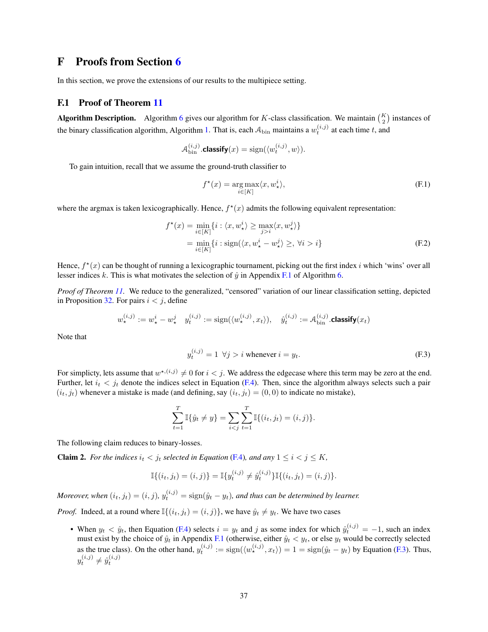## <span id="page-36-0"></span>F Proofs from Section [6](#page-8-1)

In this section, we prove the extensions of our results to the multipiece setting.

### <span id="page-36-1"></span>F.1 Proof of Theorem [11](#page-9-2)

**Algorithm Description.** Algorithm [6](#page-38-2) gives our algorithm for K-class classification. We maintain  $\binom{K}{2}$  instances of the binary classification algorithm, Algorithm [1.](#page-6-3) That is, each  $A_{\text{bin}}$  maintains a  $w_t^{(i,j)}$  at each time t, and

$$
\mathcal{A}_{\text{bin}}^{(i,j)}.\text{classify}(x) = \text{sign}(\langle w_t^{(i,j)}, w \rangle).
$$

To gain intuition, recall that we assume the ground-truth classifier to

<span id="page-36-4"></span>
$$
f^{\star}(x) = \underset{i \in [K]}{\arg \max} \langle x, w_{\star}^{i} \rangle,
$$
 (F.1)

where the argmax is taken lexicographically. Hence,  $f^*(x)$  admits the following equivalent representation:

$$
f^{\star}(x) = \min_{i \in [K]} \{i : \langle x, w_{\star}^{i} \rangle \ge \max_{j > i} \langle x, w_{\star}^{j} \rangle \}
$$
  
= 
$$
\min_{i \in [K]} \{i : \text{sign}(\langle x, w_{\star}^{i} - w_{\star}^{j} \rangle \ge, \forall i > i \}
$$
 (F.2)

Hence,  $f^*(x)$  can be thought of running a lexicographic tournament, picking out the first index i which 'wins' over all lesser indices k. This is what motivates the selection of  $\hat{y}$  in Appendix [F.1](#page-37-1) of Algorithm [6.](#page-38-2)

*Proof of Theorem [11.](#page-9-2)* We reduce to the generalized, "censored" variation of our linear classification setting, depicted in Proposition [32.](#page-21-4) For pairs  $i < j$ , define

$$
w_{\star}^{(i,j)} := w_{\star}^i - w_{\star}^j \quad y_t^{(i,j)} := \text{sign}(\langle w_{\star}^{(i,j)}, x_t \rangle), \quad \hat{y}_t^{(i,j)} := \mathcal{A}_{\text{bin}}^{(i,j)}.\text{classify}(x_t)
$$

Note that

<span id="page-36-2"></span>
$$
y_t^{(i,j)} = 1 \ \forall j > i \text{ whenever } i = y_t.
$$
 (F.3)

For simplicty, lets assume that  $w^{*,(i,j)} \neq 0$  for  $i < j$ . We address the edgecase where this term may be zero at the end. Further, let  $i_t < j_t$  denote the indices select in Equation [\(F.4\)](#page-38-3). Then, since the algorithm always selects such a pair  $(i_t, j_t)$  whenever a mistake is made (and defining, say  $(i_t, j_t) = (0, 0)$  to indicate no mistake),

$$
\sum_{t=1}^{T} \mathbb{I}\{\hat{y}_t \neq y\} = \sum_{i < j} \sum_{t=1}^{T} \mathbb{I}\{(i_t, j_t) = (i, j)\}.
$$

<span id="page-36-3"></span>The following claim reduces to binary-losses.

**Claim 2.** For the indices  $i_t < j_t$  selected in Equation [\(F.4\)](#page-38-3), and any  $1 \leq i < j \leq K$ ,

$$
\mathbb{I}\{(i_t,j_t)=(i,j)\}=\mathbb{I}\{y_t^{(i,j)}\neq \hat{y}_t^{(i,j)}\}\mathbb{I}\{(i_t,j_t)=(i,j)\}.
$$

*Moreover, when*  $(i_t, j_t) = (i, j)$ ,  $y_t^{(i, j)} = \text{sign}(\hat{y}_t - y_t)$ , and thus can be determined by learner.

*Proof.* Indeed, at a round where  $\mathbb{I}\{(i_t, j_t) = (i, j)\}\$ , we have  $\hat{y}_t \neq y_t$ . We have two cases

• When  $y_t < \hat{y}_t$ , then Equation [\(F.4\)](#page-38-3) selects  $i = y_t$  and j as some index for which  $\hat{y}_t^{(i,j)} = -1$ , such an index must exist by the choice of  $\hat{y}_t$  in Appendix [F.1](#page-37-1) (otherwise, either  $\hat{y}_t < y_t$ , or else  $y_t$  would be correctly selected as the true class). On the other hand,  $y_t^{(i,j)} := \text{sign}(\langle w_{\star}^{(i,j)}, x_t \rangle) = 1 = \text{sign}(\hat{y}_t - y_t)$  by Equation [\(F.3\)](#page-36-2). Thus,  $y_t^{(i,j)} \neq \hat{y}_t^{(i,j)}$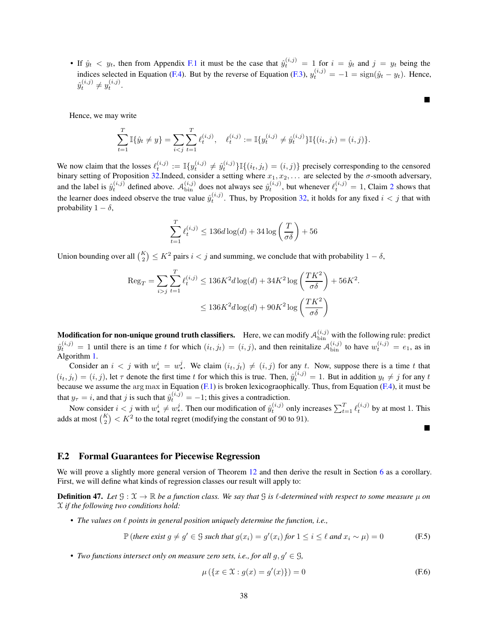• If  $\hat{y}_t < y_t$ , then from Appendix [F.1](#page-37-1) it must be the case that  $\hat{y}_t^{(i,j)} = 1$  for  $i = \hat{y}_t$  and  $j = y_t$  being the indices selected in Equation [\(F.4\)](#page-38-3). But by the reverse of Equation [\(F.3\)](#page-36-2),  $y_t^{(i,j)} = -1 = \text{sign}(\hat{y}_t - y_t)$ . Hence,  $\hat{y}_{t}^{(i,j)} \neq y_{t}^{(i,j)}.$ 

Hence, we may write

$$
\sum_{t=1}^T \mathbb{I}\{\hat{y}_t \neq y\} = \sum_{i < j} \sum_{t=1}^T \ell_t^{(i,j)}, \quad \ell_t^{(i,j)} := \mathbb{I}\{y_t^{(i,j)} \neq \hat{y}_t^{(i,j)}\} \mathbb{I}\{(i_t, j_t) = (i, j)\}.
$$

We now claim that the losses  $\ell_t^{(i,j)} := \mathbb{I}\{y_t^{(i,j)} \neq \hat{y}_t^{(i,j)}\}\mathbb{I}\{(i_t, j_t) = (i,j)\}\$ precisely corresponding to the censored binary setting of Proposition [32.](#page-21-4)Indeed, consider a setting where  $x_1, x_2, \ldots$  are selected by the  $\sigma$ -smooth adversary, and the label is  $\hat{y}_t^{(i,j)}$  defined above.  $\mathcal{A}_{\text{bin}}^{(i,j)}$  does not always see  $\hat{y}_t^{(i,j)}$ , but whenever  $\ell_t^{(i,j)} = 1$ , Claim [2](#page-36-3) shows that the learner does indeed observe the true value  $\hat{y}_t^{(i,j)}$ . Thus, by Proposition [32,](#page-21-4) it holds for any fixed  $i < j$  that with probability  $1 - \delta$ ,

$$
\sum_{t=1}^T \ell_t^{(i,j)} \leq 136d\log(d) + 34\log\left(\frac{T}{\sigma\delta}\right) + 56
$$

Union bounding over all  $\binom{K}{2} \leq K^2$  pairs  $i < j$  and summing, we conclude that with probability  $1 - \delta$ ,

$$
\begin{aligned} \text{Reg}_{T} &= \sum_{i > j} \sum_{t=1}^{T} \ell_{t}^{(i,j)} \le 136K^2 d \log(d) + 34K^2 \log\left(\frac{TK^2}{\sigma \delta}\right) + 56K^2. \\ &\le 136K^2 d \log(d) + 90K^2 \log\left(\frac{TK^2}{\sigma \delta}\right) \end{aligned}
$$

<span id="page-37-1"></span>**Modification for non-unique ground truth classifiers.** Here, we can modify  $A_{\text{bin}}^{(i,j)}$  with the following rule: predict  $\hat{y}_t^{(i,j)} = 1$  until there is an time t for which  $(i_t, j_t) = (i, j)$ , and then reinitalize  $\mathcal{A}_{\text{bin}}^{(i,j)}$  to have  $w_t^{(i,j)} = e_1$ , as in Algorithm [1.](#page-6-3)

Consider an  $i < j$  with  $w^i_{\star} = w^j_{\star}$ . We claim  $(i_t, j_t) \neq (i, j)$  for any t. Now, suppose there is a time t that  $(i_t, j_t) = (i, j)$ , let  $\tau$  denote the first time t for which this is true. Then,  $\hat{y}_t^{(i,j)} = 1$ . But in addition  $y_t \neq j$  for any t because we assume the arg max in Equation  $(F.1)$  is broken lexicographically. Thus, from Equation  $(F.4)$ , it must be that  $y_{\tau} = i$ , and that j is such that  $\hat{y}_t^{(i,j)} = -1$ ; this gives a contradiction.

Now consider  $i < j$  with  $w^i_{\star} \neq w^j_{\star}$ . Then our modification of  $\hat{y}^{(i,j)}_t$  only increases  $\sum_{t=1}^T \ell_t^{(i,j)}$  by at most 1. This adds at most  $\binom{K}{2} < K^2$  to the total regret (modifying the constant of 90 to 91).

#### <span id="page-37-0"></span>F.2 Formal Guarantees for Piecewise Regression

<span id="page-37-2"></span>We will prove a slightly more general version of Theorem [12](#page-9-3) and then derive the result in Section [6](#page-8-1) as a corollary. First, we will define what kinds of regression classes our result will apply to:

**Definition 47.** Let  $G: \mathcal{X} \to \mathbb{R}$  be a function class. We say that G is  $\ell$ -determined with respect to some measure  $\mu$  on X *if the following two conditions hold:*

• *The values on* ℓ *points in general position uniquely determine the function, i.e.,*

$$
\mathbb{P}\left(\text{there exist } g \neq g' \in \mathcal{G} \text{ such that } g(x_i) = g'(x_i) \text{ for } 1 \leq i \leq \ell \text{ and } x_i \sim \mu\right) = 0 \tag{F.5}
$$

• *Two functions intersect only on measure zero sets, i.e., for all*  $g, g' \in \mathcal{G}$ *,* 

$$
\mu\left(\{x \in \mathcal{X} : g(x) = g'(x)\}\right) = 0\tag{F.6}
$$

 $\blacksquare$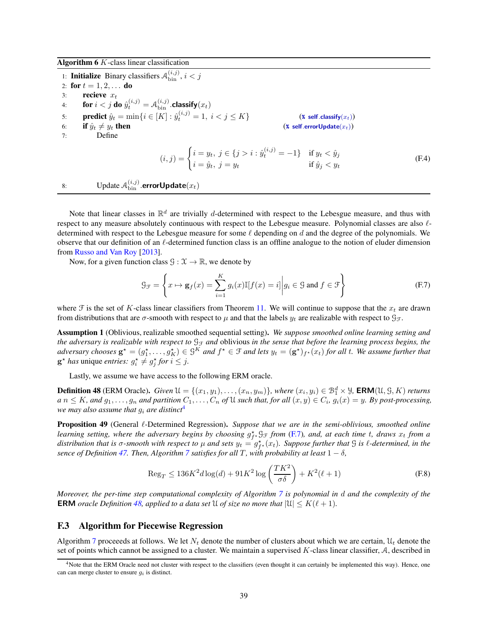Algorithm  $6K$ -class linear classification

1: **Initialize** Binary classifiers  $A_{\text{bin}}^{(i,j)}$ ,  $i < j$ 2: for  $t = 1, 2, ...$  do 3: recieve  $x_t$ 4: for  $i < j$  do  $\hat{y}_{t}^{(i,j)} = \mathcal{A}_{\text{bin}}^{(i,j)}$ .classify $(x_t)$ 5: **predict**  $\hat{y}_t = \min\{i \in [K] : \hat{y}_t^{(i,j)} = 1, i < j \le K\}$  (**\*** self.classify( $x_t$ )) 6: **if**  $\hat{y}_t \neq y_t$  **then** (**%** self.errorUpdate $(x_t)$ )<br>7: Define Define  $(i, j) = \begin{cases} i = y_t, \ j \in \{j > i : \hat{y}_t^{(i, j)} = -1\} & \text{if } y_t < \hat{y}_j \end{cases}$  $i = \hat{y}_t, \ j = y_t$  if  $\hat{y}_j < y_t$ (F.4) 8: Update  $\mathcal{A}_{\text{bin}}^{(i,j)}$  errorUpdate $(x_t)$ 

<span id="page-38-2"></span>Note that linear classes in  $\mathbb{R}^d$  are trivially d-determined with respect to the Lebesgue measure, and thus with respect to any measure absolutely continuous with respect to the Lebesgue measure. Polynomial classes are also  $\ell$ determined with respect to the Lebesgue measure for some  $\ell$  depending on  $d$  and the degree of the polynomials. We observe that our definition of an  $\ell$ -determined function class is an offline analogue to the notion of eluder dimension from [Russo and Van Roy](#page-11-20) [\[2013\]](#page-11-20).

Now, for a given function class  $\mathcal{G} : \mathcal{X} \to \mathbb{R}$ , we denote by

<span id="page-38-5"></span><span id="page-38-3"></span>
$$
\mathcal{G}_{\mathcal{F}} = \left\{ x \mapsto \mathbf{g}_f(x) = \sum_{i=1}^K g_i(x) \mathbb{I}[f(x) = i] \middle| g_i \in \mathcal{G} \text{ and } f \in \mathcal{F} \right\}
$$
(F.7)

where F is the set of K-class linear classifiers from Theorem [11.](#page-9-2) We will continue to suppose that the  $x_t$  are drawn from distributions that are  $\sigma$ -smooth with respect to  $\mu$  and that the labels  $y_t$  are realizable with respect to  $\mathcal{G}_{\mathcal{F}}$ .

Assumption 1 (Oblivious, realizable smoothed sequential setting). *We suppose smoothed online learning setting and the adversary is realizable with respect to*  $\mathcal{G}_{\mathcal{F}}$  *and* oblivious *in the sense that before the learning process begins, the*  $adversary\ chooses g^* = (g_1^*, \ldots, g_K^*) \in \mathcal{G}^K$  and  $f^* \in \mathcal{F}$  and lets  $y_t = (\mathbf{g}^*)_{f^*}(x_t)$  for all t. We assume further that  $\mathbf{g}^{\star}$  *has* unique *entries:*  $g_i^{\star} \neq g_j^{\star}$  *for*  $i \leq j$ .

<span id="page-38-6"></span>Lastly, we assume we have access to the following ERM oracle.

**Definition 48** (ERM Oracle). *Given*  $\mathcal{U} = \{(x_1, y_1), \ldots, (x_n, y_m)\}$ , where  $(x_i, y_i) \in \mathcal{B}_1^d \times \mathcal{Y}$ , **ERM**( $\mathcal{U}, \mathcal{G}, K$ ) *returns*  $a n \leq K$ , and  $g_1, \ldots, g_n$  and partition  $C_1, \ldots, C_n$  of U such that, for all  $(x, y) \in C_i$ ,  $g_i(x) = y$ . By post-processing, *we may also assume that* g<sup>i</sup> *are distinct*[4](#page-38-4)

<span id="page-38-1"></span>Proposition 49 (General ℓ-Determined Regression). *Suppose that we are in the semi-oblivious, smoothed online* learning setting, where the adversary begins by choosing  $g_f^*$ ,  $\mathcal{G}_f$  *from* [\(F.7\)](#page-38-5), and, at each time t, draws  $x_t$  from a distribution that is  $\sigma$ -smooth with respect to  $\mu$  and sets  $y_t = g_{f^*}^*(x_t)$ . Suppose further that  $G$  is  $\ell$ -determined, in the *sence of Definition* [47.](#page-37-2) *Then, Algorithm* [7](#page-39-0) *satisfies for all* T, with probability at least  $1 - \delta$ ,

$$
\operatorname{Reg}_T \le 136K^2 d \log(d) + 91K^2 \log\left(\frac{TK^2}{\sigma \delta}\right) + K^2(\ell+1)
$$
\n(F.8)

*Moreover, the per-time step computational complexity of Algorithm [7](#page-39-0) is polynomial in* d *and the complexity of the* **ERM** *oracle Definition* [48,](#page-38-6) applied to a data set U of size no more that  $|\mathcal{U}| \leq K(\ell+1)$ .

### <span id="page-38-0"></span>F.3 Algorithm for Piecewise Regression

Algorithm [7](#page-39-0) proceeeds at follows. We let  $N_t$  denote the number of clusters about which we are certain,  $\mathcal{U}_t$  denote the set of points which cannot be assigned to a cluster. We maintain a supervised K-class linear classifier, A, described in

<span id="page-38-4"></span> $4$ Note that the ERM Oracle need not cluster with respect to the classifiers (even thought it can certainly be implemented this way). Hence, one can can merge cluster to ensure  $g_i$  is distinct.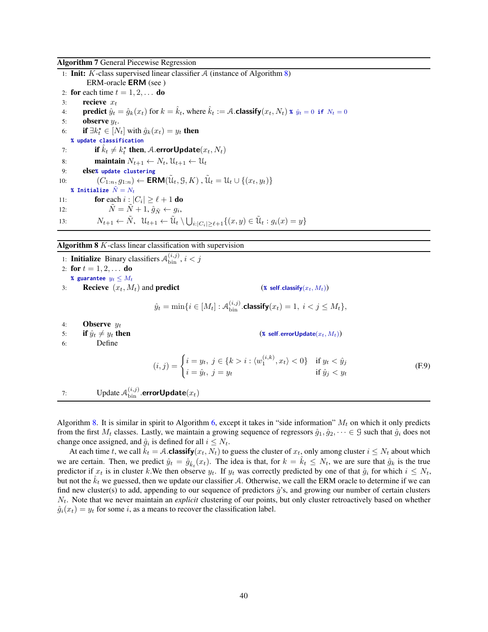Algorithm 7 General Piecewise Regression

1: **Init:** K-class supervised linear classifier A (instance of Algorithm [8\)](#page-39-1) ERM-oracle ERM (see ) 2: for each time  $t = 1, 2, \ldots$  do 3: recieve  $x_t$ 4: **predict**  $\hat{y}_t = \hat{g}_k(x_t)$  for  $k = \hat{k}_t$ , where  $\hat{k}_t := A$ . **classify** $(x_t, N_t)$  **\***  $\hat{y}_t = 0$  **if**  $N_t = 0$ 5: **observe**  $y_t$ . 6: **if**  $\exists k_t^* \in [N_t]$  with  $\hat{g}_k(x_t) = y_t$  **then % update classification** 7: **if**  $\hat{k}_t \neq k_t^*$  then, A.errorUpdate $(x_t, N_t)$ 8: **maintain**  $N_{t+1} \leftarrow N_t$ ,  $\mathcal{U}_{t+1} \leftarrow \mathcal{U}_t$ <br>9: **else**% update clustering 9: else**% update clustering** 10:  $(C_{1:n}, g_{1:n}) \leftarrow \textsf{ERM}(\tilde{\mathfrak{U}}_t, \mathfrak{S}, K)$ ,  $\tilde{\mathfrak{U}}_t = \mathfrak{U}_t \cup \{(x_t, y_t)\}$ **% Initialize**  $\tilde{N} = N_t$ 11: **for** each  $i : |C_i| \ge \ell + 1$  **do** 12:  $\tilde{N} = \tilde{N} + 1, \hat{g}_{\tilde{N}} \leftarrow g_i,$ 13:  $N_{t+1} \leftarrow \tilde{N}, \ \mathcal{U}_{t+1} \leftarrow \tilde{\mathcal{U}}_t \setminus \bigcup_{i:|C_i| \geq \ell+1} \{(x, y) \in \tilde{\mathcal{U}}_t : g_i(x) = y\}$ 

<span id="page-39-0"></span>Algorithm 8 K-class linear classification with supervision

1: **Initialize** Binary classifiers  $A_{\text{bin}}^{(i,j)}$ ,  $i < j$ 2: for  $t = 1, 2, ...$  do **% guarantee**  $y_t \leq M_t$ 3: **Recieve**  $(x_t, M_t)$  and **predict** (**\*** self.classify $(x_t, M_t)$ )  $\hat{y}_t = \min\{i \in [M_t] : \mathcal{A}_{\text{bin}}^{(i,j)}.$ classify $(x_t) = 1, i < j \leq M_t\},$ 4: **Observe**  $y_t$ 5: **if**  $\hat{y}_t \neq y_t$  **then** (**\*** self.errorUpdate( $x_t$ ,  $M_t$ ))<br>6: Define Define  $(i, j) = \begin{cases} i = y_t, \ j \in \{k > i : \langle w_1^{(i,k)}, x_t \rangle < 0 \} & \text{if } y_t < \hat{y}_j \end{cases}$  $i = \hat{y}_t, \ j = y_t$  if  $\hat{y}_j < y_t$ (F.9) 7: Update  $\mathcal{A}_{\text{bin}}^{(i,j)}$  errorUpdate $(x_t)$ 

<span id="page-39-1"></span>Algorithm [8.](#page-39-1) It is similar in spirit to Algorithm [6,](#page-38-2) except it takes in "side information"  $M_t$  on which it only predicts from the first  $M_t$  classes. Lastly, we maintain a growing sequence of regressors  $\hat{g}_1, \hat{g}_2, \dots \in \mathcal{G}$  such that  $\hat{g}_i$  does not change once assigned, and  $\hat{g}_i$  is defined for all  $i \leq N_t$ .

At each time t, we call  $k_t = A$ .classify( $x_t, N_t$ ) to guess the cluster of  $x_t$ , only among cluster  $i \leq N_t$  about which we are certain. Then, we predict  $\hat{y}_t = \hat{g}_{\hat{k}_t}(x_t)$ . The idea is that, for  $k = \hat{k}_t \leq N_t$ , we are sure that  $\hat{g}_k$  is the true predictor if  $x_t$  is in cluster k.We then observe  $y_t$ . If  $y_t$  was correctly predicted by one of that  $\hat{g}_i$  for which  $i \leq N_t$ , but not the  $k_t$  we guessed, then we update our classifier A. Otherwise, we call the ERM oracle to determine if we can find new cluster(s) to add, appending to our sequence of predictors  $\hat{q}$ 's, and growing our number of certain clusters  $N_t$ . Note that we never maintain an *explicit* clustering of our points, but only cluster retroactively based on whether  $\hat{g}_i(x_t) = y_t$  for some i, as a means to recover the classification label.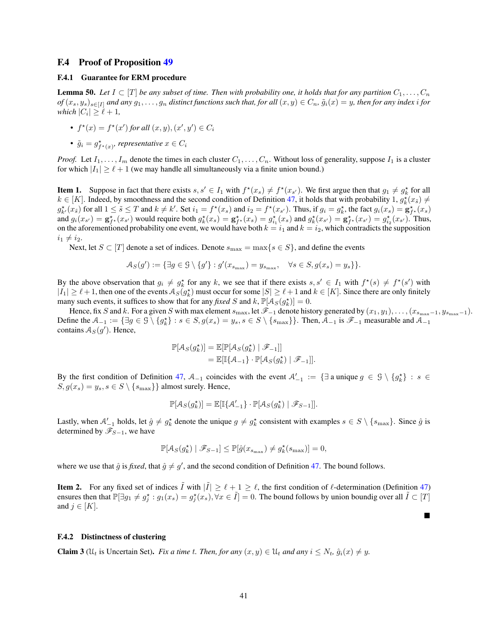#### <span id="page-40-1"></span><span id="page-40-0"></span>F.4 Proof of Proposition [49](#page-38-1)

#### <span id="page-40-4"></span>F.4.1 Guarantee for ERM procedure

**Lemma 50.** Let  $I \subset [T]$  be any subset of time. Then with probability one, it holds that for any partition  $C_1, \ldots, C_n$  $of(x_s, y_s)_{s \in [I]}$  and any  $g_1, \ldots, g_n$  distinct functions such that, for all  $(x, y) \in C_n$ ,  $\tilde{g}_i(x) = y$ , then for any index i for *which*  $|C_i| \geq \ell + 1$ *,* 

- $f^*(x) = f^*(x')$  for all  $(x, y), (x', y') \in C_i$
- $\tilde{g}_i = g^{\star}_{f^{\star}(x)}$ , representative  $x \in C_i$

*Proof.* Let  $I_1, \ldots, I_m$  denote the times in each cluster  $C_1, \ldots, C_n$ . Without loss of generality, suppose  $I_1$  is a cluster for which  $|I_1| \geq \ell + 1$  (we may handle all simultaneously via a finite union bound.)

**Item 1.** Suppose in fact that there exists  $s, s' \in I_1$  with  $f^*(x_s) \neq f^*(x_{s'})$ . We first argue then that  $g_1 \neq g_k^*$  for all  $k \in [K]$ . Indeed, by smoothness and the second condition of Definition [47,](#page-37-2) it holds that with probability 1,  $g_k^*(x_s) \neq$  $g_{k'}^{\star}(x_{\tilde{s}})$  for all  $1 \leq \tilde{s} \leq T$  and  $k \neq k'$ . Set  $i_1 = f^{\star}(x_s)$  and  $i_2 = f^{\star}(x_{s'})$ . Thus, if  $g_i = g_k^{\star}$ , the fact  $g_i(x_s) = g_{f^{\star}}^{\star}(x_s)$ and  $g_i(x_{s'}) = \mathbf{g}_{f^*}^{\star}(x_{s'})$  would require both  $g_k^{\star}(x_s) = \mathbf{g}_{f^*}^{\star}(x_s) = g_{i_1}^{\star}(x_s)$  and  $g_k^{\star}(x_{s'}) = \mathbf{g}_{f^*}^{\star}(x_{s'}) = g_{i_2}^{\star}(x_{s'})$ . Thus, on the aforementioned probability one event, we would have both  $k = i_1$  and  $k = i_2$ , which contradicts the supposition  $i_1 \neq i_2$ .

Next, let  $S \subset [T]$  denote a set of indices. Denote  $s_{\max} = \max\{s \in S\}$ , and define the events

$$
\mathcal{A}_S(g') := \{ \exists g \in \mathcal{G} \setminus \{g'\} : g'(x_{s_{\max}}) = y_{s_{\max}}, \quad \forall s \in S, g(x_s) = y_s \} \}.
$$

By the above observation that  $g_i \neq g_k^*$  for any k, we see that if there exists  $s, s' \in I_1$  with  $f^*(s) \neq f^*(s')$  with  $|I_1| \geq \ell + 1$ , then one of the events  $A_S(g_k^*)$  must occur for some  $|S| \geq \ell + 1$  and  $k \in [K]$ . Since there are only finitely many such events, it suffices to show that for any *fixed* S and k,  $\mathbb{P}[\mathcal{A}_S(g_k^*)] = 0$ .

Hence, fix S and k. For a given S with max element  $s_{\text{max}}$ , let  $\mathscr{F}_{-1}$  denote history generated by  $(x_1, y_1), \ldots, (x_{s_{\text{max}}-1}, y_{s_{\text{max}}-1})$ . Define the  $A_{-1} := \{ \exists g \in \mathcal{G} \setminus \{g_k^{\star}\} : s \in S, g(x_s) = y_s, s \in S \setminus \{s_{\max}\}\}\.$  Then,  $A_{-1}$  is  $\mathscr{F}_{-1}$  measurable and  $A_{-1}$ contains  $A_S(g')$ . Hence,

$$
\mathbb{P}[\mathcal{A}_{S}(g_{k}^{\star})] = \mathbb{E}[\mathbb{P}[\mathcal{A}_{S}(g_{k}^{\star}) | \mathscr{F}_{-1}]]
$$
  
= 
$$
\mathbb{E}[\mathbb{I}\{\mathcal{A}_{-1}\} \cdot \mathbb{P}[\mathcal{A}_{S}(g_{k}^{\star}) | \mathscr{F}_{-1}]].
$$

By the first condition of Definition [47,](#page-37-2)  $A_{-1}$  coincides with the event  $A'_{-1} := \{ \exists \text{ a unique } g \in \mathcal{G} \setminus \{ g_k^{\star} \} : s \in \mathcal{A} \}$  $S, g(x_s) = y_s, s \in S \setminus \{s_{\text{max}}\}\}\$ almost surely. Hence,

$$
\mathbb{P}[\mathcal{A}_S(g_k^{\star})] = \mathbb{E}[\mathbb{I}\{\mathcal{A}_{-1}^{\prime}\}\cdot \mathbb{P}[\mathcal{A}_S(g_k^{\star}) \mid \mathscr{F}_{S-1}]].
$$

Lastly, when  $A'_{-1}$  holds, let  $\hat{g} \neq g_k^*$  denote the unique  $g \neq g_k^*$  consistent with examples  $s \in S \setminus \{s_{\max}\}\$ . Since  $\hat{g}$  is determined by  $\mathscr{F}_{S-1}$ , we have

$$
\mathbb{P}[\mathcal{A}_S(g_k^\star) \mid \mathscr{F}_{S-1}] \le \mathbb{P}[\hat{g}(x_{s_{\max}}) \ne g_k^\star(s_{\max})] = 0,
$$

where we use that  $\hat{g}$  is *fixed*, that  $\hat{g} \neq g'$ , and the second condition of Definition [47.](#page-37-2) The bound follows.

**Item 2.** For any fixed set of indices  $\tilde{I}$  with  $|\tilde{I}| \geq \ell + 1 \geq \ell$ , the first condition of  $\ell$ -determination (Definition [47\)](#page-37-2) ensures then that  $\mathbb{P}[\exists g_1 \neq g_1^* : g_1(x_s) = g_j^*(x_s), \forall x \in \tilde{I}] = 0$ . The bound follows by union boundig over all  $\tilde{I} \subset [T]$ and  $j \in [K]$ .

■

#### <span id="page-40-3"></span><span id="page-40-2"></span>F.4.2 Distinctness of clustering

**Claim 3** ( $\mathcal{U}_t$  is Uncertain Set). *Fix a time t. Then, for any*  $(x, y) \in \mathcal{U}_t$  *and any*  $i \leq N_t$ ,  $\hat{g}_i(x) \neq y$ .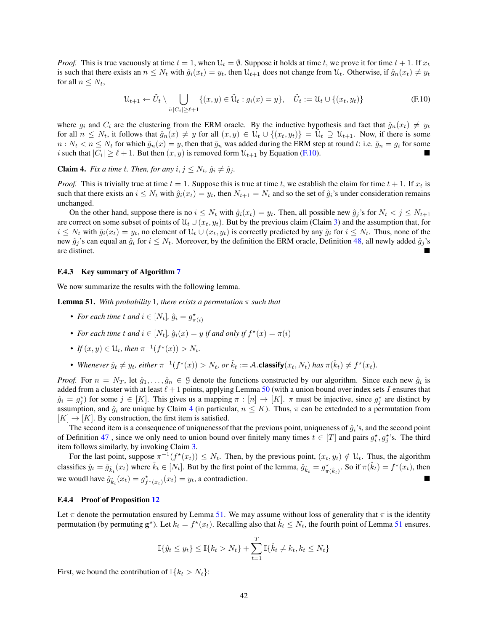*Proof.* This is true vacuously at time  $t = 1$ , when  $\mathcal{U}_t = \emptyset$ . Suppose it holds at time t, we prove it for time  $t + 1$ . If  $x_t$ is such that there exists an  $n \leq N_t$  with  $\hat{g}_i(x_t) = y_t$ , then  $\mathcal{U}_{t+1}$  does not change from  $\mathcal{U}_t$ . Otherwise, if  $\hat{g}_n(x_t) \neq y_t$ for all  $n \leq N_t$ ,

<span id="page-41-2"></span>
$$
\mathcal{U}_{t+1} \leftarrow \tilde{U}_t \setminus \bigcup_{i:|C_i| \ge \ell+1} \{(x, y) \in \tilde{\mathcal{U}}_t : g_i(x) = y\}, \quad \tilde{U}_t := \mathcal{U}_t \cup \{(x_t, y_t)\}\
$$
(F.10)

where  $g_i$  and  $C_i$  are the clustering from the ERM oracle. By the inductive hypothesis and fact that  $\hat{g}_n(x_t) \neq y_t$ for all  $n \leq N_t$ , it follows that  $\hat{g}_n(x) \neq y$  for all  $(x, y) \in \mathcal{U}_t \cup \{(x_t, y_t)\} = \tilde{\mathcal{U}}_t \supseteq \mathcal{U}_{t+1}$ . Now, if there is some  $n: N_t < n \le N_t$  for which  $\hat{g}_n(x) = y$ , then that  $\hat{g}_n$  was added during the ERM step at round t: i.e.  $\hat{g}_n = g_i$  for some i such that  $|C_i| \ge \ell + 1$ . But then  $(x, y)$  is removed form  $\mathcal{U}_{t+1}$  by Equation [\(F.10\)](#page-41-2).

<span id="page-41-3"></span>**Claim 4.** *Fix a time t. Then, for any*  $i, j \leq N_t$ ,  $\hat{g}_i \neq \hat{g}_j$ .

*Proof.* This is trivially true at time  $t = 1$ . Suppose this is true at time t, we establish the claim for time  $t + 1$ . If  $x_t$  is such that there exists an  $i \leq N_t$  with  $\hat{g}_i(x_t) = y_t$ , then  $N_{t+1} = N_t$  and so the set of  $\hat{g}_i$ 's under consideration remains unchanged.

On the other hand, suppose there is no  $i \leq N_t$  with  $\hat{g}_i(x_t) = y_t$ . Then, all possible new  $\hat{g}_j$ 's for  $N_t < j \leq N_{t+1}$ are correct on some subset of points of  $\mathcal{U}_t \cup (x_t, y_t)$ . But by the previous claim (Claim [3\)](#page-40-3) and the assumption that, for  $i \leq N_t$  with  $\hat{g}_i(x_t) = y_t$ , no element of  $\mathcal{U}_t \cup (x_t, y_t)$  is correctly predicted by any  $\hat{g}_i$  for  $i \leq N_t$ . Thus, none of the new  $\hat{g}_j$ 's can equal an  $\hat{g}_i$  for  $i \leq N_t$ . Moreover, by the definition the ERM oracle, Definition [48,](#page-38-6) all newly added  $\hat{g}_j$ 's are distinct. are distinct.

#### <span id="page-41-0"></span>F.4.3 Key summary of Algorithm [7](#page-39-0)

<span id="page-41-4"></span>We now summarize the results with the following lemma.

**Lemma 51.** *With probability* 1*, there exists a permutation*  $\pi$  *such that* 

- For each time t and  $i \in [N_t]$ ,  $\hat{g}_i = g^{\star}_{\pi(i)}$
- For each time  $t$  and  $i \in [N_t]$ ,  $\hat{g}_i(x) = y$  if and only if  $f^*(x) = \pi(i)$
- *If*  $(x, y) \in \mathcal{U}_t$ , then  $\pi^{-1}(f^*(x)) > N_t$ .
- Whenever  $\hat{y}_t \neq y_t$ , either  $\pi^{-1}(f^*(x)) > N_t$ , or  $\hat{k}_t := A$ .**classify** $(x_t, N_t)$  has  $\pi(\hat{k}_t) \neq f^*(x_t)$ .

*Proof.* For  $n = N_T$ , let  $\hat{g}_1, \ldots, \hat{g}_n \in \mathcal{G}$  denote the functions constructed by our algorithm. Since each new  $\hat{g}_i$  is added from a cluster with at least  $\ell + 1$  points, applying Lemma [50](#page-40-4) (with a union bound over index sets I ensures that  $\hat{g}_i = g_j^*$ ) for some  $j \in [K]$ . This gives us a mapping  $\pi : [n] \to [K]$ .  $\pi$  must be injective, since  $g_j^*$  are distinct by assumption, and  $\hat{g}_i$  are unique by Claim [4](#page-41-3) (in particular,  $n \leq K$ ). Thus,  $\pi$  can be extednded to a permutation from  $[K] \rightarrow [K]$ . By construction, the first item is satisfied.

The second item is a consequence of uniquenessof that the previous point, uniqueness of  $\hat{g}_i$ 's, and the second point of Definition [47](#page-37-2), since we only need to union bound over finitely many times  $t \in [T]$  and pairs  $g_t^*, g_j^*$ 's. The third item follows similarly, by invoking Claim [3.](#page-40-3)

For the last point, suppose  $\pi^{-1}(f^*(x_t)) \leq N_t$ . Then, by the previous point,  $(x_t, y_t) \notin \mathcal{U}_t$ . Thus, the algorithm classifies  $\hat{y}_t = \hat{g}_{\hat{k}_t}(x_t)$  where  $\hat{k}_t \in [N_t]$ . But by the first point of the lemma,  $\hat{g}_{\hat{k}_t} = g^{\star}_{\pi(\hat{k}_t)}$ . So if  $\pi(\hat{k}_t) = f^{\star}(x_t)$ , then we woudl have  $\hat{g}_{\hat{k}_t}(x_t) = g^{\star}_{f^{\star}(x_t)}(x_t) = y_t$ , a contradiction.

#### <span id="page-41-1"></span>F.4.4 Proof of Proposition [12](#page-9-3)

Let  $\pi$  denote the permutation ensured by Lemma [51.](#page-41-4) We may assume without loss of generality that  $\pi$  is the identity permutation (by permuting  $g^*$ ). Let  $k_t = f^*(x_t)$ . Recalling also that  $\hat{k}_t \leq N_t$ , the fourth point of Lemma [51](#page-41-4) ensures.

$$
\mathbb{I}\{\hat{y}_t \le y_t\} \le \mathbb{I}\{k_t > N_t\} + \sum_{t=1}^T \mathbb{I}\{\hat{k}_t \ne k_t, k_t \le N_t\}
$$

First, we bound the contribution of  $\mathbb{I}\{k_t > N_t\}$ :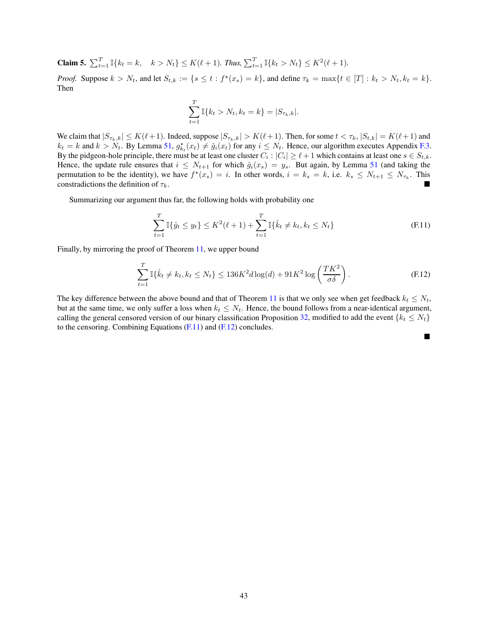**Claim 5.**  $\sum_{t=1}^{T} \mathbb{I}\{k_t = k, \quad k > N_t\} \le K(\ell+1)$ . Thus,  $\sum_{t=1}^{T} \mathbb{I}\{k_t > N_t\} \le K^2(\ell+1)$ .

*Proof.* Suppose  $k > N_t$ , and let  $S_{t,k} := \{ s \le t : f^*(x_s) = k \}$ , and define  $\tau_k = \max\{ t \in [T] : k_t > N_t, k_t = k \}$ . Then

$$
\sum_{t=1}^{T} \mathbb{I}\{k_t > N_t, k_t = k\} = |S_{\tau_k, k}|.
$$

We claim that  $|S_{\tau_k,k}| \le K(\ell+1)$ . Indeed, suppose  $|S_{\tau_k,k}| > K(\ell+1)$ . Then, for some  $t < \tau_k$ ,  $|S_{t,k}| = K(\ell+1)$  and  $k_t = k$  and  $k > N_t$ . By Lemma [51,](#page-41-4)  $g_{k_t}^*(x_t) \neq \hat{g}_i(x_t)$  for any  $i \leq N_t$ . Hence, our algorithm executes Appendix [F.3.](#page-38-0) By the pidgeon-hole principle, there must be at least one cluster  $C_i : |C_i| \ge \ell + 1$  which contains at least one  $s \in S_{t,k}$ . Hence, the update rule ensures that  $i \leq N_{t+1}$  for which  $\hat{g}_i(x_s) = y_s$ . But again, by Lemma [51](#page-41-4) (and taking the permutation to be the identity), we have  $f^*(x_s) = i$ . In other words,  $i = k_s = k$ , i.e.  $k_s \leq N_{t+1} \leq N_{\tau_k}$ . This constradictions the definition of  $\tau_k$ .

Summarizing our argument thus far, the following holds with probability one

$$
\sum_{t=1}^{T} \mathbb{I}\{\hat{y}_t \le y_t\} \le K^2(\ell+1) + \sum_{t=1}^{T} \mathbb{I}\{\hat{k}_t \ne k_t, k_t \le N_t\}
$$
 (F.11)

Finally, by mirroring the proof of Theorem [11,](#page-9-2) we upper bound

$$
\sum_{t=1}^{T} \mathbb{I}\{\hat{k}_t \neq k_t, k_t \leq N_t\} \leq 136K^2 d \log(d) + 91K^2 \log\left(\frac{TK^2}{\sigma \delta}\right). \tag{F.12}
$$

<span id="page-42-1"></span><span id="page-42-0"></span> $\blacksquare$ 

The key difference between the above bound and that of Theorem [11](#page-9-2) is that we only see when get feedback  $k_t \leq N_t$ , but at the same time, we only suffer a loss when  $k_t \leq N_t$ . Hence, the bound follows from a near-identical argument, calling the general censored version of our binary classification Proposition [32,](#page-21-4) modified to add the event  $\{k_t \leq N_t\}$ to the censoring. Combining Equations [\(F.11\)](#page-42-0) and [\(F.12\)](#page-42-1) concludes.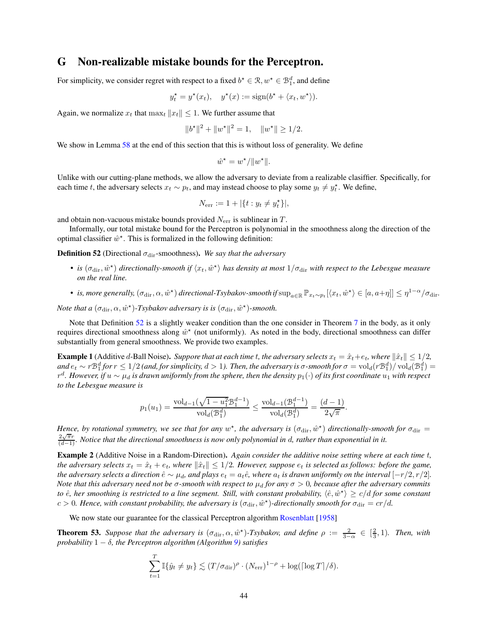## <span id="page-43-0"></span>G Non-realizable mistake bounds for the Perceptron.

For simplicity, we consider regret with respect to a fixed  $b^* \in \mathcal{R}, w^* \in \mathcal{B}_1^d$ , and define

$$
y_t^* = y^*(x_t),
$$
  $y^*(x) := sign(b^* + \langle x_t, w^* \rangle).$ 

Again, we normalize  $x_t$  that  $\max_t ||x_t|| \leq 1$ . We further assume that

$$
||b^*||^2 + ||w^*||^2 = 1, \quad ||w^*|| \ge 1/2.
$$

We show in Lemma [58](#page-46-1) at the end of this section that this is without loss of generality. We define

$$
\hat{w}^{\star} = w^{\star}/\|w^{\star}\|.
$$

Unlike with our cutting-plane methods, we allow the adversary to deviate from a realizable clasiffier. Specifically, for each time t, the adversary selects  $x_t \sim p_t$ , and may instead choose to play some  $y_t \neq y_t^*$ . We define,

$$
N_{\text{err}} := 1 + |\{t : y_t \neq y_t^{\star}\}|,
$$

and obtain non-vacuous mistake bounds provided  $N_{\text{err}}$  is sublinear in T.

<span id="page-43-3"></span>Informally, our total mistake bound for the Perceptron is polynomial in the smoothness along the direction of the optimal classifier  $\hat{w}^*$ . This is formalized in the following definition:

**Definition 52** (Directional  $\sigma_{\text{dir}}$ -smoothness). We say that the adversary

- *is*  $(\sigma_{\text{dir}}, \hat{w}^*)$  directionally-smooth if  $\langle x_t, \hat{w}^* \rangle$  has density at most  $1/\sigma_{\text{dir}}$  with respect to the Lebesgue measure *on the real line.*
- *is, more generally,*  $(\sigma_{\text{dir}}, \alpha, \hat{w}^*)$  directional-Tsybakov-smooth if  $\sup_{a \in \mathbb{R}} \mathbb{P}_{x_t \sim p_t} [\langle x_t, \hat{w}^* \rangle \in [a, a + \eta]] \leq \eta^{1-\alpha}/\sigma_{\text{dir}}$ .

*Note that a*  $(\sigma_{\text{dir}}, \alpha, \hat{w}^{\star})$ -*Tsybakov adversary is is*  $(\sigma_{\text{dir}}, \hat{w}^{\star})$ -*smooth.* 

Note that Definition [52](#page-43-3) is a slightly weaker condition than the one consider in Theorem [7](#page-7-5) in the body, as it only requires directional smoothness along  $\hat{w}^*$  (not uniformly). As noted in the body, directional smoothness can differ substantially from general smoothness. We provide two examples.

<span id="page-43-4"></span>**Example 1** (Additive d-Ball Noise). Suppore that at each time t, the adversary selects  $x_t = \hat{x}_t + e_t$ , where  $\|\hat{x}_t\| \leq 1/2$ ,  $\int \frac{da}{dt} \, dt \sim r \, \mathcal{B}_1^d$  for  $r \leq 1/2$  (and, for simplicity,  $d > 1$ ). Then, the adversary is  $\sigma$ -smooth for  $\sigma = \text{vol}_d(r \mathcal{B}_1^d) / \text{vol}_d(\mathcal{B}_1^d) =$ r d *. However, if* u ∼ µ<sup>d</sup> *is drawn uniformly from the sphere, then the density* p1(·) *of its first coordinate* u<sup>1</sup> *with respect to the Lebesgue measure is*

$$
p_1(u_1) = \frac{\text{vol}_{d-1}(\sqrt{1 - u_1^2} \mathcal{B}_1^{d-1})}{\text{vol}_d(\mathcal{B}_1^d)} \le \frac{\text{vol}_{d-1}(\mathcal{B}_1^{d-1})}{\text{vol}_d(\mathcal{B}_1^d)} = \frac{(d-1)}{2\sqrt{\pi}}.
$$

*Hence, by rotational symmetry, we see that for any*  $w^*$ , the adversary is  $(\sigma_{\rm dir}, \hat{w}^*)$  directionally-smooth for  $\sigma_{\rm dir}$  =  $\frac{2\sqrt{\pi}r}{(d-1)}$ *. Notice that the directional smoothness is now only polynomial in d, rather than exponential in it.* 

<span id="page-43-1"></span>Example 2 (Additive Noise in a Random-Direction). *Again consider the additive noise setting where at each time* t*, the adversary selects*  $x_t = \hat{x}_t + e_t$ , where  $\|\hat{x}_t\| \leq 1/2$ . However, suppose  $e_t$  is selected as follows: before the game, *the adversary selects a direction*  $\hat{e} \sim \mu_d$ , and plays  $e_t = a_t \hat{e}$ , where  $a_t$  *is drawn uniformly on the interval*  $[-r/2, r/2]$ *. Note that this adversary need not be*  $\sigma$ -smooth with respect to  $\mu_d$  for any  $\sigma > 0$ , because after the adversary commits to  $\hat{e}$ , her smoothing is restricted to a line segment. Still, with constant probability,  $\langle \hat{e}, \hat{w}^* \rangle \ge c/d$  for some constant  $c > 0$ . Hence, with constant probability, the adversary is  $(\sigma_{\rm dir}, \hat{w}^*)$ -directionally smooth for  $\sigma_{\rm dir} = cr/d$ .

<span id="page-43-5"></span>We now state our guarantee for the classical Perceptron algorithm [Rosenblatt](#page-11-10) [\[1958\]](#page-11-10)

<span id="page-43-2"></span>**Theorem 53.** Suppose that the adversary is  $(\sigma_{\text{dir}}, \alpha, \hat{w}^*)$ -Tsybakov, and define  $\rho := \frac{2}{3-\alpha} \in [\frac{2}{3}, 1)$ . Then, with *probability*  $1 - \delta$ *, the Perceptron algorithm (Algorithm [9\)](#page-44-1) satisfies* 

$$
\sum_{t=1}^T \mathbb{I}\{\hat{y}_t \neq y_t\} \lesssim (T/\sigma_{\text{dir}})^{\rho} \cdot (N_{\text{err}})^{1-\rho} + \log(\lceil \log T \rceil/\delta).
$$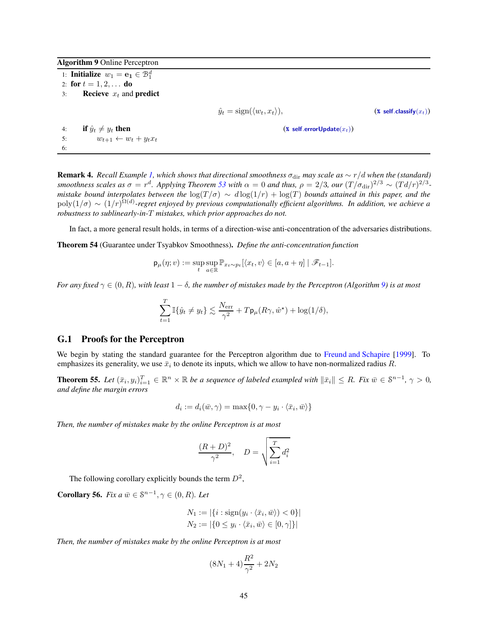Algorithm 9 Online Perceptron

1: **Initialize**  $w_1 = \mathbf{e_1} \in \mathcal{B}_1^d$ 2: for  $t = 1, 2, ...$  do 3: **Recieve**  $x_t$  and **predict**  $\hat{y}_t = \text{sign}(\langle w_t, x_t \rangle),$  (**%** self.classify(x<sub>t</sub>)) 4: **if**  $\hat{y}_t \neq y_t$  **then** (**\*** self.errorUpdate( $x_t$ ))<br>5:  $w_{t+1} \leftarrow w_t + y_t x_t$  $w_{t+1} \leftarrow w_t + y_t x_t$ 6:

<span id="page-44-1"></span>**Remark 4.** *Recall Example [1,](#page-43-4) which shows that directional smoothness*  $\sigma_{\text{dir}}$  *may scale as*  $\sim r/d$  *when the (standard) smoothness scales as*  $\sigma = r^d$ . Applying Theorem [53](#page-43-5) with  $\alpha = 0$  and thus,  $\rho = 2/3$ , our  $(T/\sigma_{\rm dir})^{2/3} \sim (Td/r)^{2/3}$ . *mistake bound interpolates between the*  $\log(T/\sigma) \sim d \log(1/r) + \log(T)$  *bounds attained in this paper, and the*  $poly(1/\sigma) \sim (1/r)^{\Omega(d)}$ -regret enjoyed by previous computationally efficient algorithms. In addition, we achieve a *robustness to sublinearly-in-*T *mistakes, which prior approaches do not.*

<span id="page-44-4"></span>In fact, a more general result holds, in terms of a direction-wise anti-concentration of the adversaries distributions.

Theorem 54 (Guarantee under Tsyabkov Smoothness). *Define the anti-concentration function*

<span id="page-44-3"></span>
$$
\mathsf{p}_\mu(\eta;v) := \sup_t \sup_{a \in \mathbb{R}} \mathbb{P}_{x_t \sim p_t} [\langle x_t, v \rangle \in [a,a+\eta] \mid \mathscr{F}_{t-1}].
$$

*For any fixed*  $\gamma \in (0, R)$ *, with least*  $1 - \delta$ *, the number of mistakes made by the Perceptron (Algorithm [9\)](#page-44-1) is at most* 

$$
\sum_{t=1}^T \mathbb{I}\{\hat{y}_t \neq y_t\} \lesssim \frac{N_{\mathrm{err}}}{\gamma^2} + T \mathsf{p}_{\mu}(R\gamma, \hat{w}^{\star}) + \log(1/\delta),
$$

#### <span id="page-44-0"></span>G.1 Proofs for the Perceptron

We begin by stating the standard guarantee for the Perceptron algorithm due to [Freund and Schapire](#page-10-9) [\[1999\]](#page-10-9). To emphasizes its generality, we use  $\bar{x}_i$  to denote its inputs, which we allow to have non-normalized radius R.

**Theorem 55.** Let  $(\bar{x}_i, y_i)_{i=1}^T \in \mathbb{R}^n \times \mathbb{R}$  be a sequence of labeled exampled with  $\|\bar{x}_i\| \le R$ . Fix  $\bar{w} \in \mathcal{S}^{n-1}$ ,  $\gamma > 0$ , *and define the margin errors*

$$
d_i := d_i(\bar{w}, \gamma) = \max\{0, \gamma - y_i \cdot \langle \bar{x}_i, \bar{w} \rangle\}
$$

*Then, the number of mistakes make by the online Perceptron is at most*

$$
\frac{(R+D)^2}{\gamma^2}, \quad D = \sqrt{\sum_{i=1}^T d_i^2}
$$

<span id="page-44-2"></span>The following corollary explicitly bounds the term  $D^2$ ,

**Corollary 56.** *Fix a*  $\bar{w} \in \mathcal{S}^{n-1}, \gamma \in (0, R)$ *. Let* 

$$
N_1 := |\{i : \text{sign}(y_i \cdot \langle \bar{x}_i, \bar{w} \rangle) < 0\}|
$$
\n
$$
N_2 := |\{0 \le y_i \cdot \langle \bar{x}_i, \bar{w} \rangle \in [0, \gamma]\}|
$$

*Then, the number of mistakes make by the online Perceptron is at most*

$$
(8N_1+4)\frac{R^2}{\gamma^2} + 2N_2
$$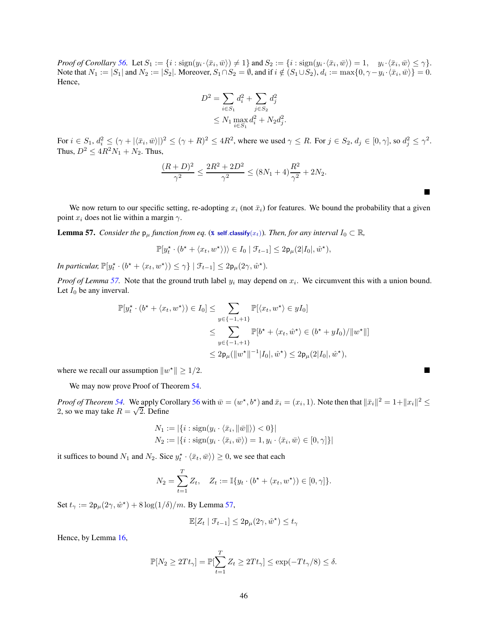*Proof of Corollary* [56.](#page-44-2) Let  $S_1 := \{i : \text{sign}(y_i \cdot \langle \bar{x}_i, \bar{w} \rangle) \neq 1\}$  and  $S_2 := \{i : \text{sign}(y_i \cdot \langle \bar{x}_i, \bar{w} \rangle) = 1, y_i \cdot \langle \bar{x}_i, \bar{w} \rangle \leq \gamma\}.$ Note that  $N_1 := |S_1|$  and  $N_2 := |S_2|$ . Moreover,  $S_1 \cap S_2 = \emptyset$ , and if  $i \notin (S_1 \cup S_2)$ ,  $d_i := \max\{0, \gamma - y_i \cdot \langle \bar{x}_i, \bar{w} \rangle\} = 0$ . Hence,

$$
D^{2} = \sum_{i \in S_{1}} d_{i}^{2} + \sum_{j \in S_{2}} d_{j}^{2}
$$
  
 
$$
\leq N_{1} \max_{i \in S_{1}} d_{i}^{2} + N_{2} d_{j}^{2}
$$

.

 $\blacksquare$ 

For  $i \in S_1$ ,  $d_i^2 \leq (\gamma + |\langle \bar{x}_i, \bar{w} \rangle|)^2 \leq (\gamma + R)^2 \leq 4R^2$ , where we used  $\gamma \leq R$ . For  $j \in S_2$ ,  $d_j \in [0, \gamma]$ , so  $d_j^2 \leq \gamma^2$ . Thus,  $D^2 \le 4R^2N_1 + N_2$ . Thus,

$$
\frac{(R+D)^2}{\gamma^2} \le \frac{2R^2 + 2D^2}{\gamma^2} \le (8N_1 + 4)\frac{R^2}{\gamma^2} + 2N_2.
$$

<span id="page-45-0"></span>We now return to our specific setting, re-adopting  $x_i$  (not  $\bar{x}_i$ ) for features. We bound the probability that a given point  $x_i$  does not lie within a margin  $\gamma$ .

**Lemma 57.** *Consider the*  $p_\mu$  *function from eq.* (**\*** self.[classify](#page-44-3)( $x_t$ ))*. Then, for any interval*  $I_0 \subset \mathbb{R}$ *,* 

$$
\mathbb{P}[y_t^{\star} \cdot (b^{\star} + \langle x_t, w^{\star} \rangle) \rangle \in I_0 \mid \mathcal{F}_{t-1}] \leq 2\mathsf{p}_{\mu}(2|I_0|, \hat{w}^{\star}),
$$

*In particular,*  $\mathbb{P}[y_t^* \cdot (b^* + \langle x_t, w^* \rangle) \leq \gamma \} | \mathcal{F}_{t-1}] \leq 2p_\mu(2\gamma, \hat{w}^*).$ 

*Proof of Lemma* [57.](#page-45-0) Note that the ground truth label  $y_i$  may depend on  $x_i$ . We circumvent this with a union bound. Let  $I_0$  be any inverval.

$$
\mathbb{P}[y_t^\star \cdot (b^\star + \langle x_t, w^\star \rangle) \in I_0] \le \sum_{y \in \{-1, +1\}} \mathbb{P}[\langle x_t, w^\star \rangle \in yI_0]
$$
  

$$
\le \sum_{y \in \{-1, +1\}} \mathbb{P}[b^\star + \langle x_t, \hat{w}^\star \rangle \in (b^\star + yI_0) / ||w^\star||]
$$
  

$$
\le 2\mathsf{p}_{\mu}(\|w^\star\|^{-1}|I_0|, \hat{w}^\star) \le 2\mathsf{p}_{\mu}(2|I_0|, \hat{w}^\star),
$$

where we recall our assumption  $||w^*|| \ge 1/2$ .  $\mathbb{Z}^*$   $\leq$  1/2.

We may now prove Proof of Theorem [54.](#page-44-4)

*Proof of Theorem* [54.](#page-44-4) We apply Corollary [56](#page-44-2) with  $\bar{w} = (w^*, b^*)$  and  $\bar{x}_i = (x_i, 1)$ . Note then that  $\|\bar{x}_i\|^2 = 1 + \|x_i\|^2 \le$ 2, so we may take  $R = \sqrt{2}$ . Define

$$
N_1 := |\{i : \text{sign}(y_i \cdot \langle \bar{x}_i, \|\bar{w}\|\rangle) < 0\}|
$$
\n
$$
N_2 := |\{i : \text{sign}(y_i \cdot \langle \bar{x}_i, \bar{w}\rangle) = 1, y_i \cdot \langle \bar{x}_i, \bar{w}\rangle \in [0, \gamma]\}|
$$

it suffices to bound  $N_1$  and  $N_2$ . Sice  $y_t^* \cdot \langle \bar{x}_t, \bar{w} \rangle \ge 0$ , we see that each

$$
N_2 = \sum_{t=1}^{T} Z_t, \quad Z_t := \mathbb{I}\{y_t \cdot (b^* + \langle x_t, w^* \rangle) \in [0, \gamma]\}.
$$

Set  $t_{\gamma} := 2p_{\mu}(2\gamma, \hat{w}^*) + 8\log(1/\delta)/m$ . By Lemma [57,](#page-45-0)

$$
\mathbb{E}[Z_t \mid \mathcal{F}_{t-1}] \leq 2\mathsf{p}_\mu(2\gamma, \hat{w}^\star) \leq t_\gamma
$$

Hence, by Lemma [16,](#page-15-5)

$$
\mathbb{P}[N_2 \ge 2Tt_\gamma] = \mathbb{P}[\sum_{t=1}^T Z_t \ge 2Tt_\gamma] \le \exp(-Tt_\gamma/8) \le \delta.
$$